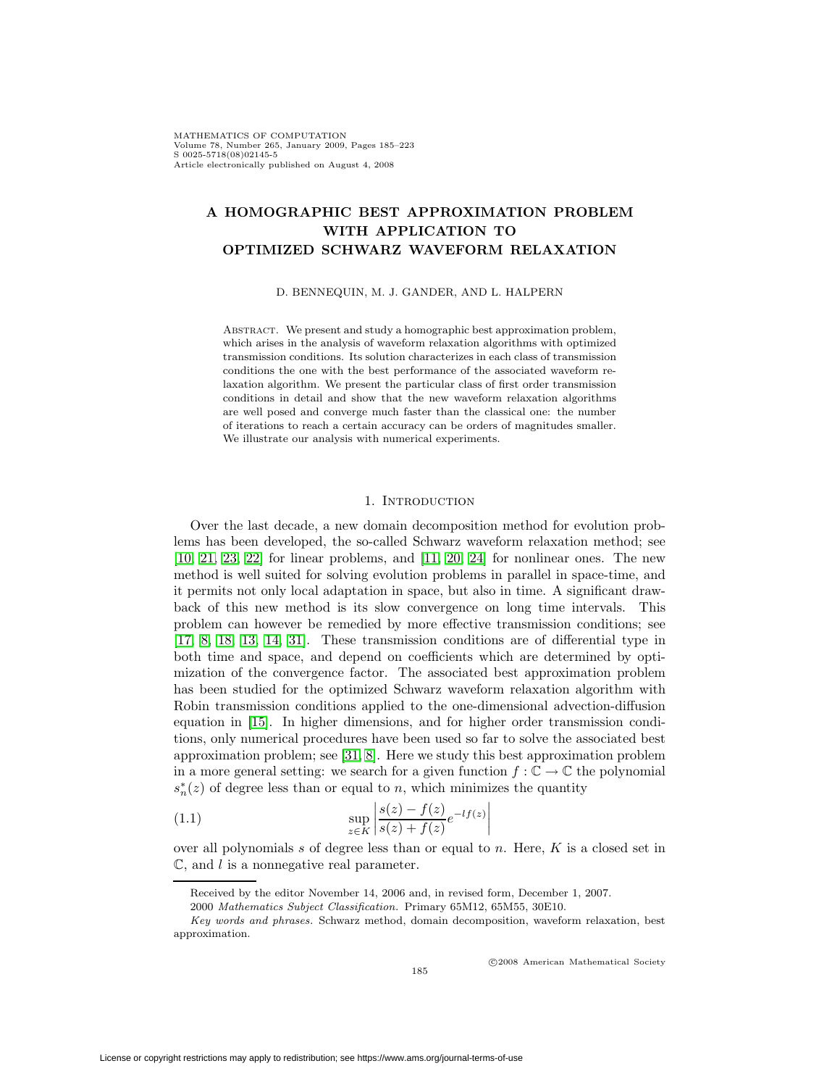# **A HOMOGRAPHIC BEST APPROXIMATION PROBLEM WITH APPLICATION TO OPTIMIZED SCHWARZ WAVEFORM RELAXATION**

D. BENNEQUIN, M. J. GANDER, AND L. HALPERN

ABSTRACT. We present and study a homographic best approximation problem, which arises in the analysis of waveform relaxation algorithms with optimized transmission conditions. Its solution characterizes in each class of transmission conditions the one with the best performance of the associated waveform relaxation algorithm. We present the particular class of first order transmission conditions in detail and show that the new waveform relaxation algorithms are well posed and converge much faster than the classical one: the number of iterations to reach a certain accuracy can be orders of magnitudes smaller. We illustrate our analysis with numerical experiments.

#### 1. INTRODUCTION

Over the last decade, a new domain decomposition method for evolution problems has been developed, the so-called Schwarz waveform relaxation method; see [\[10,](#page-37-0) [21,](#page-37-1) [23,](#page-37-2) [22\]](#page-37-3) for linear problems, and [\[11,](#page-37-4) [20,](#page-37-5) [24\]](#page-37-6) for nonlinear ones. The new method is well suited for solving evolution problems in parallel in space-time, and it permits not only local adaptation in space, but also in time. A significant drawback of this new method is its slow convergence on long time intervals. This problem can however be remedied by more effective transmission conditions; see [\[17,](#page-37-7) [8,](#page-37-8) [18,](#page-37-9) [13,](#page-37-10) [14,](#page-37-11) [31\]](#page-38-0). These transmission conditions are of differential type in both time and space, and depend on coefficients which are determined by optimization of the convergence factor. The associated best approximation problem has been studied for the optimized Schwarz waveform relaxation algorithm with Robin transmission conditions applied to the one-dimensional advection-diffusion equation in [\[15\]](#page-37-12). In higher dimensions, and for higher order transmission conditions, only numerical procedures have been used so far to solve the associated best approximation problem; see [\[31,](#page-38-0) [8\]](#page-37-8). Here we study this best approximation problem in a more general setting: we search for a given function  $f : \mathbb{C} \to \mathbb{C}$  the polynomial  $s_n^*(z)$  of degree less than or equal to n, which minimizes the quantity

(1.1) 
$$
\sup_{z \in K} \left| \frac{s(z) - f(z)}{s(z) + f(z)} e^{-lf(z)} \right|
$$

over all polynomials  $s$  of degree less than or equal to  $n$ . Here,  $K$  is a closed set in  $\mathbb{C}$ , and l is a nonnegative real parameter.

<span id="page-0-0"></span>c 2008 American Mathematical Society

Received by the editor November 14, 2006 and, in revised form, December 1, 2007.

<sup>2000</sup> Mathematics Subject Classification. Primary 65M12, 65M55, 30E10.

Key words and phrases. Schwarz method, domain decomposition, waveform relaxation, best approximation.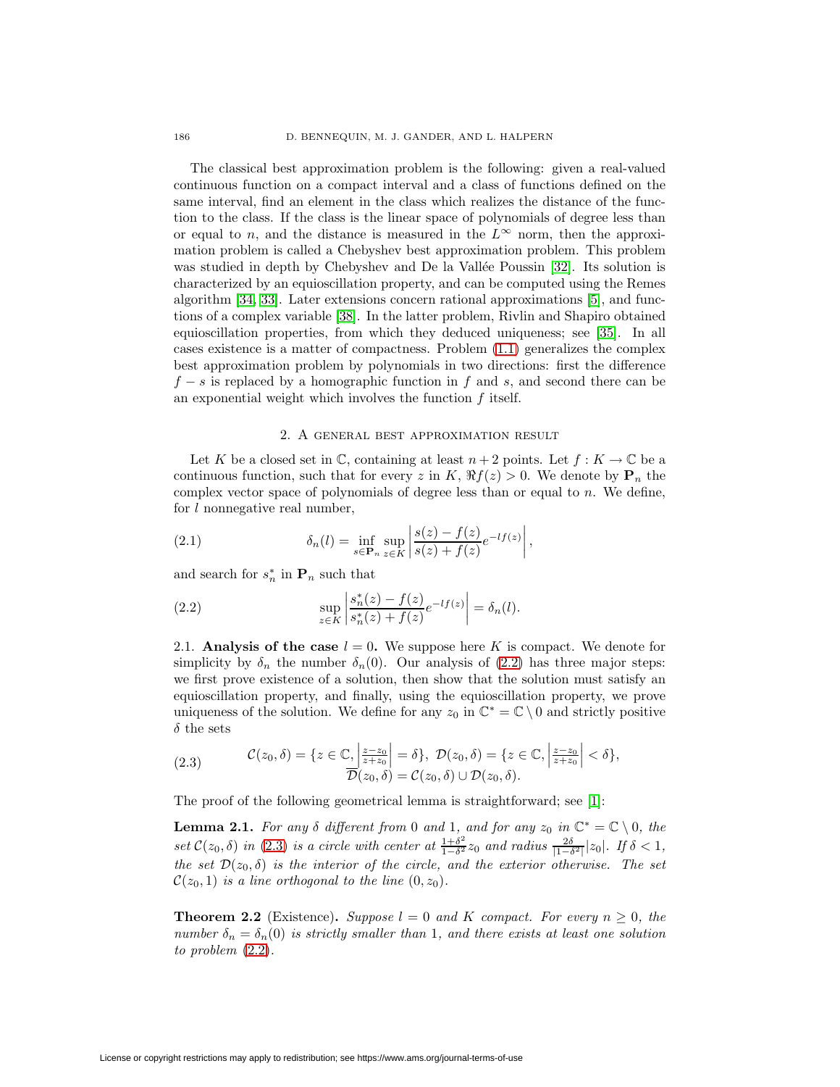The classical best approximation problem is the following: given a real-valued continuous function on a compact interval and a class of functions defined on the same interval, find an element in the class which realizes the distance of the function to the class. If the class is the linear space of polynomials of degree less than or equal to n, and the distance is measured in the  $L^{\infty}$  norm, then the approximation problem is called a Chebyshev best approximation problem. This problem was studied in depth by Chebyshev and De la Vallée Poussin  $[32]$ . Its solution is characterized by an equioscillation property, and can be computed using the Remes algorithm [\[34,](#page-38-2) [33\]](#page-38-3). Later extensions concern rational approximations [\[5\]](#page-36-0), and functions of a complex variable [\[38\]](#page-38-4). In the latter problem, Rivlin and Shapiro obtained equioscillation properties, from which they deduced uniqueness; see [\[35\]](#page-38-5). In all cases existence is a matter of compactness. Problem [\(1.1\)](#page-0-0) generalizes the complex best approximation problem by polynomials in two directions: first the difference  $f - s$  is replaced by a homographic function in f and s, and second there can be an exponential weight which involves the function f itself.

# <span id="page-1-4"></span>2. A general best approximation result

<span id="page-1-5"></span>Let K be a closed set in  $\mathbb{C}$ , containing at least  $n+2$  points. Let  $f: K \to \mathbb{C}$  be a continuous function, such that for every z in K,  $\Re f(z) > 0$ . We denote by  $P_n$  the complex vector space of polynomials of degree less than or equal to  $n$ . We define, for  $l$  nonnegative real number,

(2.1) 
$$
\delta_n(l) = \inf_{s \in \mathbf{P}_n} \sup_{z \in K} \left| \frac{s(z) - f(z)}{s(z) + f(z)} e^{-lf(z)} \right|,
$$

<span id="page-1-0"></span>and search for  $s_n^*$  in  $\mathbf{P}_n$  such that

(2.2) 
$$
\sup_{z \in K} \left| \frac{s_n^*(z) - f(z)}{s_n^*(z) + f(z)} e^{-lf(z)} \right| = \delta_n(l).
$$

2.1. **Analysis of the case**  $l = 0$ . We suppose here K is compact. We denote for simplicity by  $\delta_n$  the number  $\delta_n(0)$ . Our analysis of [\(2.2\)](#page-1-0) has three major steps: we first prove existence of a solution, then show that the solution must satisfy an equioscillation property, and finally, using the equioscillation property, we prove uniqueness of the solution. We define for any  $z_0$  in  $\mathbb{C}^* = \mathbb{C} \setminus 0$  and strictly positive  $\delta$  the sets

<span id="page-1-1"></span>(2.3) 
$$
\mathcal{C}(z_0,\delta) = \{z \in \mathbb{C}, \left|\frac{z-z_0}{z+z_0}\right| = \delta\}, \ \mathcal{D}(z_0,\delta) = \{z \in \mathbb{C}, \left|\frac{z-z_0}{z+z_0}\right| < \delta\},\
$$

$$
\overline{\mathcal{D}(z_0,\delta)} = \mathcal{C}(z_0,\delta) \cup \mathcal{D}(z_0,\delta).
$$

<span id="page-1-2"></span>The proof of the following geometrical lemma is straightforward; see [\[1\]](#page-36-1):

**Lemma 2.1.** For any  $\delta$  different from 0 and 1, and for any  $z_0$  in  $\mathbb{C}^* = \mathbb{C} \setminus 0$ , the set  $\mathcal{C}(z_0, \delta)$  in [\(2.3\)](#page-1-1) is a circle with center at  $\frac{1+\delta^2}{1-\delta^2}z_0$  and radius  $\frac{2\delta}{|1-\delta^2|}|z_0|$ . If  $\delta < 1$ , the set  $\mathcal{D}(z_0, \delta)$  is the interior of the circle, and the exterior otherwise. The set  $\mathcal{C}(z_0, 1)$  is a line orthogonal to the line  $(0, z_0)$ .

<span id="page-1-3"></span>**Theorem 2.2** (Existence). Suppose  $l = 0$  and K compact. For every  $n \geq 0$ , the number  $\delta_n = \delta_n(0)$  is strictly smaller than 1, and there exists at least one solution to problem [\(2.2\)](#page-1-0).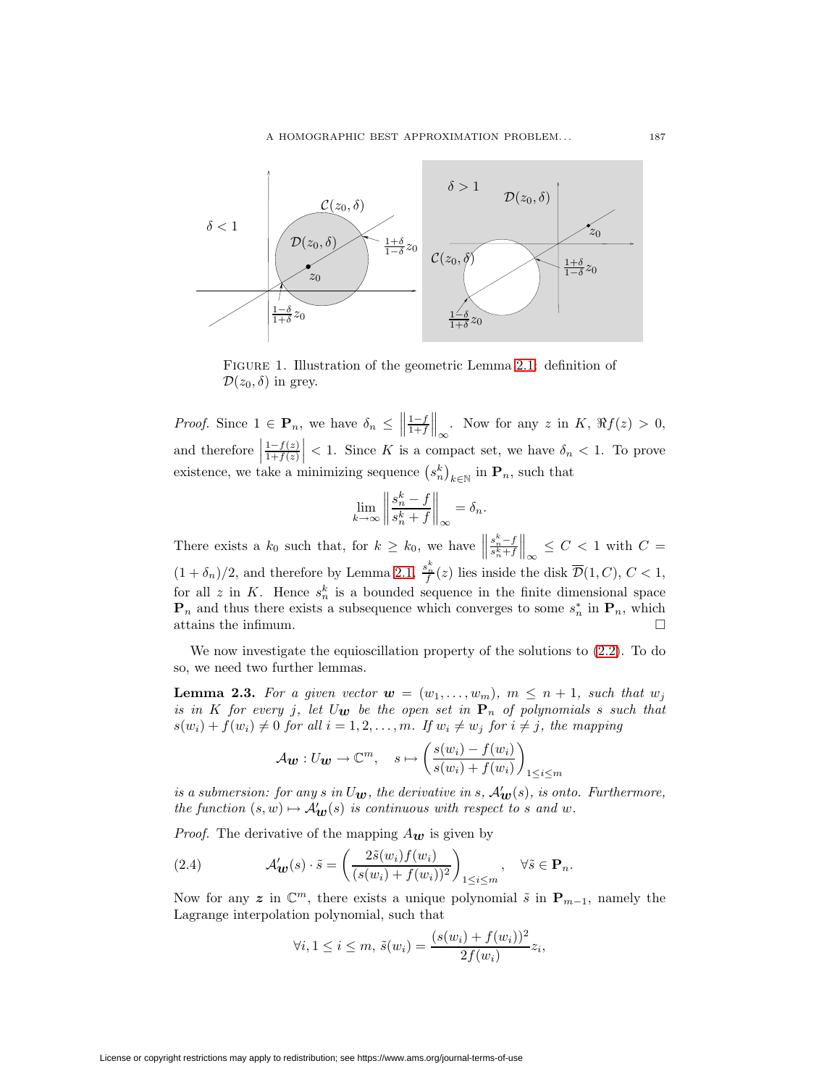

Figure 1. Illustration of the geometric Lemma [2.1:](#page-1-2) definition of  $\mathcal{D}(z_0, \delta)$  in grey.

*Proof.* Since  $1 \in \mathbf{P}_n$ , we have  $\delta_n \leq \left\| \frac{1-f}{1+f} \right\|$  $\biggl\| \biggl\|$ Now for any z in K,  $\Re f(z) > 0$ , and therefore  $\Big\vert$  $\frac{1-f(z)}{1+f(z)}$  $\vert$  < 1. Since K is a compact set, we have  $\delta_n$  < 1. To prove existence, we take a minimizing sequence  $(s_n^k)_{k \in \mathbb{N}}$  in  $\mathbf{P}_n$ , such that

$$
\lim_{k \to \infty} \left\| \frac{s_n^k - f}{s_n^k + f} \right\|_{\infty} = \delta_n.
$$

There exists a  $k_0$  such that, for  $k \geq k_0$ , we have  $\frac{s_n^k - f}{s_n^k + f}$  $\biggl\| \biggl\|$  $\infty \leq C < 1$  with  $C =$  $(1+\delta_n)/2$ , and therefore by Lemma [2.1,](#page-1-2)  $\frac{s_n^k}{f}(z)$  lies inside the disk  $\overline{\mathcal{D}}(1,C)$ ,  $C < 1$ , for all z in K. Hence  $s_n^k$  is a bounded sequence in the finite dimensional space  $\mathbf{P}_n$  and thus there exists a subsequence which converges to some  $s_n^*$  in  $\mathbf{P}_n$ , which attains the infimum.

<span id="page-2-1"></span>We now investigate the equioscillation property of the solutions to [\(2.2\)](#page-1-0). To do so, we need two further lemmas.

**Lemma 2.3.** For a given vector  $w = (w_1, \ldots, w_m)$ ,  $m \leq n+1$ , such that  $w_j$ is in K for every j, let  $U_{\mathbf{w}}$  be the open set in  $\mathbf{P}_n$  of polynomials s such that  $s(w_i) + f(w_i) \neq 0$  for all  $i = 1, 2, \ldots, m$ . If  $w_i \neq w_j$  for  $i \neq j$ , the mapping

$$
A\mathbf{w}: U\mathbf{w} \to \mathbb{C}^m, \quad s \mapsto \left(\frac{s(w_i) - f(w_i)}{s(w_i) + f(w_i)}\right)_{1 \le i \le m}
$$

is a submersion: for any  $s$  in  $U_{\boldsymbol{w}},$  the derivative in  $s$ ,  $\mathcal{A}'_{\boldsymbol{w}}(s)$ , is onto. Furthermore, the function  $(s, w) \mapsto A_{\mathbf{w}}'(s)$  is continuous with respect to s and w.

*Proof.* The derivative of the mapping  $A_{w}$  is given by

(2.4) 
$$
\mathcal{A}'_{\mathbf{w}}(s) \cdot \tilde{s} = \left(\frac{2\tilde{s}(w_i)f(w_i)}{(s(w_i) + f(w_i))^2}\right)_{1 \leq i \leq m}, \quad \forall \tilde{s} \in \mathbf{P}_n.
$$

Now for any z in  $\mathbb{C}^m$ , there exists a unique polynomial  $\tilde{s}$  in  $\mathbf{P}_{m-1}$ , namely the Lagrange interpolation polynomial, such that

<span id="page-2-0"></span>
$$
\forall i, 1 \leq i \leq m, \ \tilde{s}(w_i) = \frac{(s(w_i) + f(w_i))^2}{2f(w_i)} z_i,
$$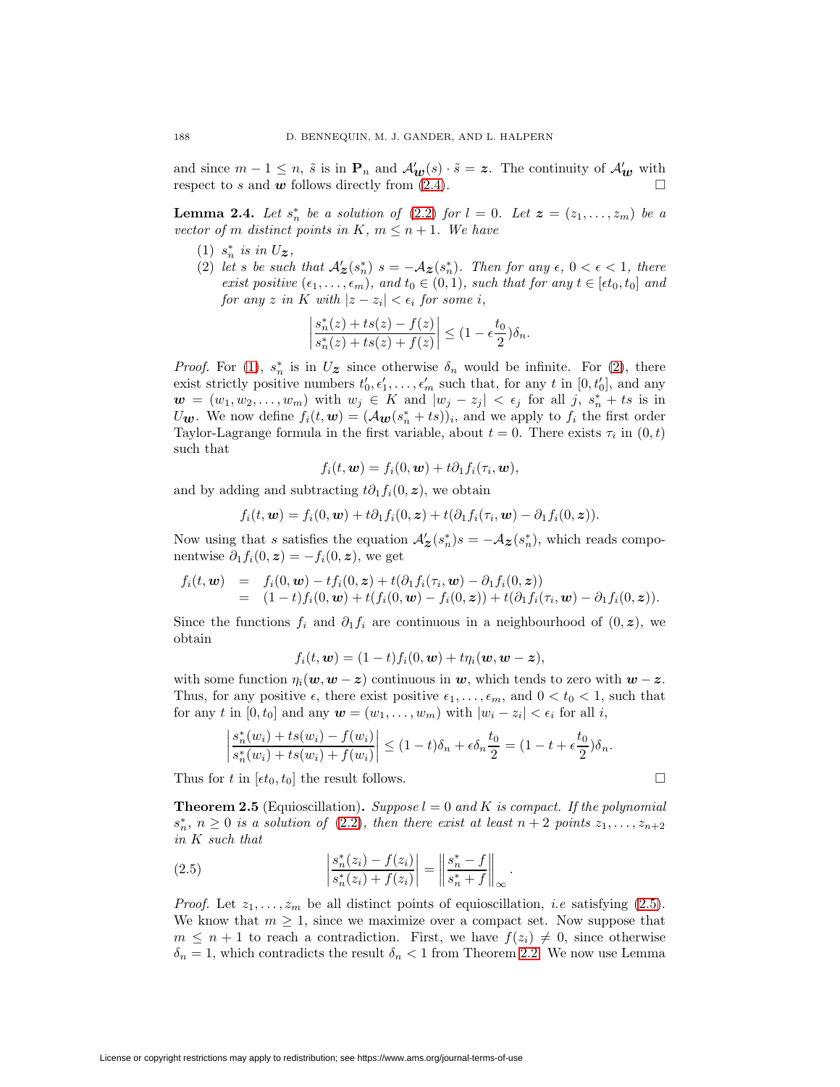and since  $m-1 \leq n$ ,  $\tilde{s}$  is in  $\mathbf{P}_n$  and  $\mathcal{A}'_{w}(s) \cdot \tilde{s} = z$ . The continuity of  $\mathcal{A}'_{w}$  with respect to  $s$  and  $w$  follows directly from  $(2.4)$ .

<span id="page-3-3"></span><span id="page-3-1"></span><span id="page-3-0"></span>**Lemma 2.4.** Let  $s_n^*$  be a solution of [\(2.2\)](#page-1-0) for  $l = 0$ . Let  $z = (z_1, \ldots, z_m)$  be a vector of m distinct points in K,  $m \leq n+1$ . We have

- $(1)$   $s_n^*$  is in  $U_z$ ,
- (2) let s be such that  $\mathcal{A}'_{\mathbf{z}}(s_n^*)$   $s = -\mathcal{A}_{\mathbf{z}}(s_n^*)$ . Then for any  $\epsilon$ ,  $0 < \epsilon < 1$ , there exist positive  $(\epsilon_1, \ldots, \epsilon_m)$ , and  $t_0 \in (0,1)$ , such that for any  $t \in [\epsilon t_0, t_0]$  and  $for any z in K with  $|z - z_i| < \epsilon_i$  for some i,$

$$
\left|\frac{s_n^*(z)+ts(z)-f(z)}{s_n^*(z)+ts(z)+f(z)}\right| \leq (1-\epsilon\frac{t_0}{2})\delta_n.
$$

*Proof.* For [\(1\)](#page-3-0),  $s_n^*$  is in  $U_z$  since otherwise  $\delta_n$  would be infinite. For [\(2\)](#page-3-1), there exist strictly positive numbers  $t'_0, \epsilon'_1, \ldots, \epsilon'_m$  such that, for any t in  $[0, t'_0]$ , and any  $\boldsymbol{w} = (w_1, w_2, \dots, w_m)$  with  $w_j \in K$  and  $|w_j - z_j| < \epsilon_j$  for all j,  $s_n^* + ts$  is in U<sub>*w*</sub>. We now define  $f_i(t, \mathbf{w}) = (\mathcal{A}_{\mathbf{w}}(s_n^* + ts))_i$ , and we apply to  $f_i$  the first order Taylor-Lagrange formula in the first variable, about  $t = 0$ . There exists  $\tau_i$  in  $(0, t)$ such that

$$
f_i(t, \boldsymbol{w}) = f_i(0, \boldsymbol{w}) + t \partial_1 f_i(\tau_i, \boldsymbol{w}),
$$

and by adding and subtracting  $t\partial_1 f_i(0, z)$ , we obtain

$$
f_i(t, \mathbf{w}) = f_i(0, \mathbf{w}) + t \partial_1 f_i(0, \mathbf{z}) + t (\partial_1 f_i(\tau_i, \mathbf{w}) - \partial_1 f_i(0, \mathbf{z})).
$$

Now using that s satisfies the equation  $\mathcal{A}'_{\mathcal{Z}}(s_n^*)s = -\mathcal{A}_{\mathcal{Z}}(s_n^*)$ , which reads componentwise  $\partial_1 f_i(0, z) = -f_i(0, z)$ , we get

$$
f_i(t, \mathbf{w}) = f_i(0, \mathbf{w}) - tf_i(0, \mathbf{z}) + t(\partial_1 f_i(\tau_i, \mathbf{w}) - \partial_1 f_i(0, \mathbf{z}))
$$
  
=  $(1-t)f_i(0, \mathbf{w}) + t(f_i(0, \mathbf{w}) - f_i(0, \mathbf{z})) + t(\partial_1 f_i(\tau_i, \mathbf{w}) - \partial_1 f_i(0, \mathbf{z})).$ 

Since the functions  $f_i$  and  $\partial_1 f_i$  are continuous in a neighbourhood of  $(0, \mathbf{z})$ , we obtain

$$
f_i(t, \mathbf{w}) = (1-t)f_i(0, \mathbf{w}) + t\eta_i(\mathbf{w}, \mathbf{w} - \mathbf{z}),
$$

with some function  $\eta_i(\boldsymbol{w}, \boldsymbol{w} - \boldsymbol{z})$  continuous in  $\boldsymbol{w}$ , which tends to zero with  $\boldsymbol{w} - \boldsymbol{z}$ . Thus, for any positive  $\epsilon$ , there exist positive  $\epsilon_1, \ldots, \epsilon_m$ , and  $0 < t_0 < 1$ , such that for any t in  $[0, t_0]$  and any  $\mathbf{w} = (w_1, \dots, w_m)$  with  $|w_i - z_i| < \epsilon_i$  for all i,

$$
\left|\frac{s_n^*(w_i)+ts(w_i)-f(w_i)}{s_n^*(w_i)+ts(w_i)+f(w_i)}\right| \le (1-t)\delta_n + \epsilon \delta_n \frac{t_0}{2} = (1-t+\epsilon \frac{t_0}{2})\delta_n.
$$

Thus for t in  $[\epsilon t_0, t_0]$  the result follows.

**Theorem 2.5** (Equioscillation). Suppose  $l = 0$  and K is compact. If the polynomial  $s_n^*, n \geq 0$  is a solution of [\(2.2\)](#page-1-0), then there exist at least  $n+2$  points  $z_1, \ldots, z_{n+2}$ in K such that

<span id="page-3-2"></span>(2.5) 
$$
\left| \frac{s_n^*(z_i) - f(z_i)}{s_n^*(z_i) + f(z_i)} \right| = \left| \left| \frac{s_n^* - f}{s_n^* + f} \right| \right|_{\infty}.
$$

*Proof.* Let  $z_1, \ldots, z_m$  be all distinct points of equioscillation, *i.e* satisfying [\(2.5\)](#page-3-2). We know that  $m \geq 1$ , since we maximize over a compact set. Now suppose that  $m \leq n+1$  to reach a contradiction. First, we have  $f(z_i) \neq 0$ , since otherwise  $\delta_n = 1$ , which contradicts the result  $\delta_n < 1$  from Theorem [2.2.](#page-1-3) We now use Lemma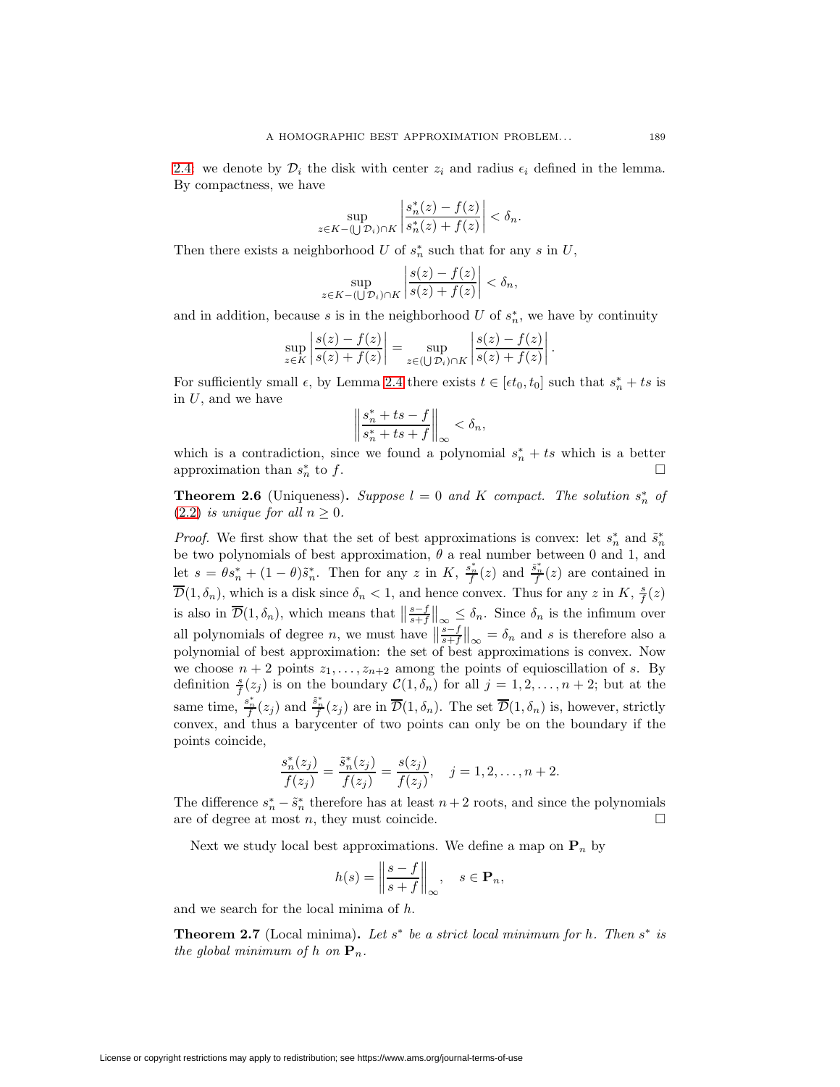[2.4:](#page-3-3) we denote by  $\mathcal{D}_i$  the disk with center  $z_i$  and radius  $\epsilon_i$  defined in the lemma. By compactness, we have

$$
\sup_{z \in K - (\bigcup \mathcal{D}_i) \cap K} \left| \frac{s_n^*(z) - f(z)}{s_n^*(z) + f(z)} \right| < \delta_n.
$$

Then there exists a neighborhood U of  $s_n^*$  such that for any s in U,

$$
\sup_{z \in K - (\bigcup \mathcal{D}_i) \cap K} \left| \frac{s(z) - f(z)}{s(z) + f(z)} \right| < \delta_n,
$$

and in addition, because s is in the neighborhood U of  $s_n^*$ , we have by continuity

$$
\sup_{z \in K} \left| \frac{s(z) - f(z)}{s(z) + f(z)} \right| = \sup_{z \in (\bigcup \mathcal{D}_i) \cap K} \left| \frac{s(z) - f(z)}{s(z) + f(z)} \right|.
$$

For sufficiently small  $\epsilon$ , by Lemma [2.4](#page-3-3) there exists  $t \in [\epsilon t_0, t_0]$  such that  $s_n^* + ts$  is in  $U$ , and we have

$$
\left\| \frac{s_n^* + ts - f}{s_n^* + ts + f} \right\|_{\infty} < \delta_n,
$$

which is a contradiction, since we found a polynomial  $s_n^* + ts$  which is a better approximation than  $s_n^*$  to f.  $\frac{1}{n}$  to f.

<span id="page-4-0"></span>**Theorem 2.6** (Uniqueness). Suppose  $l = 0$  and K compact. The solution  $s_n^*$  of [\(2.2\)](#page-1-0) is unique for all  $n \geq 0$ .

*Proof.* We first show that the set of best approximations is convex: let  $s_n^*$  and  $\tilde{s}_n^*$ be two polynomials of best approximation,  $\theta$  a real number between 0 and 1, and let  $s = \theta s_n^* + (1 - \theta) \tilde{s}_n^*$ . Then for any z in  $K$ ,  $\frac{s_n^*}{f}(z)$  and  $\frac{\tilde{s}_n^*}{f}(z)$  are contained in  $\overline{\mathcal{D}}(1,\delta_n)$ , which is a disk since  $\delta_n < 1$ , and hence convex. Thus for any z in K,  $\frac{s}{f}(z)$ is also in  $\overline{\mathcal{D}}(1,\delta_n)$ , which means that  $\left\|\frac{s-f}{s+f}\right\|_{\infty} \leq \delta_n$ . Since  $\delta_n$  is the infimum over all polynomials of degree *n*, we must have  $\left\|\frac{s-f}{s+f}\right\|_{\infty} = \delta_n$  and *s* is therefore also a polynomial of best approximation: the set of best approximations is convex. Now we choose  $n + 2$  points  $z_1, \ldots, z_{n+2}$  among the points of equioscillation of s. By definition  $\frac{s}{f}(z_j)$  is on the boundary  $\mathcal{C}(1,\delta_n)$  for all  $j=1,2,\ldots,n+2$ ; but at the same time,  $\frac{s_n^*}{f}(z_j)$  and  $\frac{\tilde{s}_n^*}{f}(z_j)$  are in  $\overline{\mathcal{D}}(1,\delta_n)$ . The set  $\overline{\mathcal{D}}(1,\delta_n)$  is, however, strictly convex, and thus a barycenter of two points can only be on the boundary if the points coincide,

$$
\frac{s_n^*(z_j)}{f(z_j)} = \frac{\tilde{s}_n^*(z_j)}{f(z_j)} = \frac{s(z_j)}{f(z_j)}, \quad j = 1, 2, \dots, n+2.
$$

The difference  $s_n^* - \tilde{s}_n^*$  therefore has at least  $n+2$  roots, and since the polynomials are of degree at most n, they must coincide.  $\square$ 

Next we study local best approximations. We define a map on  $P_n$  by

$$
h(s) = \left\| \frac{s - f}{s + f} \right\|_{\infty}, \quad s \in \mathbf{P}_n,
$$

<span id="page-4-1"></span>and we search for the local minima of h.

**Theorem 2.7** (Local minima). Let  $s^*$  be a strict local minimum for h. Then  $s^*$  is the global minimum of h on  $\mathbf{P}_n$ .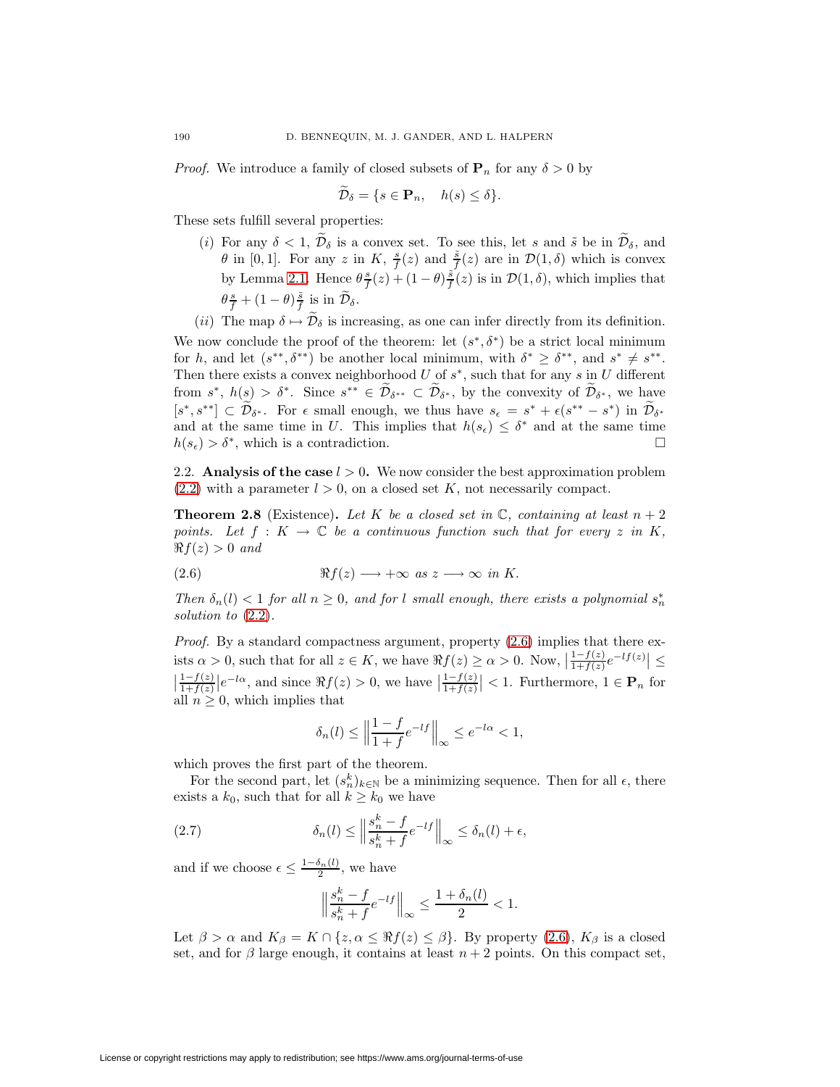*Proof.* We introduce a family of closed subsets of  $P_n$  for any  $\delta > 0$  by

$$
\mathcal{D}_{\delta} = \{ s \in \mathbf{P}_n, \quad h(s) \le \delta \}.
$$

These sets fulfill several properties:

- (i) For any  $\delta < 1$ ,  $\widetilde{\mathcal{D}}_{\delta}$  is a convex set. To see this, let s and  $\widetilde{s}$  be in  $\widetilde{\mathcal{D}}_{\delta}$ , and  $\theta$  in [0, 1]. For any z in K,  $\frac{s}{f}(z)$  and  $\frac{\tilde{s}}{f}(z)$  are in  $\mathcal{D}(1,\delta)$  which is convex by Lemma [2.1.](#page-1-2) Hence  $\theta \frac{s}{f}(z) + (1 - \theta) \frac{\tilde{s}}{f}(z)$  is in  $\mathcal{D}(1, \delta)$ , which implies that  $\theta \frac{s}{f} + (1 - \theta) \frac{\tilde{s}}{f}$  is in  $\widetilde{\mathcal{D}}_{\delta}$ .
- (ii) The map  $\delta \mapsto \mathcal{D}_{\delta}$  is increasing, as one can infer directly from its definition.

We now conclude the proof of the theorem: let  $(s^*, \delta^*)$  be a strict local minimum for h, and let  $(s^{**}, \delta^{**})$  be another local minimum, with  $\delta^* \geq \delta^{**}$ , and  $s^* \neq s^{**}$ . Then there exists a convex neighborhood  $U$  of  $s^*$ , such that for any  $s$  in  $U$  different from  $s^*$ ,  $h(s) > \delta^*$ . Since  $s^{**} \in \tilde{\mathcal{D}}_{\delta^{**}} \subset \tilde{\mathcal{D}}_{\delta^*}$ , by the convexity of  $\tilde{\mathcal{D}}_{\delta^*}$ , we have  $[s^*, s^{**}] \subset \mathcal{D}_{\delta^*}$ . For  $\epsilon$  small enough, we thus have  $s_{\epsilon} = s^* + \epsilon(s^{**} - s^*)$  in  $\mathcal{D}_{\delta^*}$ and at the same time in U. This implies that  $h(s_\epsilon) \leq \delta^*$  and at the same time  $h(s_{\epsilon}) > \delta^*$ , which is a contradiction.

<span id="page-5-3"></span><span id="page-5-2"></span>2.2. **Analysis of the case**  $l > 0$ . We now consider the best approximation problem  $(2.2)$  with a parameter  $l > 0$ , on a closed set K, not necessarily compact.

**Theorem 2.8** (Existence). Let K be a closed set in  $\mathbb{C}$ , containing at least  $n + 2$ points. Let  $f: K \to \mathbb{C}$  be a continuous function such that for every z in K,  $\Re f(z) > 0$  and

<span id="page-5-0"></span>(2.6) 
$$
\Re f(z) \longrightarrow +\infty \text{ as } z \longrightarrow \infty \text{ in } K.
$$

Then  $\delta_n(l) < 1$  for all  $n \geq 0$ , and for l small enough, there exists a polynomial  $s_n^*$ solution to [\(2.2\)](#page-1-0).

Proof. By a standard compactness argument, property  $(2.6)$  implies that there exists  $\alpha > 0$ , such that for all  $z \in K$ , we have  $\Re f(z) \ge \alpha > 0$ . Now,  $\left| \frac{1 - f(z)}{1 + f(z)} e^{-lf(z)} \right| \le$  $\left|\frac{1-f(z)}{1+f(z)}\right|e^{-l\alpha}$ , and since  $\Re f(z) > 0$ , we have  $\left|\frac{1-f(z)}{1+f(z)}\right| < 1$ . Furthermore,  $1 \in \mathbf{P}_n$  for all  $n \geq 0$ , which implies that

<span id="page-5-1"></span>
$$
\delta_n(l) \le \left\| \frac{1 - f}{1 + f} e^{-lf} \right\|_{\infty} \le e^{-l\alpha} < 1,
$$

which proves the first part of the theorem.

For the second part, let  $(s_n^k)_{k \in \mathbb{N}}$  be a minimizing sequence. Then for all  $\epsilon$ , there exists a  $k_0$ , such that for all  $k \geq k_0$  we have

(2.7) 
$$
\delta_n(l) \leq \left\| \frac{s_n^k - f}{s_n^k + f} e^{-lf} \right\|_{\infty} \leq \delta_n(l) + \epsilon,
$$

and if we choose  $\epsilon \leq \frac{1-\delta_n(l)}{2}$ , we have

$$
\left\|\frac{s_n^k-f}{s_n^k+f}e^{-l f}\right\|_\infty\leq \frac{1+\delta_n(l)}{2}<1.
$$

Let  $\beta > \alpha$  and  $K_{\beta} = K \cap \{z, \alpha \leq \Re f(z) \leq \beta\}$ . By property [\(2.6\)](#page-5-0),  $K_{\beta}$  is a closed set, and for  $\beta$  large enough, it contains at least  $n + 2$  points. On this compact set,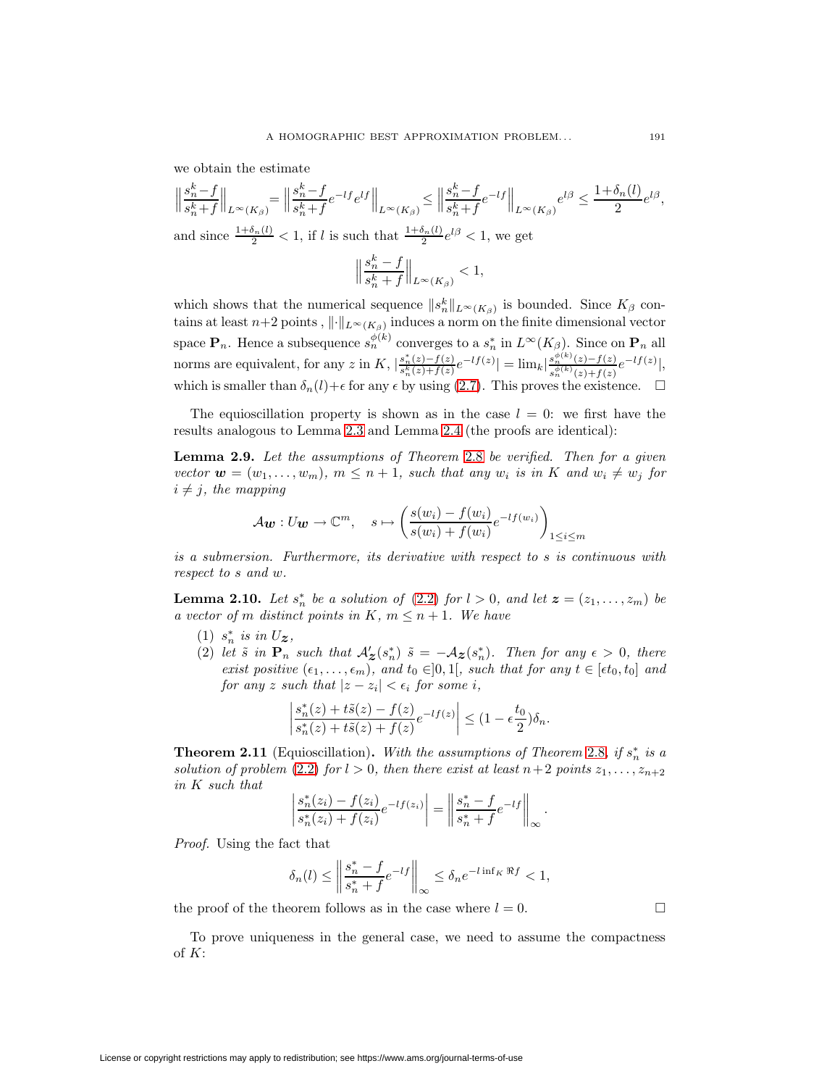we obtain the estimate

$$
\left\|\frac{s_n^k - f}{s_n^k + f}\right\|_{L^\infty(K_\beta)} = \left\|\frac{s_n^k - f}{s_n^k + f} e^{-lf} e^{lf}\right\|_{L^\infty(K_\beta)} \le \left\|\frac{s_n^k - f}{s_n^k + f} e^{-lf}\right\|_{L^\infty(K_\beta)} e^{l\beta} \le \frac{1 + \delta_n(l)}{2} e^{l\beta},
$$
  
and since  $\frac{1 + \delta_n(l)}{2} < 1$ , if  $l$  is such that  $\frac{1 + \delta_n(l)}{2} e^{l\beta} < 1$ , we get  

$$
\|s_n^k - f\|
$$

$$
\left\|\frac{s_n^k-f}{s_n^k+f}\right\|_{L^\infty(K_\beta)}<1,
$$

which shows that the numerical sequence  $||s_n^k||_{L^{\infty}(K_{\beta})}$  is bounded. Since  $K_{\beta}$  contains at least  $n+2$  points,  $\|\cdot\|_{L^{\infty}(K_{\beta})}$  induces a norm on the finite dimensional vector space  $\mathbf{P}_n$ . Hence a subsequence  $s_n^{\phi(k)}$  converges to a  $s_n^*$  in  $L^\infty(K_\beta)$ . Since on  $\mathbf{P}_n$  all norms are equivalent, for any z in K,  $\left|\frac{s_n^*(z)-f(z)}{s_n^k(z)+f(z)}e^{-lf(z)}\right| = \lim_k \left|\frac{s_n^{\phi(k)}(z)-f(z)}{s_n^{\phi(k)}(z)+f(z)}\right|$  $\frac{s_n^{\varphi(k)}(z)-f(z)}{s_n^{\phi(k)}(z)+f(z)}e^{-lf(z)}|,$ which is smaller than  $\delta_n(l) + \epsilon$  for any  $\epsilon$  by using [\(2.7\)](#page-5-1). This proves the existence.  $\Box$ 

The equioscillation property is shown as in the case  $l = 0$ : we first have the results analogous to Lemma [2.3](#page-2-1) and Lemma [2.4](#page-3-3) (the proofs are identical):

**Lemma 2.9.** Let the assumptions of Theorem [2.8](#page-5-2) be verified. Then for a given vector  $\mathbf{w} = (w_1, \ldots, w_m)$ ,  $m \leq n+1$ , such that any  $w_i$  is in K and  $w_i \neq w_j$  for  $i \neq j$ , the mapping

$$
A\mathbf{w}: U\mathbf{w} \to \mathbb{C}^m, \quad s \mapsto \left(\frac{s(w_i) - f(w_i)}{s(w_i) + f(w_i)} e^{-lf(w_i)}\right)_{1 \le i \le m}
$$

is a submersion. Furthermore, its derivative with respect to s is continuous with respect to s and w.

**Lemma 2.10.** Let  $s_n^*$  be a solution of [\(2.2\)](#page-1-0) for  $l > 0$ , and let  $z = (z_1, \ldots, z_m)$  be a vector of m distinct points in K,  $m \leq n+1$ . We have

- $(1)$   $s_n^*$  is in  $U_z$ ,
- (2) let  $\tilde{s}$  in  $\mathbf{P}_n$  such that  $\mathcal{A}'_{\mathbf{z}}(s_n^*)$   $\tilde{s} = -\mathcal{A}_{\mathbf{z}}(s_n^*)$ . Then for any  $\epsilon > 0$ , there exist positive  $(\epsilon_1, \ldots, \epsilon_m)$ , and  $t_0 \in ]0,1[$ , such that for any  $t \in [\epsilon t_0, t_0]$  and  $for any z such that  $|z - z_i| < \epsilon_i$  for some i,$

$$
\left|\frac{s_n^*(z)+t\tilde{s}(z)-f(z)}{s_n^*(z)+t\tilde{s}(z)+f(z)}e^{-lf(z)}\right|\leq (1-\epsilon\frac{t_0}{2})\delta_n.
$$

**Theorem 2.11** (Equioscillation). With the assumptions of Theorem [2.8](#page-5-2), if  $s_n^*$  is a solution of problem [\(2.2\)](#page-1-0) for  $l > 0$ , then there exist at least  $n+2$  points  $z_1, \ldots, z_{n+2}$ in K such that

$$
\left| \frac{s_n^*(z_i) - f(z_i)}{s_n^*(z_i) + f(z_i)} e^{-lf(z_i)} \right| = \left| \left| \frac{s_n^* - f}{s_n^* + f} e^{-lf} \right| \right|_{\infty}.
$$

Proof. Using the fact that

<span id="page-6-0"></span>of  $K$ :

$$
\delta_n(l) \le \left\| \frac{s_n^* - f}{s_n^* + f} e^{-lf} \right\|_{\infty} \le \delta_n e^{-l \inf_K \Re f} < 1,
$$

the proof of the theorem follows as in the case where  $l = 0$ .

To prove uniqueness in the general case, we need to assume the compactness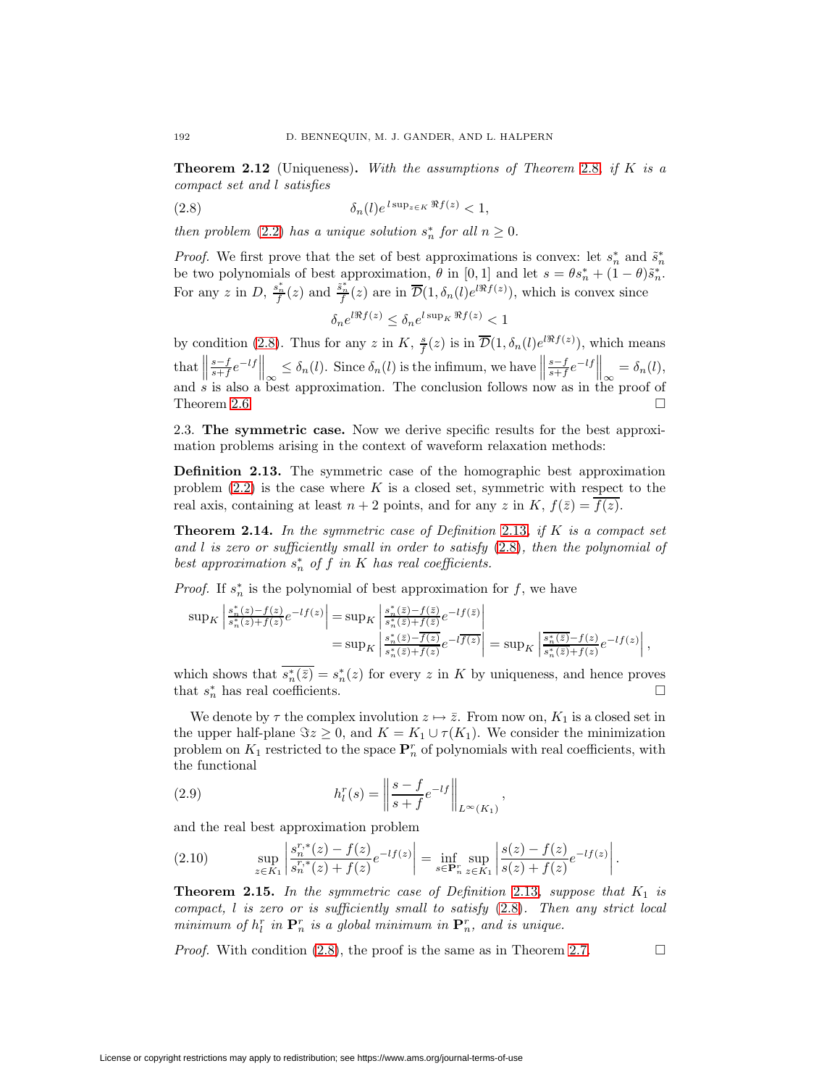<span id="page-7-0"></span>**Theorem 2.12** (Uniqueness)**.** With the assumptions of Theorem [2.8](#page-5-2), if K is a compact set and l satisfies

(2.8) 
$$
\delta_n(l)e^{l\sup_{z\in K}\Re f(z)} < 1,
$$

then problem [\(2.2\)](#page-1-0) has a unique solution  $s_n^*$  for all  $n \geq 0$ .

*Proof.* We first prove that the set of best approximations is convex: let  $s_n^*$  and  $\tilde{s}_n^*$ be two polynomials of best approximation,  $\theta$  in [0, 1] and let  $s = \theta s_n^* + (1 - \theta) \tilde{s}_n^*$ . For any z in D,  $\frac{s_n^*}{f}(z)$  and  $\frac{\tilde{s}_n^*}{f}(z)$  are in  $\overline{\mathcal{D}}(1,\delta_n(l)e^{l\Re f(z)})$ , which is convex since

$$
\delta_n e^{l\Re f(z)} \le \delta_n e^{l\sup_K \Re f(z)} < 1
$$

by condition [\(2.8\)](#page-7-0). Thus for any z in K,  $\frac{s}{f}(z)$  is in  $\overline{\mathcal{D}}(1,\delta_n(l)e^{i\Re f(z)})$ , which means that  $\Vert$  $\frac{s-f}{s+f}e^{-lf}$  $\leq \delta_n(l)$ . Since  $\delta_n(l)$  is the infimum, we have  $\|$  $\frac{s-f}{s+f}e^{-lf}$ that  $\left\|\frac{s-f}{s+f}e^{-lf}\right\|_{\infty} \leq \delta_n(l)$ . Since  $\delta_n(l)$  is the infimum, we have  $\left\|\frac{s-f}{s+f}e^{-lf}\right\|_{\infty} = \delta_n(l)$ , and s is also a best approximation. The conclusion follows now as in the proof of Theorem [2.6.](#page-4-0)

<span id="page-7-5"></span><span id="page-7-1"></span>2.3. **The symmetric case.** Now we derive specific results for the best approximation problems arising in the context of waveform relaxation methods:

**Definition 2.13.** The symmetric case of the homographic best approximation problem  $(2.2)$  is the case where K is a closed set, symmetric with respect to the real axis, containing at least  $n + 2$  points, and for any z in K,  $f(\bar{z}) = \overline{f(z)}$ .

<span id="page-7-3"></span>**Theorem 2.14.** In the symmetric case of Definition [2.13](#page-7-1), if  $K$  is a compact set and  $l$  is zero or sufficiently small in order to satisfy  $(2.8)$ , then the polynomial of best approximation  $s_n^*$  of f in K has real coefficients.

*Proof.* If  $s_n^*$  is the polynomial of best approximation for f, we have

$$
\begin{split} \sup\nolimits_K \left| \frac{s_n^*(z) - f(z)}{s_n^*(z) + f(z)} e^{-lf(z)} \right| &= \sup\nolimits_K \left| \frac{s_n^*(\overline{z}) - f(\overline{z})}{s_n^*(\overline{z}) + f(\overline{z})} e^{-lf(\overline{z})} \right| \\ &= \sup\nolimits_K \left| \frac{s_n^*(\overline{z}) - \overline{f(z)}}{s_n^*(\overline{z}) + \overline{f(z)}} e^{-l\overline{f(z)}} \right| = \sup\nolimits_K \left| \frac{\overline{s_n^*(\overline{z})} - f(z)}{s_n^*(\overline{z}) + f(z)} e^{-lf(z)} \right|, \end{split}
$$

which shows that  $s_n^*(\bar{z}) = s_n^*(z)$  for every z in K by uniqueness, and hence proves that  $s_n^*$  has real coefficients.

We denote by  $\tau$  the complex involution  $z \mapsto \overline{z}$ . From now on,  $K_1$  is a closed set in the upper half-plane  $\Im z \geq 0$ , and  $K = K_1 \cup \tau(K_1)$ . We consider the minimization problem on  $K_1$  restricted to the space  $\mathbf{P}_n^r$  of polynomials with real coefficients, with the functional

<span id="page-7-7"></span>(2.9) 
$$
h_l^r(s) = \left\| \frac{s - f}{s + f} e^{-lf} \right\|_{L^\infty(K_1)},
$$

and the real best approximation problem

<span id="page-7-4"></span>(2.10) 
$$
\sup_{z \in K_1} \left| \frac{s_n^{r,*}(z) - f(z)}{s_n^{r,*}(z) + f(z)} e^{-lf(z)} \right| = \inf_{s \in \mathbf{P}_n^r} \sup_{z \in K_1} \left| \frac{s(z) - f(z)}{s(z) + f(z)} e^{-lf(z)} \right|.
$$

<span id="page-7-2"></span>**Theorem 2.15.** In the symmetric case of Definition [2.13](#page-7-1), suppose that  $K_1$  is compact,  $l$  is zero or is sufficiently small to satisfy  $(2.8)$ . Then any strict local minimum of  $h_l^r$  in  $\mathbf{P}_n^r$  is a global minimum in  $\mathbf{P}_n^r$ , and is unique.

<span id="page-7-6"></span>*Proof.* With condition [\(2.8\)](#page-7-0), the proof is the same as in Theorem [2.7.](#page-4-1)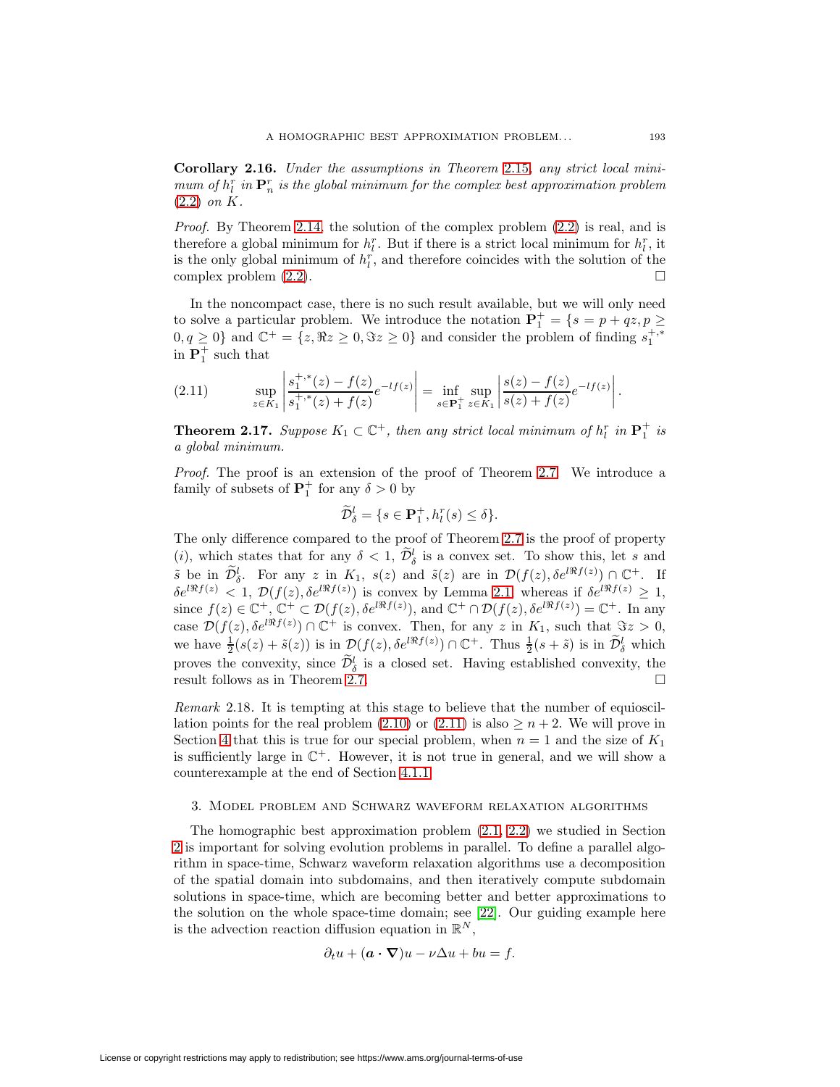**Corollary 2.16.** Under the assumptions in Theorem [2.15](#page-7-2), any strict local minimum of  $h_l^r$  in  $\mathbf{P}_n^r$  is the global minimum for the complex best approximation problem [\(2.2\)](#page-1-0) on K.

*Proof.* By Theorem [2.14,](#page-7-3) the solution of the complex problem  $(2.2)$  is real, and is therefore a global minimum for  $h_l^r$ . But if there is a strict local minimum for  $h_l^r$ , it is the only global minimum of  $h_l^r$ , and therefore coincides with the solution of the complex problem [\(2.2\)](#page-1-0).

In the noncompact case, there is no such result available, but we will only need to solve a particular problem. We introduce the notation  $P_1^+ = \{s = p + qz, p \geq 1\}$  $0, q \geq 0$ } and  $\mathbb{C}^+ = \{z, \Re z \geq 0, \Im z \geq 0\}$  and consider the problem of finding  $s_1^{+,*}$ in  $\mathbf{P}_1^+$  such that

<span id="page-8-0"></span>(2.11) 
$$
\sup_{z \in K_1} \left| \frac{s_1^{+, *}(z) - f(z)}{s_1^{+, *}(z) + f(z)} e^{-lf(z)} \right| = \inf_{s \in \mathbf{P}_1^+} \sup_{z \in K_1} \left| \frac{s(z) - f(z)}{s(z) + f(z)} e^{-lf(z)} \right|.
$$

<span id="page-8-2"></span>**Theorem 2.17.** Suppose  $K_1 \subset \mathbb{C}^+$ , then any strict local minimum of  $h_l^r$  in  $\mathbf{P}_1^+$  is a global minimum.

Proof. The proof is an extension of the proof of Theorem [2.7.](#page-4-1) We introduce a family of subsets of  $\mathbf{P}_1^+$  for any  $\delta > 0$  by

$$
\widetilde{\mathcal{D}}_{\delta}^l = \{ s \in \mathbf{P}_1^+, h_l^r(s) \le \delta \}.
$$

The only difference compared to the proof of Theorem [2.7](#page-4-1) is the proof of property (*i*), which states that for any  $\delta < 1$ ,  $\tilde{\mathcal{D}}_{\delta}^{l}$  is a convex set. To show this, let s and  $\tilde{s}$  be in  $\tilde{\mathcal{D}}_{\delta}^l$ . For any  $z$  in  $K_1$ ,  $s(z)$  and  $\tilde{s}(z)$  are in  $\mathcal{D}(f(z),\delta e^{i\Re f(z)}) \cap \mathbb{C}^+$ . If  $\delta e^{i\Re f(z)} < 1, \mathcal{D}(f(z), \delta e^{i\Re f(z)})$  is convex by Lemma [2.1,](#page-1-2) whereas if  $\delta e^{i\Re f(z)} \geq 1$ , since  $f(z) \in \mathbb{C}^+$ ,  $\mathbb{C}^+ \subset \mathcal{D}(f(z), \delta e^{i\Re f(z)})$ , and  $\mathbb{C}^+ \cap \mathcal{D}(f(z), \delta e^{i\Re f(z)}) = \mathbb{C}^+$ . In any case  $\mathcal{D}(f(z), \delta e^{i\Re f(z)}) \cap \mathbb{C}^+$  is convex. Then, for any z in  $K_1$ , such that  $\Im z > 0$ , we have  $\frac{1}{2}(s(z) + \tilde{s}(z))$  is in  $\mathcal{D}(f(z), \delta e^{i\Re f(z)}) \cap \mathbb{C}^+$ . Thus  $\frac{1}{2}(s + \tilde{s})$  is in  $\widetilde{\mathcal{D}}_{\delta}^l$  which proves the convexity, since  $\tilde{\mathcal{D}}_{\delta}^{l}$  is a closed set. Having established convexity, the result follows as in Theorem [2.7.](#page-4-1)

<span id="page-8-1"></span>Remark 2.18. It is tempting at this stage to believe that the number of equioscillation points for the real problem  $(2.10)$  or  $(2.11)$  is also  $\geq n+2$ . We will prove in Section [4](#page-11-0) that this is true for our special problem, when  $n = 1$  and the size of  $K_1$ is sufficiently large in  $\mathbb{C}^+$ . However, it is not true in general, and we will show a counterexample at the end of Section [4.1.1.](#page-12-0)

### 3. Model problem and Schwarz waveform relaxation algorithms

<span id="page-8-3"></span>The homographic best approximation problem [\(2.1,](#page-1-4) [2.2\)](#page-1-0) we studied in Section [2](#page-1-5) is important for solving evolution problems in parallel. To define a parallel algorithm in space-time, Schwarz waveform relaxation algorithms use a decomposition of the spatial domain into subdomains, and then iteratively compute subdomain solutions in space-time, which are becoming better and better approximations to the solution on the whole space-time domain; see [\[22\]](#page-37-3). Our guiding example here is the advection reaction diffusion equation in  $\mathbb{R}^N$ ,

$$
\partial_t u + (\mathbf{a} \cdot \nabla) u - \nu \Delta u + bu = f.
$$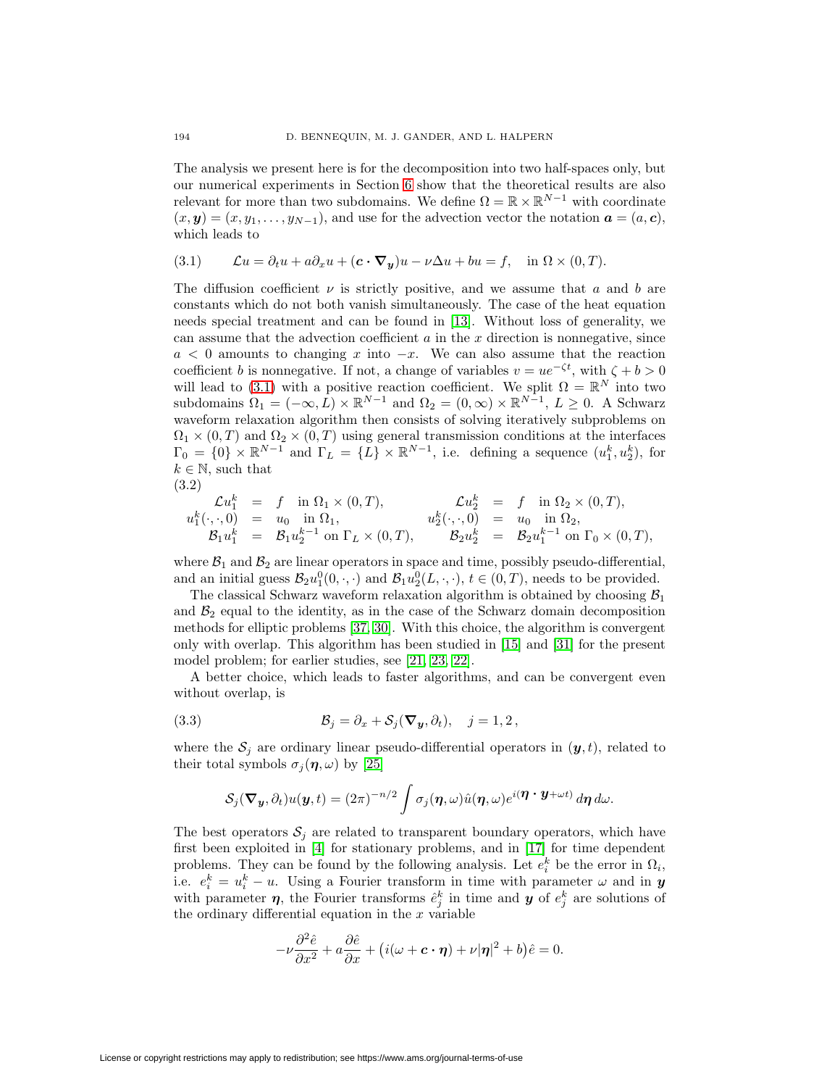The analysis we present here is for the decomposition into two half-spaces only, but our numerical experiments in Section [6](#page-32-0) show that the theoretical results are also relevant for more than two subdomains. We define  $\Omega = \mathbb{R} \times \mathbb{R}^{N-1}$  with coordinate  $(x, y) = (x, y_1, \ldots, y_{N-1})$ , and use for the advection vector the notation  $\boldsymbol{a} = (a, c)$ , which leads to

<span id="page-9-0"></span>(3.1) 
$$
\mathcal{L}u = \partial_t u + a\partial_x u + (c \cdot \nabla_y)u - \nu \Delta u + bu = f, \text{ in } \Omega \times (0, T).
$$

The diffusion coefficient  $\nu$  is strictly positive, and we assume that a and b are constants which do not both vanish simultaneously. The case of the heat equation needs special treatment and can be found in [\[13\]](#page-37-10). Without loss of generality, we can assume that the advection coefficient  $a$  in the  $x$  direction is nonnegative, since  $a < 0$  amounts to changing x into  $-x$ . We can also assume that the reaction coefficient b is nonnegative. If not, a change of variables  $v = ue^{-\zeta t}$ , with  $\zeta + b > 0$ will lead to [\(3.1\)](#page-9-0) with a positive reaction coefficient. We split  $\Omega = \mathbb{R}^N$  into two subdomains  $\Omega_1 = (-\infty, L) \times \mathbb{R}^{N-1}$  and  $\Omega_2 = (0, \infty) \times \mathbb{R}^{N-1}$ ,  $L \geq 0$ . A Schwarz waveform relaxation algorithm then consists of solving iteratively subproblems on  $\Omega_1 \times (0,T)$  and  $\Omega_2 \times (0,T)$  using general transmission conditions at the interfaces  $\Gamma_0 = \{0\} \times \mathbb{R}^{N-1}$  and  $\Gamma_L = \{L\} \times \mathbb{R}^{N-1}$ , i.e. defining a sequence  $(u_1^k, u_2^k)$ , for  $k \in \mathbb{N}$ , such that

<span id="page-9-2"></span>
$$
(3.2)
$$

$$
\begin{array}{rcll} \mathcal{L} u_1^k & = & f \quad \text{in} \ \Omega_1 \times (0,T), & \mathcal{L} u_2^k & = & f \quad \text{in} \ \Omega_2 \times (0,T), \\ u_1^k(\cdot,\cdot,0) & = & u_0 \quad \text{in} \ \Omega_1, & u_2^k(\cdot,\cdot,0) & = & u_0 \quad \text{in} \ \Omega_2, \\ \mathcal{B}_1 u_1^k & = & \mathcal{B}_1 u_2^{k-1} \text{ on } \Gamma_L \times (0,T), & \mathcal{B}_2 u_2^k & = & \mathcal{B}_2 u_1^{k-1} \text{ on } \Gamma_0 \times (0,T), \end{array}
$$

where  $\mathcal{B}_1$  and  $\mathcal{B}_2$  are linear operators in space and time, possibly pseudo-differential, and an initial guess  $\mathcal{B}_2 u_1^0(0, \cdot, \cdot)$  and  $\mathcal{B}_1 u_2^0(L, \cdot, \cdot)$ ,  $t \in (0, T)$ , needs to be provided.

The classical Schwarz waveform relaxation algorithm is obtained by choosing  $\mathcal{B}_1$ and  $\mathcal{B}_2$  equal to the identity, as in the case of the Schwarz domain decomposition methods for elliptic problems [\[37,](#page-38-6) [30\]](#page-38-7). With this choice, the algorithm is convergent only with overlap. This algorithm has been studied in [\[15\]](#page-37-12) and [\[31\]](#page-38-0) for the present model problem; for earlier studies, see [\[21,](#page-37-1) [23,](#page-37-2) [22\]](#page-37-3).

<span id="page-9-1"></span>A better choice, which leads to faster algorithms, and can be convergent even without overlap, is

(3.3) 
$$
\mathcal{B}_j = \partial_x + \mathcal{S}_j(\nabla_y, \partial_t), \quad j = 1, 2,
$$

where the  $S_j$  are ordinary linear pseudo-differential operators in  $(y, t)$ , related to their total symbols  $\sigma_i(\eta,\omega)$  by [\[25\]](#page-37-13)

$$
\mathcal{S}_j(\nabla_y,\partial_t)u(y,t)=(2\pi)^{-n/2}\int \sigma_j(\boldsymbol{\eta},\omega)\hat{u}(\boldsymbol{\eta},\omega)e^{i(\boldsymbol{\eta}\cdot\boldsymbol{y}+\omega t)}\,d\boldsymbol{\eta}\,d\omega.
$$

The best operators  $S_i$  are related to transparent boundary operators, which have first been exploited in [\[4\]](#page-36-2) for stationary problems, and in [\[17\]](#page-37-7) for time dependent problems. They can be found by the following analysis. Let  $e_i^k$  be the error in  $\Omega_i$ , i.e.  $e_i^k = u_i^k - u$ . Using a Fourier transform in time with parameter  $\omega$  and in *y* with parameter  $\eta$ , the Fourier transforms  $\hat{e}_j^k$  in time and  $y$  of  $e_j^k$  are solutions of the ordinary differential equation in the  $x$  variable

$$
-\nu\frac{\partial^2 \hat{e}}{\partial x^2} + a\frac{\partial \hat{e}}{\partial x} + (i(\omega + \mathbf{c} \cdot \boldsymbol{\eta}) + \nu |\boldsymbol{\eta}|^2 + b)\hat{e} = 0.
$$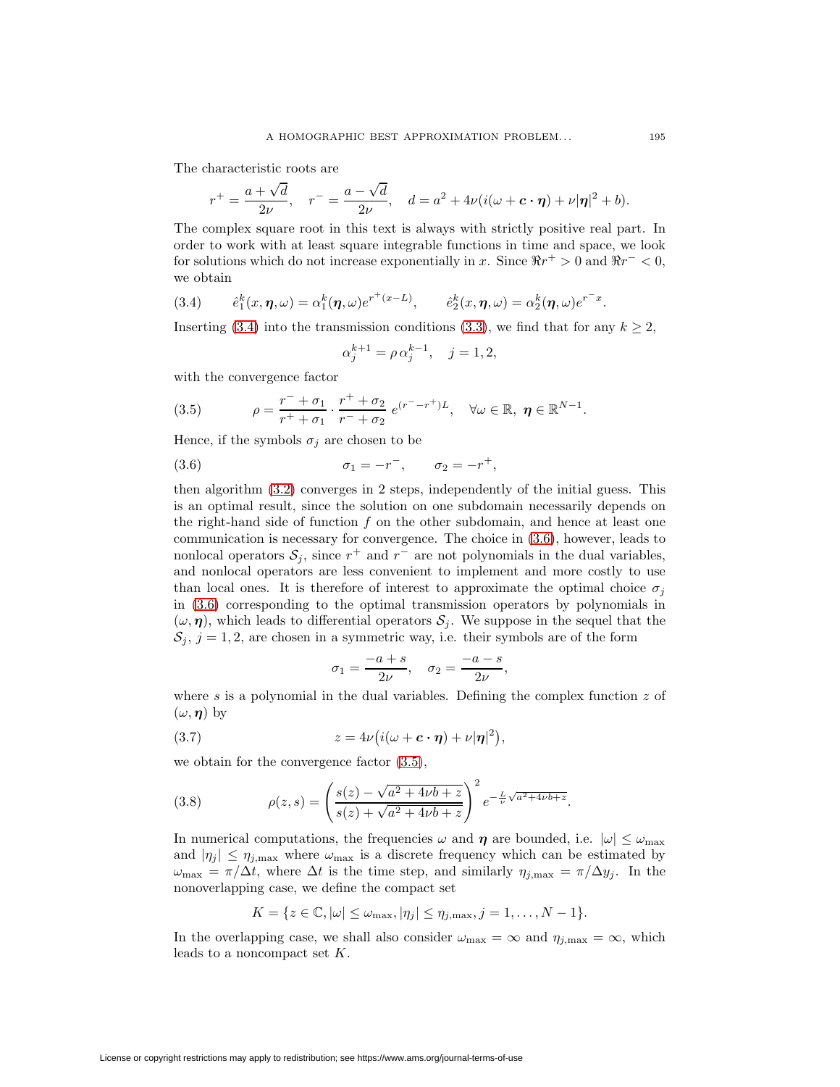The characteristic roots are

$$
r^+ = \frac{a + \sqrt{d}}{2\nu}, \quad r^- = \frac{a - \sqrt{d}}{2\nu}, \quad d = a^2 + 4\nu(i(\omega + c \cdot \eta) + \nu|\eta|^2 + b).
$$

The complex square root in this text is always with strictly positive real part. In order to work with at least square integrable functions in time and space, we look for solutions which do not increase exponentially in x. Since  $\Re r^+ > 0$  and  $\Re r^- < 0$ , we obtain

<span id="page-10-0"></span>(3.4) 
$$
\hat{e}_1^k(x, \eta, \omega) = \alpha_1^k(\eta, \omega)e^{r^+(x-L)}, \qquad \hat{e}_2^k(x, \eta, \omega) = \alpha_2^k(\eta, \omega)e^{r^-x}.
$$

Inserting [\(3.4\)](#page-10-0) into the transmission conditions [\(3.3\)](#page-9-1), we find that for any  $k \geq 2$ ,

<span id="page-10-1"></span>
$$
\alpha_j^{k+1} = \rho \, \alpha_j^{k-1}, \quad j = 1, 2,
$$

<span id="page-10-2"></span>with the convergence factor

(3.5) 
$$
\rho = \frac{r^- + \sigma_1}{r^+ + \sigma_1} \cdot \frac{r^+ + \sigma_2}{r^- + \sigma_2} e^{(r^- - r^+)L}, \quad \forall \omega \in \mathbb{R}, \ \eta \in \mathbb{R}^{N-1}.
$$

Hence, if the symbols  $\sigma_j$  are chosen to be

(3.6) 
$$
\sigma_1 = -r^-
$$
,  $\sigma_2 = -r^+$ ,

then algorithm [\(3.2\)](#page-9-2) converges in 2 steps, independently of the initial guess. This is an optimal result, since the solution on one subdomain necessarily depends on the right-hand side of function  $f$  on the other subdomain, and hence at least one communication is necessary for convergence. The choice in [\(3.6\)](#page-10-1), however, leads to nonlocal operators  $S_j$ , since  $r^+$  and  $r^-$  are not polynomials in the dual variables, and nonlocal operators are less convenient to implement and more costly to use than local ones. It is therefore of interest to approximate the optimal choice  $\sigma_i$ in [\(3.6\)](#page-10-1) corresponding to the optimal transmission operators by polynomials in  $(\omega, \eta)$ , which leads to differential operators  $S_i$ . We suppose in the sequel that the  $S_i$ ,  $j = 1, 2$ , are chosen in a symmetric way, i.e. their symbols are of the form

<span id="page-10-3"></span>
$$
\sigma_1 = \frac{-a+s}{2\nu}, \quad \sigma_2 = \frac{-a-s}{2\nu},
$$

where s is a polynomial in the dual variables. Defining the complex function  $z$  of  $(\omega, \eta)$  by

(3.7) 
$$
z = 4\nu \big( i(\omega + c \cdot \eta) + \nu |\eta|^2 \big),
$$

we obtain for the convergence factor [\(3.5\)](#page-10-2),

(3.8) 
$$
\rho(z,s) = \left(\frac{s(z) - \sqrt{a^2 + 4\nu b + z}}{s(z) + \sqrt{a^2 + 4\nu b + z}}\right)^2 e^{-\frac{L}{\nu}\sqrt{a^2 + 4\nu b + z}}.
$$

In numerical computations, the frequencies  $\omega$  and  $\eta$  are bounded, i.e.  $|\omega| \leq \omega_{\text{max}}$ and  $|\eta_j| \leq \eta_{j,\text{max}}$  where  $\omega_{\text{max}}$  is a discrete frequency which can be estimated by  $\omega_{\text{max}} = \pi/\Delta t$ , where  $\Delta t$  is the time step, and similarly  $\eta_{j,\text{max}} = \pi/\Delta y_j$ . In the nonoverlapping case, we define the compact set

$$
K = \{ z \in \mathbb{C}, |\omega| \leq \omega_{\max}, |\eta_j| \leq \eta_{j,\max}, j = 1, \dots, N - 1 \}.
$$

In the overlapping case, we shall also consider  $\omega_{\text{max}} = \infty$  and  $\eta_{j,\text{max}} = \infty$ , which leads to a noncompact set  $K$ .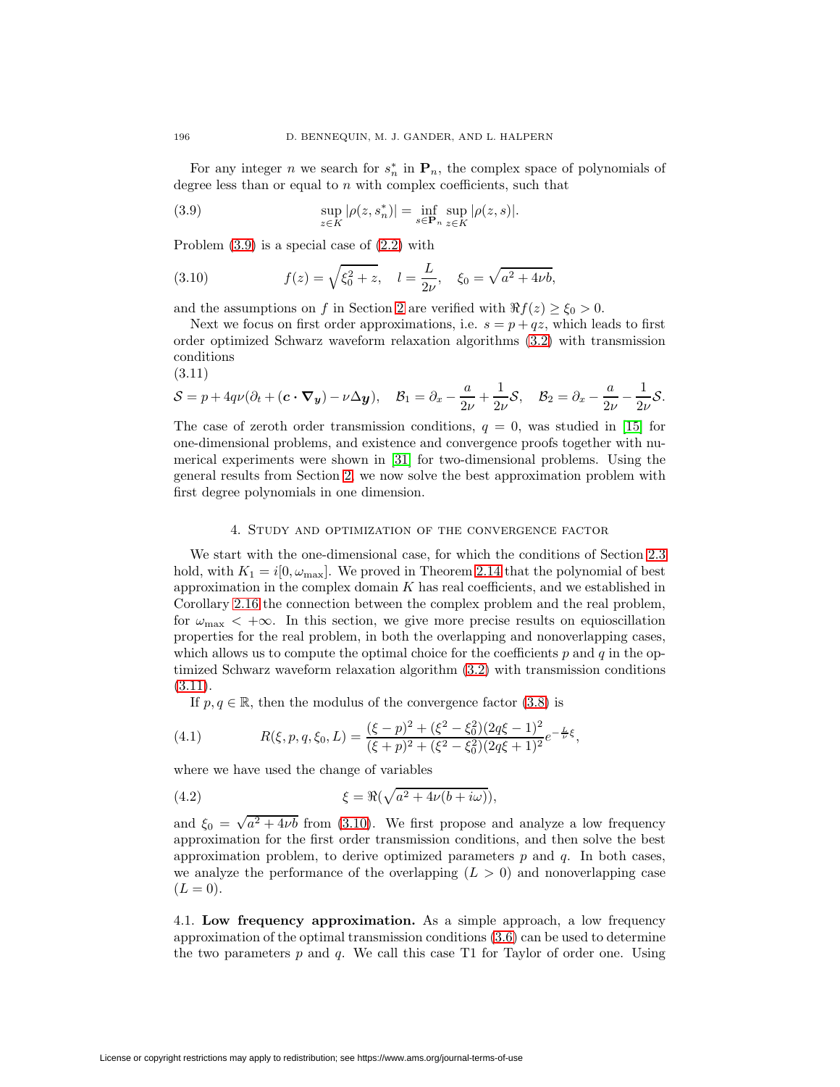<span id="page-11-1"></span>For any integer n we search for  $s_n^*$  in  $\mathbf{P}_n$ , the complex space of polynomials of degree less than or equal to  $n$  with complex coefficients, such that

(3.9) 
$$
\sup_{z \in K} |\rho(z, s_n^*)| = \inf_{s \in \mathbf{P}_n} \sup_{z \in K} |\rho(z, s)|.
$$

<span id="page-11-3"></span>Problem [\(3.9\)](#page-11-1) is a special case of [\(2.2\)](#page-1-0) with

(3.10) 
$$
f(z) = \sqrt{\xi_0^2 + z}, \quad l = \frac{L}{2\nu}, \quad \xi_0 = \sqrt{a^2 + 4\nu b},
$$

and the assumptions on f in Section [2](#page-1-5) are verified with  $\Re f(z) \ge \xi_0 > 0$ .

Next we focus on first order approximations, i.e.  $s = p + qz$ , which leads to first order optimized Schwarz waveform relaxation algorithms [\(3.2\)](#page-9-2) with transmission conditions

<span id="page-11-2"></span>(3.11)

$$
S = p + 4q\nu(\partial_t + (\mathbf{c} \cdot \nabla_y) - \nu \Delta y), \quad \mathcal{B}_1 = \partial_x - \frac{a}{2\nu} + \frac{1}{2\nu} \mathcal{S}, \quad \mathcal{B}_2 = \partial_x - \frac{a}{2\nu} - \frac{1}{2\nu} \mathcal{S}.
$$

The case of zeroth order transmission conditions,  $q = 0$ , was studied in [\[15\]](#page-37-12) for one-dimensional problems, and existence and convergence proofs together with numerical experiments were shown in [\[31\]](#page-38-0) for two-dimensional problems. Using the general results from Section [2,](#page-1-5) we now solve the best approximation problem with first degree polynomials in one dimension.

### 4. Study and optimization of the convergence factor

<span id="page-11-0"></span>We start with the one-dimensional case, for which the conditions of Section [2.3](#page-7-5) hold, with  $K_1 = i[0, \omega_{\text{max}}]$ . We proved in Theorem [2.14](#page-7-3) that the polynomial of best approximation in the complex domain  $K$  has real coefficients, and we established in Corollary [2.16](#page-7-6) the connection between the complex problem and the real problem, for  $\omega_{\text{max}} < +\infty$ . In this section, we give more precise results on equioscillation properties for the real problem, in both the overlapping and nonoverlapping cases, which allows us to compute the optimal choice for the coefficients  $p$  and  $q$  in the optimized Schwarz waveform relaxation algorithm [\(3.2\)](#page-9-2) with transmission conditions  $(3.11).$  $(3.11).$ 

<span id="page-11-5"></span><span id="page-11-4"></span>If  $p, q \in \mathbb{R}$ , then the modulus of the convergence factor [\(3.8\)](#page-10-3) is

(4.1) 
$$
R(\xi, p, q, \xi_0, L) = \frac{(\xi - p)^2 + (\xi^2 - \xi_0^2)(2q\xi - 1)^2}{(\xi + p)^2 + (\xi^2 - \xi_0^2)(2q\xi + 1)^2}e^{-\frac{L}{\nu}\xi},
$$

where we have used the change of variables

(4.2) 
$$
\xi = \Re(\sqrt{a^2 + 4\nu(b + i\omega)}),
$$

and  $\xi_0 = \sqrt{a^2 + 4\nu b}$  from [\(3.10\)](#page-11-3). We first propose and analyze a low frequency approximation for the first order transmission conditions, and then solve the best approximation problem, to derive optimized parameters  $p$  and  $q$ . In both cases, we analyze the performance of the overlapping  $(L > 0)$  and nonoverlapping case  $(L = 0).$ 

4.1. **Low frequency approximation.** As a simple approach, a low frequency approximation of the optimal transmission conditions [\(3.6\)](#page-10-1) can be used to determine the two parameters  $p$  and  $q$ . We call this case T1 for Taylor of order one. Using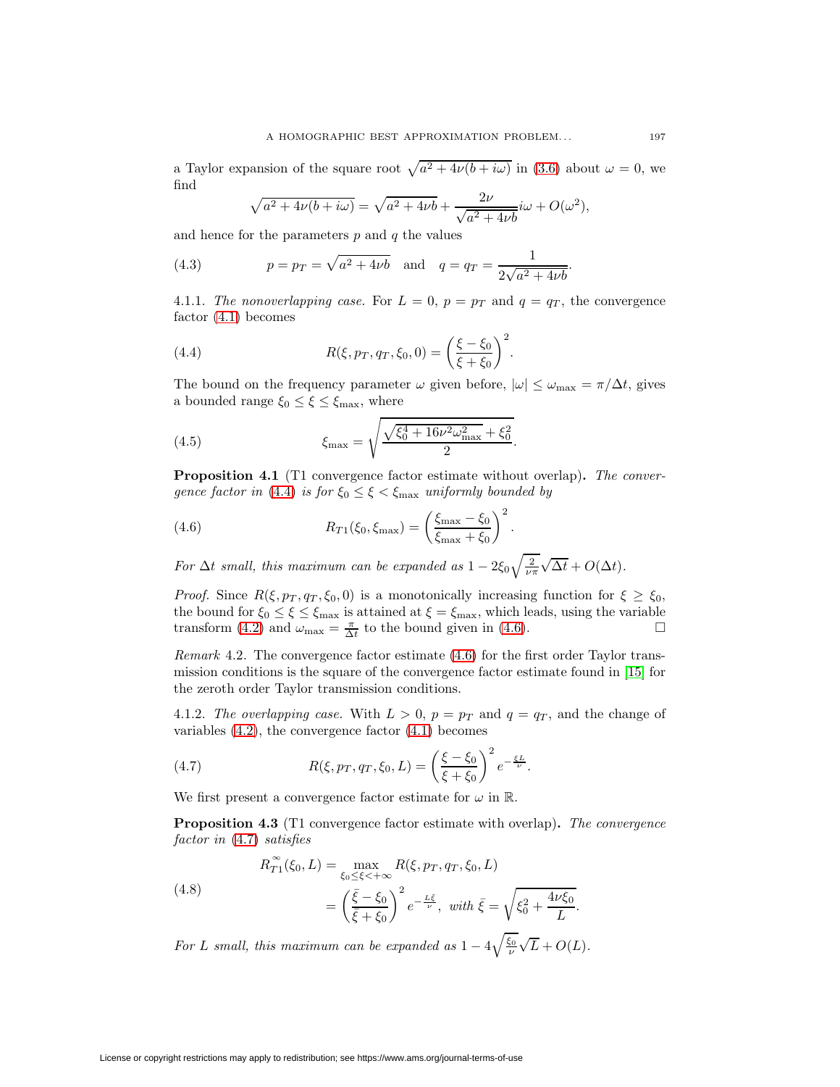a Taylor expansion of the square root  $\sqrt{a^2 + 4\nu(b + i\omega)}$  in [\(3.6\)](#page-10-1) about  $\omega = 0$ , we find

$$
\sqrt{a^2 + 4\nu(b + i\omega)} = \sqrt{a^2 + 4\nu b} + \frac{2\nu}{\sqrt{a^2 + 4\nu b}} i\omega + O(\omega^2),
$$

and hence for the parameters  $p$  and  $q$  the values

(4.3) 
$$
p = p_T = \sqrt{a^2 + 4\nu b}
$$
 and  $q = q_T = \frac{1}{2\sqrt{a^2 + 4\nu b}}$ 

<span id="page-12-1"></span><span id="page-12-0"></span>4.1.1. The nonoverlapping case. For  $L = 0$ ,  $p = p<sub>T</sub>$  and  $q = q<sub>T</sub>$ , the convergence factor [\(4.1\)](#page-11-4) becomes

(4.4) 
$$
R(\xi, p_T, q_T, \xi_0, 0) = \left(\frac{\xi - \xi_0}{\xi + \xi_0}\right)^2.
$$

<span id="page-12-5"></span>The bound on the frequency parameter  $\omega$  given before,  $|\omega| \leq \omega_{\text{max}} = \pi/\Delta t$ , gives a bounded range  $\xi_0 \leq \xi \leq \xi_{\text{max}}$ , where

(4.5) 
$$
\xi_{\text{max}} = \sqrt{\frac{\sqrt{\xi_0^4 + 16\nu^2 \omega_{\text{max}}^2 + \xi_0^2}}{2}}.
$$

<span id="page-12-2"></span>**Proposition 4.1** (T1 convergence factor estimate without overlap)**.** The conver-gence factor in [\(4.4\)](#page-12-1) is for  $\xi_0 \leq \xi < \xi_{\text{max}}$  uniformly bounded by

(4.6) 
$$
R_{T1}(\xi_0, \xi_{\max}) = \left(\frac{\xi_{\max} - \xi_0}{\xi_{\max} + \xi_0}\right)^2.
$$

For  $\Delta t$  small, this maximum can be expanded as  $1-2\xi_0\sqrt{\frac{2}{\nu\pi}}$ √  $\Delta t + O(\Delta t)$ .

*Proof.* Since  $R(\xi, p_T, q_T, \xi_0, 0)$  is a monotonically increasing function for  $\xi \geq \xi_0$ , the bound for  $\xi_0 \leq \xi \leq \xi_{\text{max}}$  is attained at  $\xi = \xi_{\text{max}}$ , which leads, using the variable transform [\(4.2\)](#page-11-5) and  $\omega_{\text{max}} = \frac{\pi}{\Delta t}$  to the bound given in [\(4.6\)](#page-12-2).

Remark 4.2. The convergence factor estimate [\(4.6\)](#page-12-2) for the first order Taylor transmission conditions is the square of the convergence factor estimate found in [\[15\]](#page-37-12) for the zeroth order Taylor transmission conditions.

<span id="page-12-3"></span>4.1.2. The overlapping case. With  $L > 0$ ,  $p = p<sub>T</sub>$  and  $q = q<sub>T</sub>$ , and the change of variables [\(4.2\)](#page-11-5), the convergence factor [\(4.1\)](#page-11-4) becomes

(4.7) 
$$
R(\xi, p_T, q_T, \xi_0, L) = \left(\frac{\xi - \xi_0}{\xi + \xi_0}\right)^2 e^{-\frac{\xi L}{\nu}}.
$$

We first present a convergence factor estimate for  $\omega$  in  $\mathbb{R}$ .

<span id="page-12-4"></span>**Proposition 4.3** (T1 convergence factor estimate with overlap)**.** The convergence factor in  $(4.7)$  satisfies

(4.8) 
$$
R_{T1}^{\infty}(\xi_0, L) = \max_{\xi_0 \le \xi < +\infty} R(\xi, p_T, q_T, \xi_0, L)
$$

$$
= \left(\frac{\bar{\xi} - \xi_0}{\bar{\xi} + \xi_0}\right)^2 e^{-\frac{L\bar{\xi}}{\bar{\nu}}}, \ \ \text{with } \bar{\xi} = \sqrt{\xi_0^2 + \frac{4\nu\xi_0}{L}}.
$$

For L small, this maximum can be expanded as  $1-4\sqrt{\frac{\xi_0}{\nu}}$ √  $L + O(L)$ .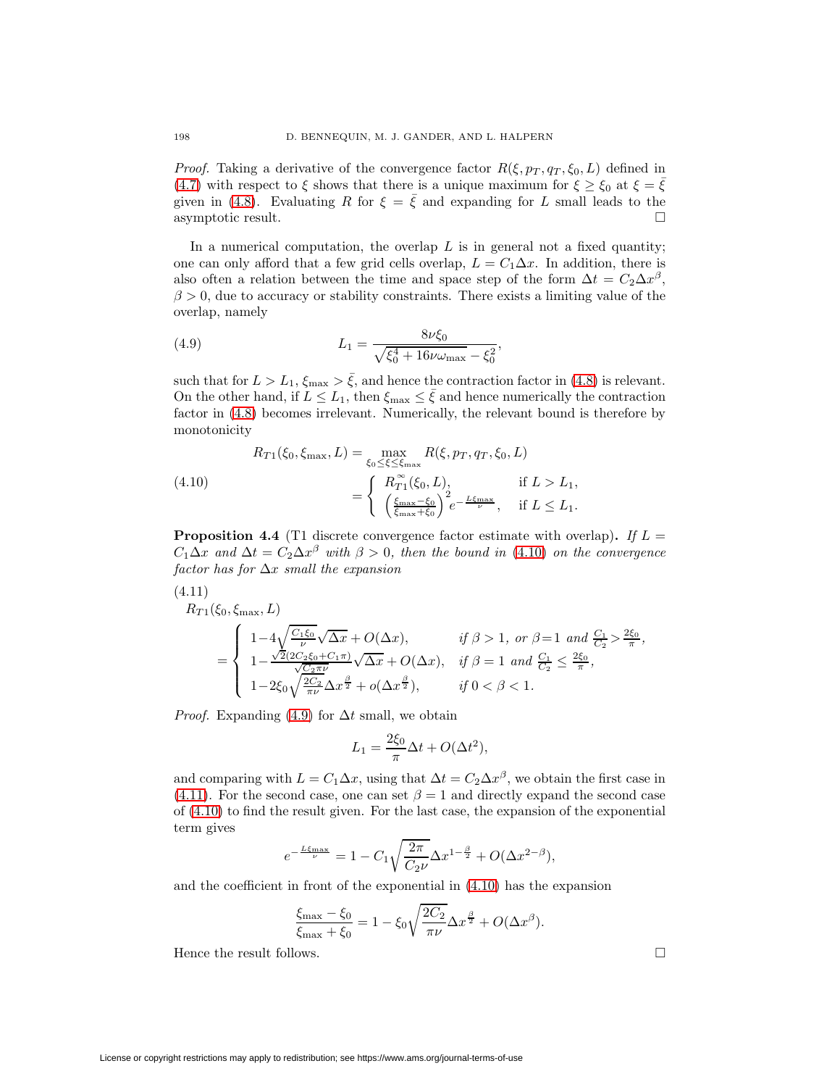*Proof.* Taking a derivative of the convergence factor  $R(\xi, p_T, q_T, \xi_0, L)$  defined in [\(4.7\)](#page-12-3) with respect to  $\xi$  shows that there is a unique maximum for  $\xi \geq \xi_0$  at  $\xi = \overline{\xi}$ given in [\(4.8\)](#page-12-4). Evaluating R for  $\xi = \bar{\xi}$  and expanding for L small leads to the asymptotic result.

In a numerical computation, the overlap  $L$  is in general not a fixed quantity; one can only afford that a few grid cells overlap,  $L = C_1 \Delta x$ . In addition, there is also often a relation between the time and space step of the form  $\Delta t = C_2 \Delta x^{\beta}$ ,  $\beta > 0$ , due to accuracy or stability constraints. There exists a limiting value of the overlap, namely

<span id="page-13-1"></span>(4.9) 
$$
L_1 = \frac{8\nu\xi_0}{\sqrt{\xi_0^4 + 16\nu\omega_{\text{max}}} - \xi_0^2}
$$

such that for  $L > L_1$ ,  $\xi_{\text{max}} > \bar{\xi}$ , and hence the contraction factor in [\(4.8\)](#page-12-4) is relevant. On the other hand, if  $L \leq L_1$ , then  $\xi_{\text{max}} \leq \bar{\xi}$  and hence numerically the contraction factor in [\(4.8\)](#page-12-4) becomes irrelevant. Numerically, the relevant bound is therefore by monotonicity

,

<span id="page-13-0"></span>(4.10)  

$$
R_{T1}(\xi_0, \xi_{\max}, L) = \max_{\xi_0 \le \xi \le \xi_{\max}} R(\xi, p_T, q_T, \xi_0, L)
$$

$$
= \begin{cases} R_{T1}^{\infty}(\xi_0, L), & \text{if } L > L_1, \\ \left(\frac{\xi_{\max} - \xi_0}{\xi_{\max} + \xi_0}\right)^2 e^{-\frac{L\xi_{\max}}{\nu}}, & \text{if } L \le L_1. \end{cases}
$$

<span id="page-13-3"></span>**Proposition 4.4** (T1 discrete convergence factor estimate with overlap). If  $L =$  $C_1\Delta x$  and  $\Delta t = C_2\Delta x^{\beta}$  with  $\beta > 0$ , then the bound in [\(4.10\)](#page-13-0) on the convergence factor has for  $\Delta x$  small the expansion

$$
(4.11)
$$

<span id="page-13-2"></span>
$$
R_{T1}(\xi_0, \xi_{\max}, L)
$$
\n
$$
= \begin{cases}\n1 - 4\sqrt{\frac{C_1 \xi_0}{\nu}} \sqrt{\Delta x} + O(\Delta x), & \text{if } \beta > 1, \text{ or } \beta = 1 \text{ and } \frac{C_1}{C_2} > \frac{2\xi_0}{\pi}, \\
1 - \frac{\sqrt{2}(2C_2 \xi_0 + C_1 \pi)}{\sqrt{C_2 \pi \nu}} \sqrt{\Delta x} + O(\Delta x), & \text{if } \beta = 1 \text{ and } \frac{C_1}{C_2} \le \frac{2\xi_0}{\pi}, \\
1 - 2\xi_0 \sqrt{\frac{2C_2}{\pi \nu}} \Delta x^{\frac{\beta}{2}} + o(\Delta x^{\frac{\beta}{2}}), & \text{if } 0 < \beta < 1.\n\end{cases}
$$

*Proof.* Expanding [\(4.9\)](#page-13-1) for  $\Delta t$  small, we obtain

$$
L_1 = \frac{2\xi_0}{\pi} \Delta t + O(\Delta t^2),
$$

and comparing with  $L = C_1 \Delta x$ , using that  $\Delta t = C_2 \Delta x^{\beta}$ , we obtain the first case in [\(4.11\)](#page-13-2). For the second case, one can set  $\beta = 1$  and directly expand the second case of [\(4.10\)](#page-13-0) to find the result given. For the last case, the expansion of the exponential term gives

$$
e^{-\frac{L\xi_{\max}}{\nu}}=1-C_1\sqrt{\frac{2\pi}{C_2\nu}}\Delta x^{1-\frac{\beta}{2}}+O(\Delta x^{2-\beta}),
$$

and the coefficient in front of the exponential in [\(4.10\)](#page-13-0) has the expansion

$$
\frac{\xi_{\text{max}} - \xi_0}{\xi_{\text{max}} + \xi_0} = 1 - \xi_0 \sqrt{\frac{2C_2}{\pi \nu}} \Delta x^{\frac{\beta}{2}} + O(\Delta x^{\beta}).
$$

Hence the result follows.  $\Box$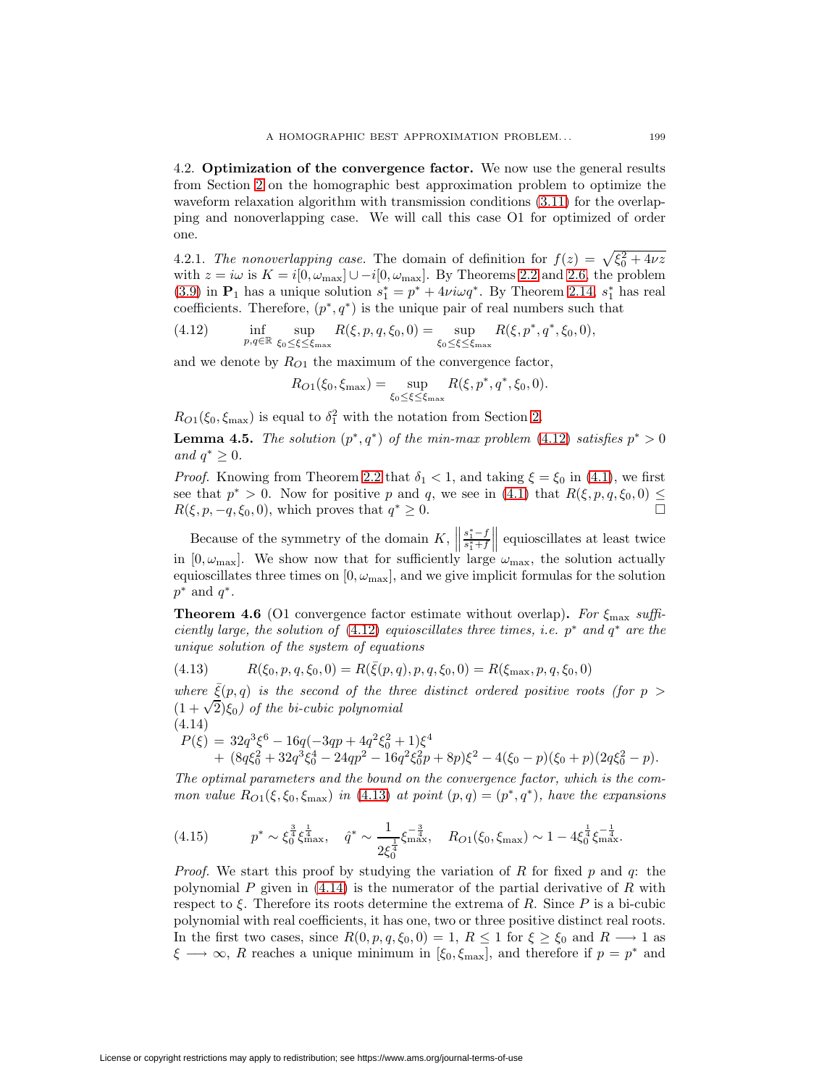4.2. **Optimization of the convergence factor.** We now use the general results from Section [2](#page-1-5) on the homographic best approximation problem to optimize the waveform relaxation algorithm with transmission conditions  $(3.11)$  for the overlapping and nonoverlapping case. We will call this case O1 for optimized of order one.

4.2.1. The nonoverlapping case. The domain of definition for  $f(z) = \sqrt{\xi_0^2 + 4\nu z}$ with  $z = i\omega$  is  $K = i[0, \omega_{\text{max}}] \cup -i[0, \omega_{\text{max}}]$ . By Theorems [2.2](#page-1-3) and [2.6,](#page-4-0) the problem [\(3.9\)](#page-11-1) in  $\mathbf{P}_1$  has a unique solution  $s_1^* = p^* + 4\nu i\omega q^*$ . By Theorem [2.14,](#page-7-3)  $s_1^*$  has real coefficients. Therefore,  $(p^*, q^*)$  is the unique pair of real numbers such that

(4.12)  $\inf_{p,q \in \mathbb{R}} \sup_{\xi_0 \leq \xi \leq \xi_{\text{max}}}$  $R(\xi, p, q, \xi_0, 0) = \sup$ ξ0≤ξ≤ξmax  $R(\xi, p^*, q^*, \xi_0, 0),$ 

and we denote by  $R_{O1}$  the maximum of the convergence factor,

<span id="page-14-0"></span>
$$
R_{O1}(\xi_0, \xi_{\max}) = \sup_{\xi_0 \le \xi \le \xi_{\max}} R(\xi, p^*, q^*, \xi_0, 0).
$$

 $R_{O1}(\xi_0, \xi_{\text{max}})$  is equal to  $\delta_1^2$  with the notation from Section [2.](#page-1-5)

**Lemma 4.5.** The solution  $(p^*, q^*)$  of the min-max problem [\(4.12\)](#page-14-0) satisfies  $p^* > 0$ and  $q^* \geq 0$ .

*Proof.* Knowing from Theorem [2.2](#page-1-3) that  $\delta_1 < 1$ , and taking  $\xi = \xi_0$  in [\(4.1\)](#page-11-4), we first see that  $p^* > 0$ . Now for positive p and q, we see in [\(4.1\)](#page-11-4) that  $R(\xi, p, q, \xi_0, 0) \leq$  $R(\xi, p, -q, \xi_0, 0)$ , which proves that  $q^* \geq 0$ .

Because of the symmetry of the domain  $K$ ,  $\parallel$  $\frac{s_1^* - f}{s_1^* + f}$  $\parallel$  equioscillates at least twice in  $[0, \omega_{\text{max}}]$ . We show now that for sufficiently large  $\omega_{\text{max}}$ , the solution actually equioscillates three times on  $[0, \omega_{\text{max}}]$ , and we give implicit formulas for the solution  $p^*$  and  $q^*$ .

<span id="page-14-3"></span>**Theorem 4.6** (O1 convergence factor estimate without overlap). For  $\xi_{\text{max}}$  suffi-ciently large, the solution of [\(4.12\)](#page-14-0) equioscillates three times, i.e.  $p^*$  and  $q^*$  are the unique solution of the system of equations

<span id="page-14-1"></span>(4.13) 
$$
R(\xi_0, p, q, \xi_0, 0) = R(\bar{\xi}(p, q), p, q, \xi_0, 0) = R(\xi_{\text{max}}, p, q, \xi_0, 0)
$$

where  $\xi(p,q)$  is the second of the three distinct ordered positive roots (for  $p >$  $(1 + \sqrt{2})\xi_0$ ) of the bi-cubic polynomial (4.14)

<span id="page-14-2"></span>
$$
P(\xi) = 32q^3\xi^6 - 16q(-3qp + 4q^2\xi_0^2 + 1)\xi^4
$$
  
+  $(8q\xi_0^2 + 32q^3\xi_0^4 - 24qp^2 - 16q^2\xi_0^2p + 8p)\xi^2 - 4(\xi_0 - p)(\xi_0 + p)(2q\xi_0^2 - p).$ 

The optimal parameters and the bound on the convergence factor, which is the common value  $R_{O1}(\xi,\xi_0,\xi_{\text{max}})$  in [\(4.13\)](#page-14-1) at point  $(p,q)=(p^*,q^*)$ , have the expansions

<span id="page-14-4"></span>(4.15) 
$$
p^* \sim \xi_0^{\frac{3}{4}} \xi_{\text{max}}^{\frac{1}{4}}, \quad \hat{q}^* \sim \frac{1}{2\xi_0^{\frac{1}{4}}} \xi_{\text{max}}^{-\frac{3}{4}}, \quad R_{O1}(\xi_0, \xi_{\text{max}}) \sim 1 - 4\xi_0^{\frac{1}{4}} \xi_{\text{max}}^{-\frac{1}{4}}.
$$

*Proof.* We start this proof by studying the variation of R for fixed p and q: the polynomial P given in  $(4.14)$  is the numerator of the partial derivative of R with respect to  $\xi$ . Therefore its roots determine the extrema of R. Since P is a bi-cubic polynomial with real coefficients, it has one, two or three positive distinct real roots. In the first two cases, since  $R(0, p, q, \xi_0, 0) = 1, R \le 1$  for  $\xi \ge \xi_0$  and  $R \longrightarrow 1$  as  $\xi \longrightarrow \infty$ , R reaches a unique minimum in [ $\xi_0, \xi_{\text{max}}$ ], and therefore if  $p = p^*$  and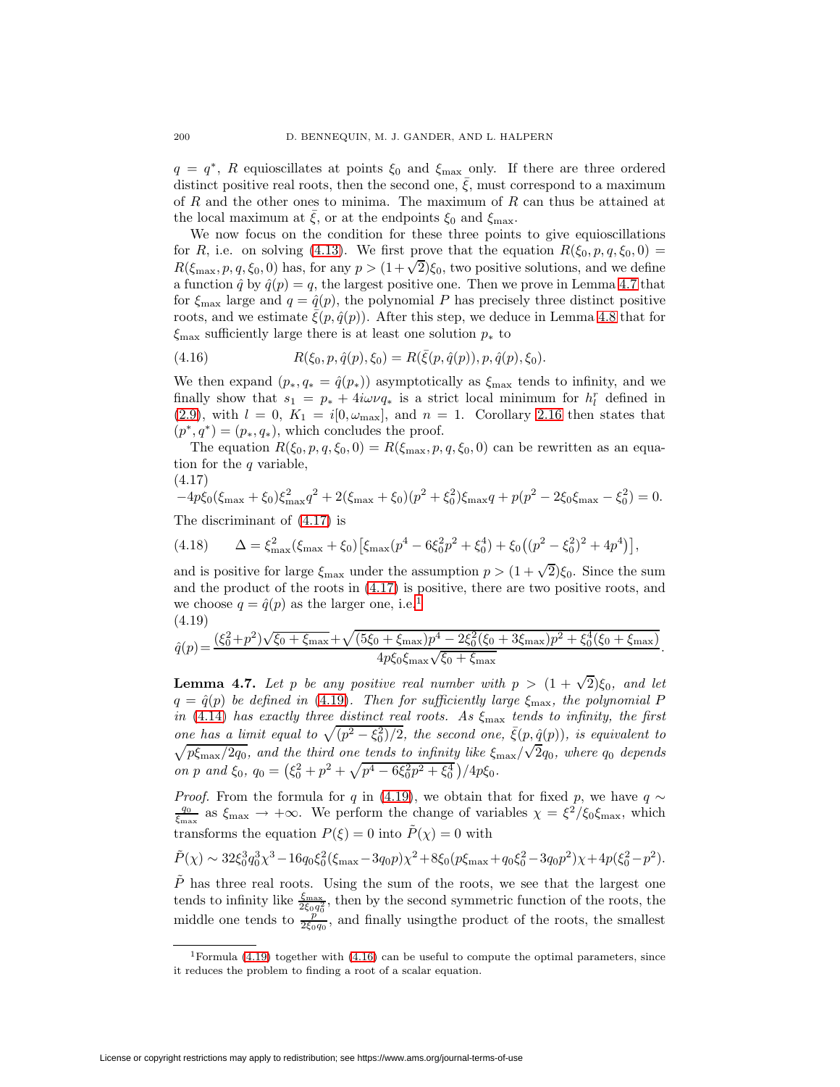$q = q^*$ , R equioscillates at points  $\xi_0$  and  $\xi_{\text{max}}$  only. If there are three ordered distinct positive real roots, then the second one,  $\overline{\xi}$ , must correspond to a maximum of R and the other ones to minima. The maximum of R can thus be attained at the local maximum at  $\bar{\xi}$ , or at the endpoints  $\xi_0$  and  $\xi_{\text{max}}$ .

We now focus on the condition for these three points to give equioscillations for R, i.e. on solving [\(4.13\)](#page-14-1). We first prove that the equation  $R(\xi_0, p, q, \xi_0, 0) =$  $R(\xi_{\text{max}},p,q,\xi_0,0)$  has, for any  $p > (1+\sqrt{2})\xi_0$ , two positive solutions, and we define a function  $\hat{q}$  by  $\hat{q}(p) = q$ , the largest positive one. Then we prove in Lemma [4.7](#page-15-0) that for  $\xi_{\text{max}}$  large and  $q = \hat{q}(p)$ , the polynomial P has precisely three distinct positive roots, and we estimate  $\bar{\xi}(p, \hat{q}(p))$ . After this step, we deduce in Lemma [4.8](#page-16-0) that for  $\xi_{\text{max}}$  sufficiently large there is at least one solution  $p_*$  to

<span id="page-15-4"></span>(4.16) 
$$
R(\xi_0, p, \hat{q}(p), \xi_0) = R(\bar{\xi}(p, \hat{q}(p)), p, \hat{q}(p), \xi_0).
$$

We then expand  $(p_*, q_* = \hat{q}(p_*))$  asymptotically as  $\xi_{\text{max}}$  tends to infinity, and we finally show that  $s_1 = p_* + 4i\omega \nu q_*$  is a strict local minimum for  $h_l^r$  defined in [\(2.9\)](#page-7-7), with  $l = 0$ ,  $K_1 = i[0, \omega_{\text{max}}]$ , and  $n = 1$ . Corollary [2.16](#page-7-6) then states that  $(p^*, q^*)=(p_*, q_*),$  which concludes the proof.

<span id="page-15-1"></span>The equation  $R(\xi_0, p, q, \xi_0, 0) = R(\xi_{\text{max}}, p, q, \xi_0, 0)$  can be rewritten as an equation for the  $q$  variable,

$$
(4.17)
$$

 $-4p\xi_0(\xi_{\text{max}} + \xi_0)\xi_{\text{max}}^2 q^2 + 2(\xi_{\text{max}} + \xi_0)(p^2 + \xi_0^2)\xi_{\text{max}} q + p(p^2 - 2\xi_0\xi_{\text{max}} - \xi_0^2) = 0.$ The discriminant of [\(4.17\)](#page-15-1) is

<span id="page-15-5"></span>(4.18) 
$$
\Delta = \xi_{\text{max}}^2 (\xi_{\text{max}} + \xi_0) \left[ \xi_{\text{max}} (p^4 - 6\xi_0^2 p^2 + \xi_0^4) + \xi_0 \left( (p^2 - \xi_0^2)^2 + 4p^4 \right) \right],
$$

and is positive for large  $\xi_{\text{max}}$  under the assumption  $p > (1 + \sqrt{2})\xi_0$ . Since the sum and the product of the roots in [\(4.17\)](#page-15-1) is positive, there are two positive roots, and we choose  $q = \hat{q}(p)$  as the larger one, i.e.<sup>[1](#page-15-2)</sup> (4.19)

<span id="page-15-3"></span>
$$
\hat{q}(p) = \frac{(\xi_0^2 + p^2)\sqrt{\xi_0 + \xi_{\text{max}}} + \sqrt{(5\xi_0 + \xi_{\text{max}})p^4 - 2\xi_0^2(\xi_0 + 3\xi_{\text{max}})p^2 + \xi_0^4(\xi_0 + \xi_{\text{max}})}{4p\xi_0\xi_{\text{max}}\sqrt{\xi_0 + \xi_{\text{max}}}}
$$

.

<span id="page-15-0"></span>**Lemma 4.7.** Let p be any positive real number with  $p > (1 + \sqrt{2})\xi_0$ , and let  $q = \hat{q}(p)$  be defined in [\(4.19\)](#page-15-3). Then for sufficiently large  $\xi_{\text{max}}$ , the polynomial P in [\(4.14\)](#page-14-2) has exactly three distinct real roots. As  $\xi_{\text{max}}$  tends to infinity, the first one has a limit equal to  $\sqrt{(p^2 - \xi_0^2)/2}$ , the second one,  $\bar{\xi}(p, \hat{q}(p))$ , is equivalent to  $\sqrt{p \xi_{\text{max}}/2q_0}$ , and the third one tends to infinity like  $\xi_{\text{max}}/\sqrt{2q_0}$ , where  $q_0$  depends  $p \xi_{\rm max}/2 q_0$ , and the third one tends to infinity like  $\zeta_{\rm max}/\sqrt{2} q_0$ , where  $q_0$  depends on p and  $\xi_0$ ,  $q_0 = (\xi_0^2 + p^2 + \sqrt{p^4 - 6\xi_0^2 p^2 + \xi_0^4})/4p\xi_0$ .

*Proof.* From the formula for q in [\(4.19\)](#page-15-3), we obtain that for fixed p, we have  $q \sim$  $\frac{q_0}{\xi_{\text{max}}}$  as  $\xi_{\text{max}} \to +\infty$ . We perform the change of variables  $\chi = \xi^2/\xi_0 \xi_{\text{max}}$ , which transforms the equation  $P(\xi) = 0$  into  $P(\chi) = 0$  with

$$
\tilde{P}(\chi) \sim 32 \xi_0^3 q_0^3 \chi^3 - 16 q_0 \xi_0^2 (\xi_{\text{max}} - 3q_0 p) \chi^2 + 8 \xi_0 (p \xi_{\text{max}} + q_0 \xi_0^2 - 3q_0 p^2) \chi + 4p(\xi_0^2 - p^2).
$$

 $P$  has three real roots. Using the sum of the roots, we see that the largest one tends to infinity like  $\frac{\xi_{\text{max}}}{2\xi_0q_0^2}$ , then by the second symmetric function of the roots, the middle one tends to  $\frac{p}{2\xi_0q_0}$ , and finally using the product of the roots, the smallest

<span id="page-15-2"></span><sup>&</sup>lt;sup>1</sup>Formula [\(4.19\)](#page-15-3) together with [\(4.16\)](#page-15-4) can be useful to compute the optimal parameters, since it reduces the problem to finding a root of a scalar equation.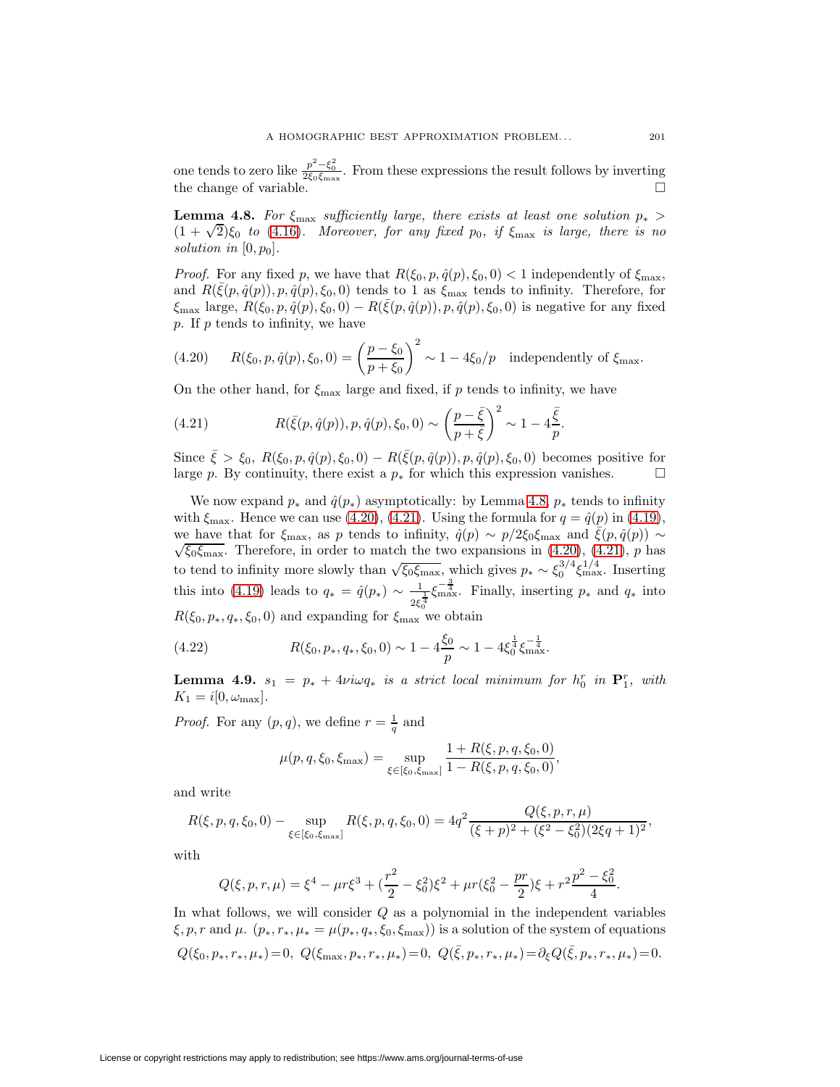one tends to zero like  $\frac{p^2-\xi_0^2}{2\xi_0\xi_{\max}}$ . From these expressions the result follows by inverting the change of variable.  $\Box$ 

<span id="page-16-0"></span>**Lemma 4.8.** For  $\xi_{\text{max}}$  sufficiently large, there exists at least one solution  $p_*$  $(1 + \sqrt{2})\xi_0$  to [\(4.16\)](#page-15-4). Moreover, for any fixed p<sub>0</sub>, if  $\xi_{\text{max}}$  is large, there is no solution in  $[0, p_0]$ .

*Proof.* For any fixed p, we have that  $R(\xi_0, p, \hat{q}(p), \xi_0, 0) < 1$  independently of  $\xi_{\text{max}}$ , and  $R(\bar{\xi}(p,\hat{q}(p)),p,\hat{q}(p),\xi_0,0)$  tends to 1 as  $\xi_{\text{max}}$  tends to infinity. Therefore, for  $\xi_{\text{max}}$  large,  $R(\xi_0, p, \hat{q}(p), \xi_0, 0) - R(\bar{\xi}(p, \hat{q}(p)), p, \hat{q}(p), \xi_0, 0)$  is negative for any fixed  $p.$  If  $p$  tends to infinity, we have

<span id="page-16-1"></span>(4.20) 
$$
R(\xi_0, p, \hat{q}(p), \xi_0, 0) = \left(\frac{p - \xi_0}{p + \xi_0}\right)^2 \sim 1 - 4\xi_0/p \text{ independently of } \xi_{\text{max}}.
$$

On the other hand, for  $\xi_{\text{max}}$  large and fixed, if p tends to infinity, we have

<span id="page-16-2"></span>(4.21) 
$$
R(\bar{\xi}(p,\hat{q}(p)),p,\hat{q}(p),\xi_0,0) \sim \left(\frac{p-\bar{\xi}}{p+\bar{\xi}}\right)^2 \sim 1 - 4\frac{\bar{\xi}}{p}.
$$

Since  $\bar{\xi} > \xi_0$ ,  $R(\xi_0, p, \hat{q}(p), \xi_0, 0) - R(\bar{\xi}(p, \hat{q}(p)), p, \hat{q}(p), \xi_0, 0)$  becomes positive for large *p*. By continuity, there exist a  $p_*$  for which this expression vanishes.  $□$ 

We now expand  $p_*$  and  $\hat{q}(p_*)$  asymptotically: by Lemma [4.8,](#page-16-0)  $p_*$  tends to infinity with  $\xi_{\text{max}}$ . Hence we can use [\(4.20\)](#page-16-1), [\(4.21\)](#page-16-2). Using the formula for  $q = \hat{q}(p)$  in [\(4.19\)](#page-15-3), we have that for  $\xi_{\text{max}}$ , as p tends to infinity,  $\hat{q}(p) \sim p/2\xi_0\xi_{\text{max}}$  and  $\xi(p, \hat{q}(p)) \sim \sqrt{\xi_0\xi_{\text{max}}}$ . Therefore, in order to match the two expansions in [\(4.20\)](#page-16-1), [\(4.21\)](#page-16-2), p has to tend to infinity more slowly than  $\sqrt{\xi_0 \xi_{\text{max}}}$ , which gives  $p_* \sim \xi_0^{3/4} \xi_{\text{max}}^{1/4}$ . Inserting this into [\(4.19\)](#page-15-3) leads to  $q_* = \hat{q}(p_*) \sim \frac{1}{2\xi_0^{\frac{1}{4}}}$  $\xi_{\text{max}}^{-\frac{3}{4}}$ . Finally, inserting  $p_*$  and  $q_*$  into  $R(\xi_0, p_*, q_*, \xi_0, 0)$  and expanding for  $\xi_{\text{max}}$  we obtain

(4.22) 
$$
R(\xi_0, p_*, q_*, \xi_0, 0) \sim 1 - 4 \frac{\xi_0}{p} \sim 1 - 4 \xi_0^{\frac{1}{4}} \xi_{\max}^{-\frac{1}{4}}.
$$

**Lemma 4.9.**  $s_1 = p_* + 4\nu i\omega q_*$  is a strict local minimum for  $h_0^r$  in  $\mathbf{P}_1^r$ , with  $K_1 = i[0, \omega_{\text{max}}].$ 

*Proof.* For any  $(p, q)$ , we define  $r = \frac{1}{q}$  and

<span id="page-16-3"></span>
$$
\mu(p,q,\xi_0,\xi_{\max}) = \sup_{\xi \in [\xi_0,\xi_{\max}]} \frac{1 + R(\xi,p,q,\xi_0,0)}{1 - R(\xi,p,q,\xi_0,0)},
$$

and write

$$
R(\xi, p, q, \xi_0, 0) - \sup_{\xi \in [\xi_0, \xi_{\text{max}}]} R(\xi, p, q, \xi_0, 0) = 4q^2 \frac{Q(\xi, p, r, \mu)}{(\xi + p)^2 + (\xi^2 - \xi_0^2)(2\xi q + 1)^2},
$$

with

$$
Q(\xi, p, r, \mu) = \xi^4 - \mu r \xi^3 + \left(\frac{r^2}{2} - \xi_0^2\right) \xi^2 + \mu r (\xi_0^2 - \frac{pr}{2}) \xi + r^2 \frac{p^2 - \xi_0^2}{4}.
$$

In what follows, we will consider  $Q$  as a polynomial in the independent variables  $\xi, p, r$  and  $\mu$ .  $(p_*, r_*, \mu_* = \mu(p_*, q_*, \xi_0, \xi_{\text{max}}))$  is a solution of the system of equations  $Q(\xi_0, p_*, r_*, \mu_*)=0, \ Q(\xi_{\max}, p_*, r_*, \mu_*)=0, \ Q(\bar{\xi}, p_*, r_*, \mu_*)=0 \in Q(\bar{\xi}, p_*, r_*, \mu_*)=0.$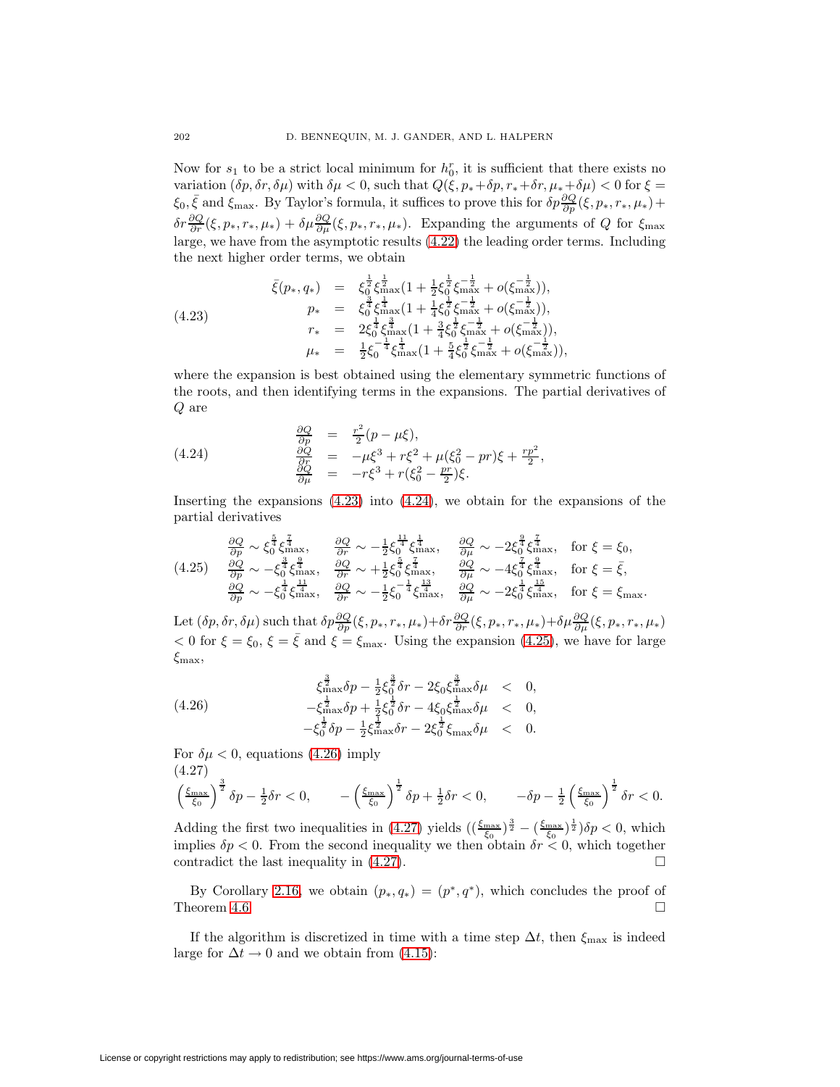Now for  $s_1$  to be a strict local minimum for  $h_0^r$ , it is sufficient that there exists no variation  $(\delta p, \delta r, \delta \mu)$  with  $\delta \mu < 0$ , such that  $Q(\xi, p_* + \delta p, r_* + \delta r, \mu_* + \delta \mu) < 0$  for  $\xi =$  $\xi_0$ ,  $\bar{\xi}$  and  $\xi_{\text{max}}$ . By Taylor's formula, it suffices to prove this for  $\delta p \frac{\partial Q}{\partial p}(\xi, p_*, r_*, \mu_*) +$  $\delta r \frac{\partial Q}{\partial r}(\xi, p_*, r_*, \mu_*) + \delta \mu \frac{\partial Q}{\partial \mu}(\xi, p_*, r_*, \mu_*).$  Expanding the arguments of Q for  $\xi_{\text{max}}$ large, we have from the asymptotic results [\(4.22\)](#page-16-3) the leading order terms. Including the next higher order terms, we obtain

<span id="page-17-0"></span>
$$
(4.23) \quad \begin{array}{rcl}\n\bar{\xi}(p_*, q_*) & = & \xi_0^{\frac{1}{2}} \xi_{\text{max}}^{\frac{1}{2}} (1 + \frac{1}{2} \xi_0^{\frac{1}{2}} \xi_{\text{max}}^{-\frac{1}{2}} + o(\xi_{\text{max}}^{-\frac{1}{2}})), \\
p_* & = & \xi_0^{\frac{3}{4}} \xi_{\text{max}}^{\frac{1}{4}} (1 + \frac{1}{4} \xi_0^{\frac{1}{2}} \xi_{\text{max}}^{-\frac{1}{2}} + o(\xi_{\text{max}}^{-\frac{1}{2}})), \\
r_* & = & 2 \xi_0^{\frac{1}{4}} \xi_{\text{max}}^{\frac{3}{4}} (1 + \frac{3}{4} \xi_0^{\frac{1}{2}} \xi_{\text{max}}^{-\frac{1}{2}} + o(\xi_{\text{max}}^{-\frac{1}{2}})), \\
\mu_* & = & \frac{1}{2} \xi_0^{-\frac{1}{4}} \xi_{\text{max}}^{\frac{1}{4}} (1 + \frac{5}{4} \xi_0^{\frac{1}{2}} \xi_{\text{max}}^{-\frac{1}{2}} + o(\xi_{\text{max}}^{-\frac{1}{2}})),\n\end{array}
$$

where the expansion is best obtained using the elementary symmetric functions of the roots, and then identifying terms in the expansions. The partial derivatives of Q are

<span id="page-17-1"></span>(4.24) 
$$
\begin{array}{rcl}\n\frac{\partial Q}{\partial p} & = & \frac{r^2}{2}(p - \mu\xi), \\
\frac{\partial Q}{\partial t} & = & -\mu\xi^3 + r\xi^2 + \mu(\xi_0^2 - pr)\xi + \frac{rp^2}{2}, \\
\frac{\partial Q}{\partial \mu} & = & -r\xi^3 + r(\xi_0^2 - \frac{pr}{2})\xi.\n\end{array}
$$

<span id="page-17-2"></span>Inserting the expansions [\(4.23\)](#page-17-0) into [\(4.24\)](#page-17-1), we obtain for the expansions of the partial derivatives

$$
(4.25) \quad \frac{\partial Q}{\partial p} \sim \xi_0^{\frac{5}{4}} \xi_{\text{max}}^{\frac{7}{4}}, \quad \frac{\partial Q}{\partial r} \sim -\frac{1}{2} \xi_0^{\frac{11}{4}} \xi_{\text{max}}^{\frac{1}{4}}, \quad \frac{\partial Q}{\partial \mu} \sim -2 \xi_0^{\frac{9}{4}} \xi_{\text{max}}^{\frac{7}{4}}, \quad \text{for } \xi = \xi_0,
$$
\n
$$
(4.25) \quad \frac{\partial Q}{\partial p} \sim -\xi_0^{\frac{3}{4}} \xi_{\text{max}}^{\frac{9}{4}}, \quad \frac{\partial Q}{\partial r} \sim +\frac{1}{2} \xi_0^{\frac{7}{4}} \xi_{\text{max}}^{\frac{7}{4}}, \quad \frac{\partial Q}{\partial \mu} \sim -4 \xi_0^{\frac{7}{4}} \xi_{\text{max}}^{\frac{9}{4}}, \quad \text{for } \xi = \bar{\xi},
$$
\n
$$
\frac{\partial Q}{\partial p} \sim -\xi_0^{\frac{1}{4}} \xi_{\text{max}}^{\frac{11}{4}}, \quad \frac{\partial Q}{\partial r} \sim -\frac{1}{2} \xi_0^{-\frac{1}{4}} \xi_{\text{max}}^{\frac{13}{4}}, \quad \frac{\partial Q}{\partial \mu} \sim -2 \xi_0^{\frac{1}{4}} \xi_{\text{max}}^{\frac{15}{4}}, \quad \text{for } \xi = \xi_{\text{max}}.
$$

Let  $(\delta p, \delta r, \delta \mu)$  such that  $\delta p \frac{\partial Q}{\partial p}(\xi, p_*, r_*, \mu_*) + \delta r \frac{\partial Q}{\partial r}(\xi, p_*, r_*, \mu_*) + \delta \mu \frac{\partial Q}{\partial \mu}(\xi, p_*, r_*, \mu_*)$  $< 0$  for  $\xi = \xi_0$ ,  $\xi = \bar{\xi}$  and  $\xi = \xi_{\text{max}}$ . Using the expansion [\(4.25\)](#page-17-2), we have for large  $\xi_{\text{max}}$ 

<span id="page-17-3"></span>(4.26) 
$$
\xi_{\max}^{\frac{3}{2}} \delta p - \frac{1}{2} \xi_0^{\frac{3}{2}} \delta r - 2 \xi_0 \xi_{\max}^{\frac{3}{2}} \delta \mu < 0, \n- \xi_{\max}^{\frac{1}{2}} \delta p + \frac{1}{2} \xi_0^{\frac{1}{2}} \delta r - 4 \xi_0 \xi_{\max}^{\frac{1}{2}} \delta \mu < 0, \n- \xi_0^{\frac{1}{2}} \delta p - \frac{1}{2} \xi_{\max}^{\frac{1}{2}} \delta r - 2 \xi_0^{\frac{1}{2}} \xi_{\max} \delta \mu < 0.
$$

<span id="page-17-4"></span>For  $\delta \mu < 0$ , equations [\(4.26\)](#page-17-3) imply (4.27)

$$
\left(\frac{\xi_{\max}}{\xi_0}\right)^{\frac{3}{2}}\delta p - \frac{1}{2}\delta r < 0, \qquad -\left(\frac{\xi_{\max}}{\xi_0}\right)^{\frac{1}{2}}\delta p + \frac{1}{2}\delta r < 0, \qquad -\delta p - \frac{1}{2}\left(\frac{\xi_{\max}}{\xi_0}\right)^{\frac{1}{2}}\delta r < 0.
$$

Adding the first two inequalities in [\(4.27\)](#page-17-4) yields  $(\frac{\xi_{\text{max}}}{\xi_0})^{\frac{3}{2}} - (\frac{\xi_{\text{max}}}{\xi_0})^{\frac{1}{2}})\delta p < 0$ , which implies  $\delta p < 0$ . From the second inequality we then obtain  $\delta r < 0$ , which together contradict the last inequality in  $(4.27)$ .

By Corollary [2.16,](#page-7-6) we obtain  $(p_*, q_*)=(p^*, q^*)$ , which concludes the proof of neorem 4.6. Theorem [4.6.](#page-14-3)

<span id="page-17-5"></span>If the algorithm is discretized in time with a time step  $\Delta t$ , then  $\xi_{\text{max}}$  is indeed large for  $\Delta t \rightarrow 0$  and we obtain from [\(4.15\)](#page-14-4):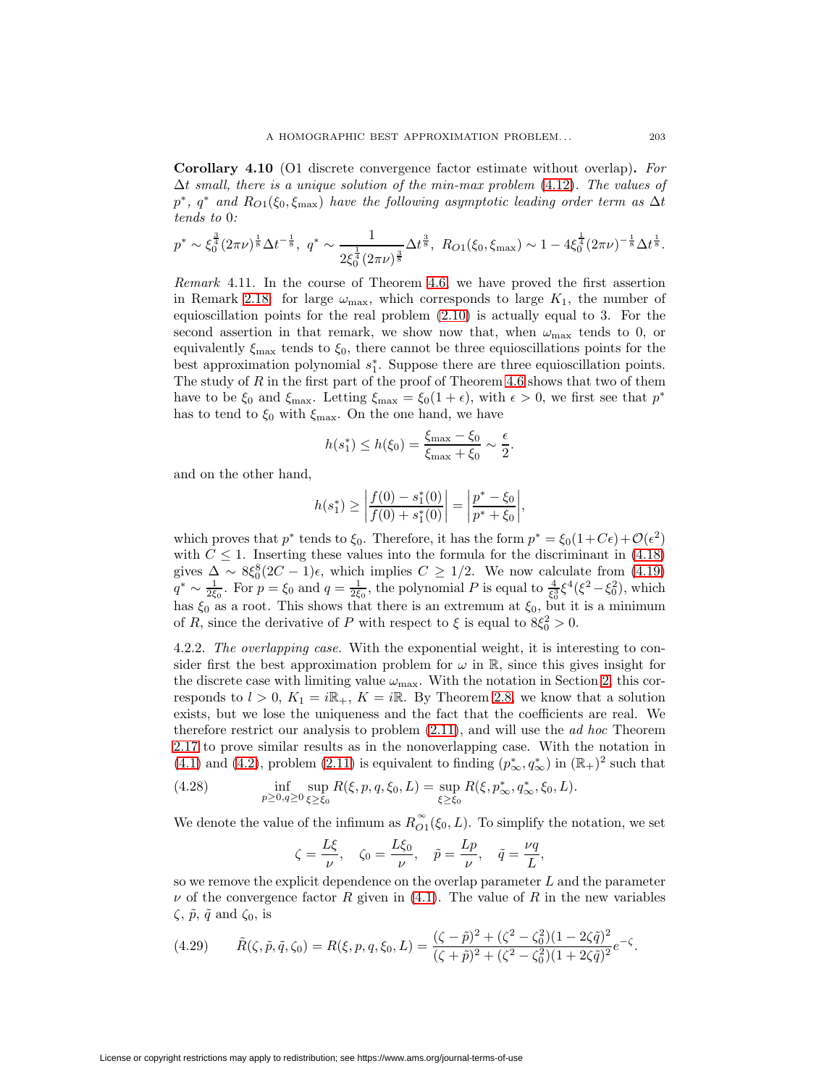**Corollary 4.10** (O1 discrete convergence factor estimate without overlap)**.** For  $\Delta t$  small, there is a unique solution of the min-max problem [\(4.12\)](#page-14-0). The values of  $p^*$ ,  $q^*$  and  $R_{O(1)}(\xi_0, \xi_{\text{max}})$  have the following asymptotic leading order term as  $\Delta t$ tends to 0:

$$
p^* \sim \xi_0^{\frac{3}{4}} (2\pi\nu)^{\frac{1}{8}} \Delta t^{-\frac{1}{8}}, \ q^* \sim \frac{1}{2\xi_0^{\frac{1}{4}} (2\pi\nu)^{\frac{3}{8}}} \Delta t^{\frac{3}{8}}, \ R_{O1}(\xi_0, \xi_{\text{max}}) \sim 1 - 4\xi_0^{\frac{1}{4}} (2\pi\nu)^{-\frac{1}{8}} \Delta t^{\frac{1}{8}}.
$$

Remark 4.11. In the course of Theorem [4.6,](#page-14-3) we have proved the first assertion in Remark [2.18:](#page-8-1) for large  $\omega_{\text{max}}$ , which corresponds to large  $K_1$ , the number of equioscillation points for the real problem [\(2.10\)](#page-7-4) is actually equal to 3. For the second assertion in that remark, we show now that, when  $\omega_{\text{max}}$  tends to 0, or equivalently  $\xi_{\text{max}}$  tends to  $\xi_0$ , there cannot be three equioscillations points for the best approximation polynomial  $s_1^*$ . Suppose there are three equioscillation points. The study of  $R$  in the first part of the proof of Theorem [4.6](#page-14-3) shows that two of them have to be  $\xi_0$  and  $\xi_{\text{max}}$ . Letting  $\xi_{\text{max}} = \xi_0(1 + \epsilon)$ , with  $\epsilon > 0$ , we first see that  $p^*$ has to tend to  $\xi_0$  with  $\xi_{\text{max}}$ . On the one hand, we have

$$
h(s_1^*) \le h(\xi_0) = \frac{\xi_{\max} - \xi_0}{\xi_{\max} + \xi_0} \sim \frac{\epsilon}{2}.
$$

and on the other hand,

$$
h(s_1^*) \ge \left| \frac{f(0) - s_1^*(0)}{f(0) + s_1^*(0)} \right| = \left| \frac{p^* - \xi_0}{p^* + \xi_0} \right|,
$$

which proves that  $p^*$  tends to  $\xi_0$ . Therefore, it has the form  $p^* = \xi_0(1+C\epsilon) + \mathcal{O}(\epsilon^2)$ with  $C \leq 1$ . Inserting these values into the formula for the discriminant in [\(4.18\)](#page-15-5) gives  $\Delta \sim 8\xi_0^8(2C-1)\epsilon$ , which implies  $C \ge 1/2$ . We now calculate from [\(4.19\)](#page-15-3)  $q^* \sim \frac{1}{2\xi_0}$ . For  $p = \xi_0$  and  $q = \frac{1}{2\xi_0}$ , the polynomial P is equal to  $\frac{4}{\xi_0^3}\xi^4(\xi^2 - \xi_0^2)$ , which has  $\xi_0$  as a root. This shows that there is an extremum at  $\xi_0$ , but it is a minimum of R, since the derivative of P with respect to  $\xi$  is equal to  $8\xi_0^2 > 0$ .

4.2.2. The overlapping case. With the exponential weight, it is interesting to consider first the best approximation problem for  $\omega$  in  $\mathbb{R}$ , since this gives insight for the discrete case with limiting value  $\omega_{\text{max}}$ . With the notation in Section [2,](#page-1-5) this corresponds to  $l > 0$ ,  $K_1 = i\mathbb{R}_+$ ,  $K = i\mathbb{R}$ . By Theorem [2.8,](#page-5-2) we know that a solution exists, but we lose the uniqueness and the fact that the coefficients are real. We therefore restrict our analysis to problem  $(2.11)$ , and will use the *ad hoc* Theorem [2.17](#page-8-2) to prove similar results as in the nonoverlapping case. With the notation in [\(4.1\)](#page-11-4) and [\(4.2\)](#page-11-5), problem [\(2.11\)](#page-8-0) is equivalent to finding  $(p_{\infty}^*, q_{\infty}^*)$  in  $(\mathbb{R}_+)^2$  such that

(4.28) 
$$
\inf_{p\geq 0, q\geq 0} \sup_{\xi\geq \xi_0} R(\xi, p, q, \xi_0, L) = \sup_{\xi\geq \xi_0} R(\xi, p^*_{\infty}, q^*_{\infty}, \xi_0, L).
$$

We denote the value of the infimum as  $R_{O1}^{\infty}(\xi_0, L)$ . To simplify the notation, we set

$$
\zeta = \frac{L\xi}{\nu}, \quad \zeta_0 = \frac{L\xi_0}{\nu}, \quad \tilde{p} = \frac{Lp}{\nu}, \quad \tilde{q} = \frac{\nu q}{L},
$$

so we remove the explicit dependence on the overlap parameter  $L$  and the parameter  $\nu$  of the convergence factor R given in [\(4.1\)](#page-11-4). The value of R in the new variables  $\zeta$ ,  $\tilde{p}$ ,  $\tilde{q}$  and  $\zeta_0$ , is

<span id="page-18-0"></span>
$$
(4.29) \qquad \tilde{R}(\zeta, \tilde{p}, \tilde{q}, \zeta_0) = R(\xi, p, q, \xi_0, L) = \frac{(\zeta - \tilde{p})^2 + (\zeta^2 - \zeta_0^2)(1 - 2\zeta\tilde{q})^2}{(\zeta + \tilde{p})^2 + (\zeta^2 - \zeta_0^2)(1 + 2\zeta\tilde{q})^2}e^{-\zeta}.
$$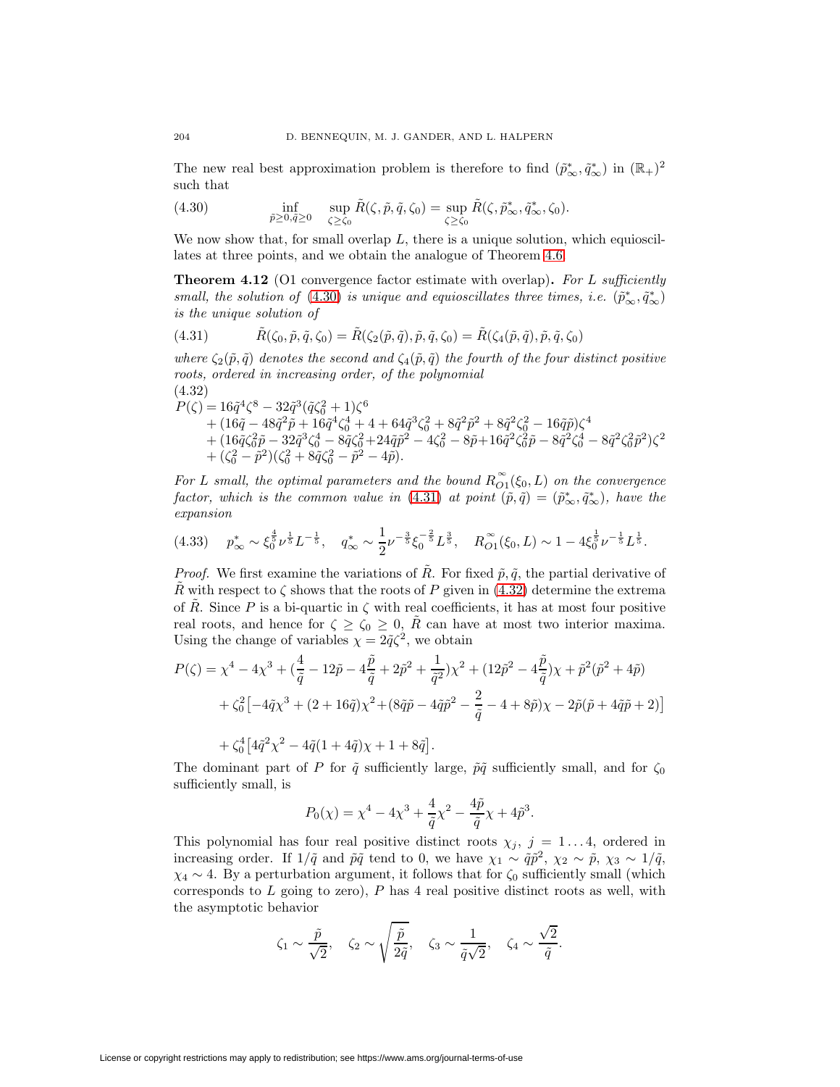<span id="page-19-0"></span>The new real best approximation problem is therefore to find  $(\tilde{p}_{\infty}^*, \tilde{q}_{\infty}^*)$  in  $(\mathbb{R}_+)^2$ such that

(4.30) 
$$
\inf_{\tilde{p}\geq 0,\tilde{q}\geq 0} \quad \sup_{\zeta\geq \zeta_0} \tilde{R}(\zeta,\tilde{p},\tilde{q},\zeta_0) = \sup_{\zeta\geq \zeta_0} \tilde{R}(\zeta,\tilde{p}_{\infty}^*,\tilde{q}_{\infty}^*,\zeta_0).
$$

<span id="page-19-4"></span>We now show that, for small overlap  $L$ , there is a unique solution, which equioscillates at three points, and we obtain the analogue of Theorem [4.6.](#page-14-3)

**Theorem 4.12** (O1 convergence factor estimate with overlap). For L sufficiently small, the solution of [\(4.30\)](#page-19-0) is unique and equioscillates three times, i.e.  $(\tilde{p}_{\infty}^*, \tilde{q}_{\infty}^*)$ is the unique solution of

<span id="page-19-1"></span>(4.31) 
$$
\tilde{R}(\zeta_0, \tilde{p}, \tilde{q}, \zeta_0) = \tilde{R}(\zeta_2(\tilde{p}, \tilde{q}), \tilde{p}, \tilde{q}, \zeta_0) = \tilde{R}(\zeta_4(\tilde{p}, \tilde{q}), \tilde{p}, \tilde{q}, \zeta_0)
$$

where  $\zeta_2(\tilde{p}, \tilde{q})$  denotes the second and  $\zeta_4(\tilde{p}, \tilde{q})$  the fourth of the four distinct positive roots, ordered in increasing order, of the polynomial (4.32)

<span id="page-19-2"></span>
$$
\begin{aligned} P(\zeta) & = 16\tilde{q}^4\zeta^8 - 32\tilde{q}^3(\tilde{q}\zeta_0^2+1)\zeta^6 \\ & + (16\tilde{q} - 48\tilde{q}^2\tilde{p} + 16\tilde{q}^4\zeta_0^4 + 4 + 64\tilde{q}^3\zeta_0^2 + 8\tilde{q}^2\tilde{p}^2 + 8\tilde{q}^2\zeta_0^2 - 16\tilde{q}\tilde{p})\zeta^4 \\ & + (16\tilde{q}\zeta_0^2\tilde{p} - 32\tilde{q}^3\zeta_0^4 - 8\tilde{q}\zeta_0^2 + 24\tilde{q}\tilde{p}^2 - 4\zeta_0^2 - 8\tilde{p} + 16\tilde{q}^2\zeta_0^2\tilde{p} - 8\tilde{q}^2\zeta_0^4 - 8\tilde{q}^2\zeta_0^2\tilde{p}^2)\zeta^2 \\ & + (\zeta_0^2 - \tilde{p}^2)(\zeta_0^2 + 8\tilde{q}\zeta_0^2 - \tilde{p}^2 - 4\tilde{p}). \end{aligned}
$$

For L small, the optimal parameters and the bound  $R_{O1}^{\infty}(\xi_0, L)$  on the convergence factor, which is the common value in  $(4.31)$  at point  $(\tilde{p}, \tilde{q}) = (\tilde{p}^*_{\infty}, \tilde{q}^*_{\infty})$ , have the expansion

<span id="page-19-3"></span>
$$
(4.33) \t p_{\infty}^* \sim \xi_0^{\frac{4}{5}} \nu^{\frac{1}{5}} L^{-\frac{1}{5}}, \t q_{\infty}^* \sim \frac{1}{2} \nu^{-\frac{3}{5}} \xi_0^{-\frac{2}{5}} L^{\frac{3}{5}}, \t R_{O1}^{\infty}(\xi_0, L) \sim 1 - 4 \xi_0^{\frac{1}{5}} \nu^{-\frac{1}{5}} L^{\frac{1}{5}}.
$$

*Proof.* We first examine the variations of  $\tilde{R}$ . For fixed  $\tilde{p}, \tilde{q}$ , the partial derivative of R with respect to  $\zeta$  shows that the roots of P given in [\(4.32\)](#page-19-2) determine the extrema of  $\tilde{R}$ . Since P is a bi-quartic in  $\zeta$  with real coefficients, it has at most four positive real roots, and hence for  $\zeta \ge \zeta_0 \ge 0$ , R can have at most two interior maxima. Using the change of variables  $\chi = 2\tilde{q}\zeta^2$ , we obtain

$$
P(\zeta) = \chi^4 - 4\chi^3 + (\frac{4}{\tilde{q}} - 12\tilde{p} - 4\frac{\tilde{p}}{\tilde{q}} + 2\tilde{p}^2 + \frac{1}{\tilde{q}^2})\chi^2 + (12\tilde{p}^2 - 4\frac{\tilde{p}}{\tilde{q}})\chi + \tilde{p}^2(\tilde{p}^2 + 4\tilde{p})
$$
  
+  $\zeta_0^2 \left[ -4\tilde{q}\chi^3 + (2 + 16\tilde{q})\chi^2 + (8\tilde{q}\tilde{p} - 4\tilde{q}\tilde{p}^2 - \frac{2}{\tilde{q}} - 4 + 8\tilde{p})\chi - 2\tilde{p}(\tilde{p} + 4\tilde{q}\tilde{p} + 2) \right]$ 

$$
+\zeta_0^4\big[4\tilde{q}^2\chi^2-4\tilde{q}(1+4\tilde{q})\chi+1+8\tilde{q}\big]
$$

The dominant part of P for  $\tilde{q}$  sufficiently large,  $\tilde{p}\tilde{q}$  sufficiently small, and for  $\zeta_0$ sufficiently small, is

.

$$
P_0(\chi) = \chi^4 - 4\chi^3 + \frac{4}{\tilde{q}}\chi^2 - \frac{4\tilde{p}}{\tilde{q}}\chi + 4\tilde{p}^3.
$$

This polynomial has four real positive distinct roots  $\chi_j$ ,  $j = 1...4$ , ordered in increasing order. If  $1/\tilde{q}$  and  $\tilde{p}\tilde{q}$  tend to 0, we have  $\chi_1 \sim \tilde{q}\tilde{p}^2$ ,  $\chi_2 \sim \tilde{p}$ ,  $\chi_3 \sim 1/\tilde{q}$ ,  $\chi_4 \sim 4$ . By a perturbation argument, it follows that for  $\zeta_0$  sufficiently small (which corresponds to  $L$  going to zero),  $P$  has 4 real positive distinct roots as well, with the asymptotic behavior

$$
\zeta_1 \sim \frac{\tilde{p}}{\sqrt{2}}, \quad \zeta_2 \sim \sqrt{\frac{\tilde{p}}{2\tilde{q}}}, \quad \zeta_3 \sim \frac{1}{\tilde{q}\sqrt{2}}, \quad \zeta_4 \sim \frac{\sqrt{2}}{\tilde{q}}.
$$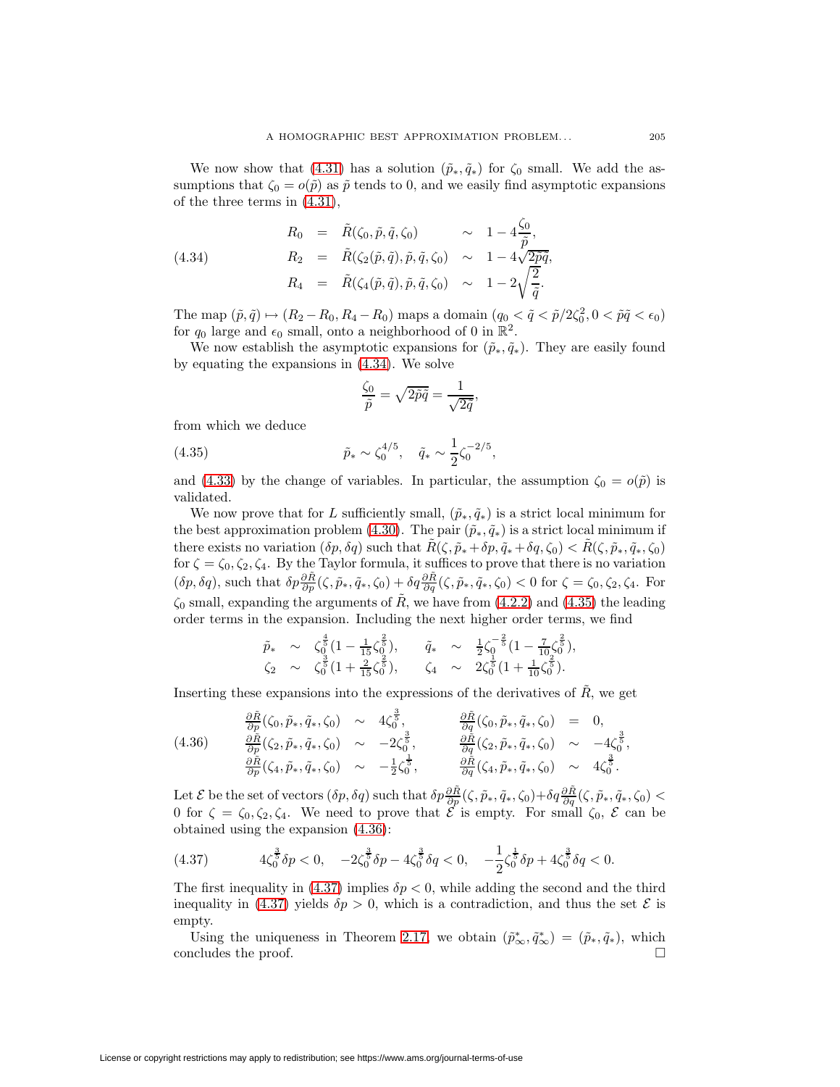We now show that [\(4.31\)](#page-19-1) has a solution  $(\tilde{p}_*, \tilde{q}_*)$  for  $\zeta_0$  small. We add the assumptions that  $\zeta_0 = o(\tilde{p})$  as  $\tilde{p}$  tends to 0, and we easily find asymptotic expansions of the three terms in [\(4.31\)](#page-19-1),

<span id="page-20-0"></span>(4.34)  
\n
$$
R_0 = \tilde{R}(\zeta_0, \tilde{p}, \tilde{q}, \zeta_0) \sim 1 - 4 \frac{\zeta_0}{\tilde{p}},
$$
\n
$$
R_2 = \tilde{R}(\zeta_2(\tilde{p}, \tilde{q}), \tilde{p}, \tilde{q}, \zeta_0) \sim 1 - 4\sqrt{2\tilde{p}\tilde{q}},
$$
\n
$$
R_4 = \tilde{R}(\zeta_4(\tilde{p}, \tilde{q}), \tilde{p}, \tilde{q}, \zeta_0) \sim 1 - 2\sqrt{\frac{2}{\tilde{q}}}.
$$

The map  $(\tilde{p}, \tilde{q}) \mapsto (R_2 - R_0, R_4 - R_0)$  maps a domain  $(q_0 < \tilde{q} < \tilde{p}/2\zeta_0^2, 0 < \tilde{p}\tilde{q} < \epsilon_0)$ for  $q_0$  large and  $\epsilon_0$  small, onto a neighborhood of 0 in  $\mathbb{R}^2$ .

We now establish the asymptotic expansions for  $(\tilde{p}_*, \tilde{q}_*)$ . They are easily found by equating the expansions in [\(4.34\)](#page-20-0). We solve

$$
\frac{\zeta_0}{\tilde{p}} = \sqrt{2\tilde{p}\tilde{q}} = \frac{1}{\sqrt{2\tilde{q}}},
$$

<span id="page-20-1"></span>from which we deduce

∂R˜

(4.35) 
$$
\tilde{p}_* \sim \zeta_0^{4/5}, \quad \tilde{q}_* \sim \frac{1}{2} \zeta_0^{-2/5},
$$

and [\(4.33\)](#page-19-3) by the change of variables. In particular, the assumption  $\zeta_0 = o(\tilde{p})$  is validated.

We now prove that for L sufficiently small,  $(\tilde{p}_*, \tilde{q}_*)$  is a strict local minimum for the best approximation problem [\(4.30\)](#page-19-0). The pair  $(\tilde{p}_*, \tilde{q}_*)$  is a strict local minimum if there exists no variation  $(\delta p, \delta q)$  such that  $R(\zeta, \tilde{p}_*+\delta p, \tilde{q}_*+\delta q, \zeta_0) < R(\zeta, \tilde{p}_*, \tilde{q}_*, \zeta_0)$ for  $\zeta = \zeta_0, \zeta_2, \zeta_4$ . By the Taylor formula, it suffices to prove that there is no variation  $(\delta p, \delta q)$ , such that  $\delta p \frac{\partial \tilde{R}}{\partial p}(\zeta, \tilde{p}_*, \tilde{q}_*, \zeta_0) + \delta q \frac{\partial \tilde{R}}{\partial q}(\zeta, \tilde{p}_*, \tilde{q}_*, \zeta_0) < 0$  for  $\zeta = \zeta_0, \zeta_2, \zeta_4$ . For  $\zeta_0$  small, expanding the arguments of  $\tilde{R}$ , we have from [\(4.2.2\)](#page-19-3) and [\(4.35\)](#page-20-1) the leading order terms in the expansion. Including the next higher order terms, we find

<span id="page-20-2"></span>
$$
\tilde{p}_{*} \sim \zeta_{0}^{\frac{4}{5}}(1-\frac{1}{15}\zeta_{0}^{\frac{2}{5}}), \quad \tilde{q}_{*} \sim \frac{1}{2}\zeta_{0}^{-\frac{2}{5}}(1-\frac{7}{10}\zeta_{0}^{\frac{2}{5}}), \n\zeta_{2} \sim \zeta_{0}^{\frac{3}{5}}(1+\frac{2}{15}\zeta_{0}^{\frac{2}{5}}), \quad \zeta_{4} \sim 2\zeta_{0}^{\frac{1}{5}}(1+\frac{1}{10}\zeta_{0}^{\frac{2}{5}}).
$$

Inserting these expansions into the expressions of the derivatives of  $R$ , we get 3

$$
(4.36) \t\t\t\t\frac{\partial \tilde{R}}{\partial p}(\zeta_0, \tilde{p}_*, \tilde{q}_*, \zeta_0) \sim 4\zeta_0^{\frac{3}{5}}, \t\t\t\frac{\partial \tilde{R}}{\partial q}(\zeta_0, \tilde{p}_*, \tilde{q}_*, \zeta_0) = 0,\n(4.36) \t\t\t\frac{\partial \tilde{R}}{\partial p}(\zeta_2, \tilde{p}_*, \tilde{q}_*, \zeta_0) \sim -2\zeta_0^{\frac{3}{5}}, \t\t\t\frac{\partial \tilde{R}}{\partial q}(\zeta_2, \tilde{p}_*, \tilde{q}_*, \zeta_0) \sim -4\zeta_0^{\frac{3}{5}},\n\frac{\partial \tilde{R}}{\partial p}(\zeta_4, \tilde{p}_*, \tilde{q}_*, \zeta_0) \sim -\frac{1}{2}\zeta_0^{\frac{1}{5}}, \t\t\t\frac{\partial \tilde{R}}{\partial q}(\zeta_4, \tilde{p}_*, \tilde{q}_*, \zeta_0) \sim 4\zeta_0^{\frac{3}{5}}.
$$

Let  $\mathcal E$  be the set of vectors  $(\delta p, \delta q)$  such that  $\delta p \frac{\partial \tilde R}{\partial p}(\zeta, \tilde p_*, \tilde q_*, \zeta_0) + \delta q \frac{\partial \tilde R}{\partial q}(\zeta, \tilde p_*, \tilde q_*, \zeta_0) <$ 0 for  $\zeta = \zeta_0, \zeta_2, \zeta_4$ . We need to prove that  $\mathcal E$  is empty. For small  $\zeta_0, \mathcal E$  can be obtained using the expansion [\(4.36\)](#page-20-2):

<span id="page-20-3"></span>
$$
(4.37) \t\t 4\zeta_0^{\frac{3}{5}}\delta p < 0, \t -2\zeta_0^{\frac{3}{5}}\delta p - 4\zeta_0^{\frac{3}{5}}\delta q < 0, \t -\frac{1}{2}\zeta_0^{\frac{1}{5}}\delta p + 4\zeta_0^{\frac{3}{5}}\delta q < 0.
$$

The first inequality in [\(4.37\)](#page-20-3) implies  $\delta p < 0$ , while adding the second and the third inequality in [\(4.37\)](#page-20-3) yields  $\delta p > 0$ , which is a contradiction, and thus the set  $\mathcal E$  is empty.

Using the uniqueness in Theorem [2.17,](#page-8-2) we obtain  $(\tilde{p}_{\infty}^*, \tilde{q}_{\infty}^*) = (\tilde{p}_*, \tilde{q}_*)$ , which concludes the proof.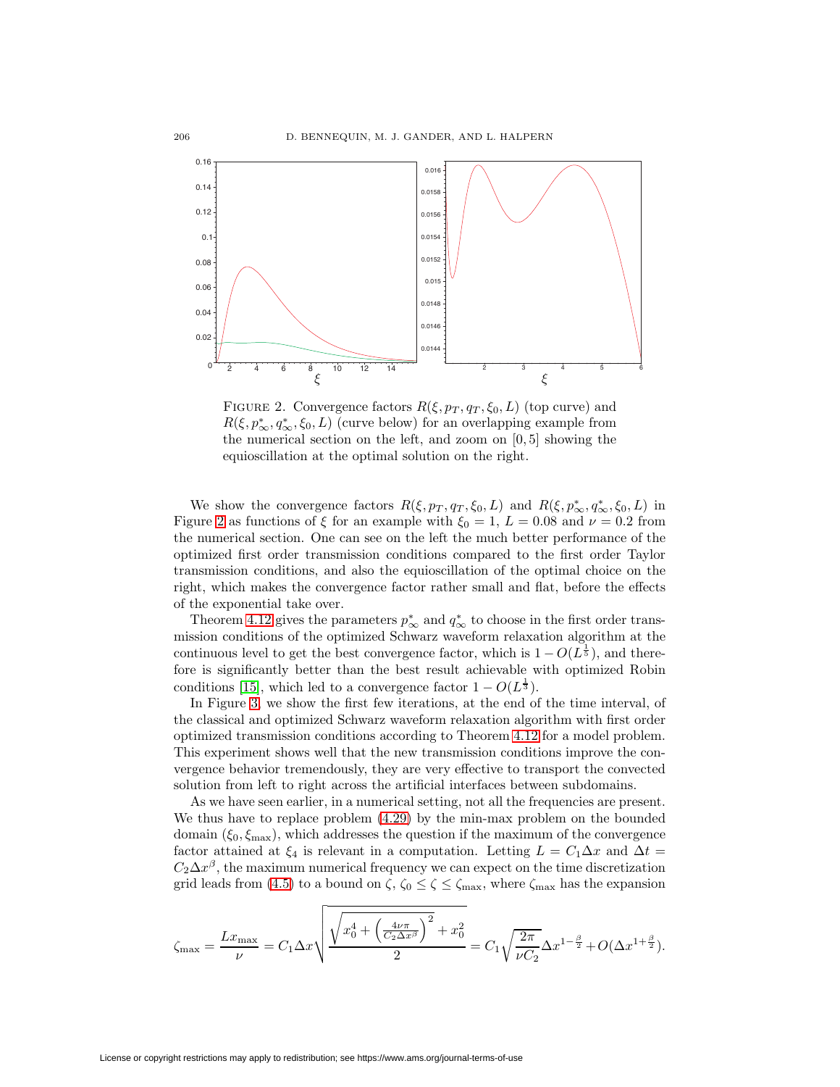

<span id="page-21-0"></span>FIGURE 2. Convergence factors  $R(\xi, p_T, q_T, \xi_0, L)$  (top curve) and  $R(\xi, p^*_{\infty}, q^*_{\infty}, \xi_0, L)$  (curve below) for an overlapping example from the numerical section on the left, and zoom on [0, 5] showing the equioscillation at the optimal solution on the right.

We show the convergence factors  $R(\xi, p_T, q_T, \xi_0, L)$  and  $R(\xi, p^*_{\infty}, q^*_{\infty}, \xi_0, L)$  in Figure [2](#page-21-0) as functions of  $\xi$  for an example with  $\xi_0 = 1$ ,  $L = 0.08$  and  $\nu = 0.2$  from the numerical section. One can see on the left the much better performance of the optimized first order transmission conditions compared to the first order Taylor transmission conditions, and also the equioscillation of the optimal choice on the right, which makes the convergence factor rather small and flat, before the effects of the exponential take over.

Theorem [4.12](#page-19-4) gives the parameters  $p^*_{\infty}$  and  $q^*_{\infty}$  to choose in the first order transmission conditions of the optimized Schwarz waveform relaxation algorithm at the continuous level to get the best convergence factor, which is  $1 - O(L^{\frac{1}{5}})$ , and therefore is significantly better than the best result achievable with optimized Robin conditions [\[15\]](#page-37-12), which led to a convergence factor  $1 - O(L^{\frac{1}{3}})$ .

In Figure [3,](#page-22-0) we show the first few iterations, at the end of the time interval, of the classical and optimized Schwarz waveform relaxation algorithm with first order optimized transmission conditions according to Theorem [4.12](#page-19-4) for a model problem. This experiment shows well that the new transmission conditions improve the convergence behavior tremendously, they are very effective to transport the convected solution from left to right across the artificial interfaces between subdomains.

As we have seen earlier, in a numerical setting, not all the frequencies are present. We thus have to replace problem [\(4.29\)](#page-18-0) by the min-max problem on the bounded domain  $(\xi_0, \xi_{\text{max}})$ , which addresses the question if the maximum of the convergence factor attained at  $\xi_4$  is relevant in a computation. Letting  $L = C_1 \Delta x$  and  $\Delta t =$  $C_2\Delta x^{\beta}$ , the maximum numerical frequency we can expect on the time discretization grid leads from [\(4.5\)](#page-12-5) to a bound on  $\zeta$ ,  $\zeta_0 \leq \zeta \leq \zeta_{\text{max}}$ , where  $\zeta_{\text{max}}$  has the expansion

$$
\zeta_{\max}=\frac{Lx_{\max}}{\nu}=C_1\Delta x\sqrt{\frac{\sqrt{x_0^4+\left(\frac{4\nu\pi}{C_2\Delta x^\beta}\right)^2+x_0^2}}{2}}=C_1\sqrt{\frac{2\pi}{\nu C_2}}\Delta x^{1-\frac{\beta}{2}}+O(\Delta x^{1+\frac{\beta}{2}}).
$$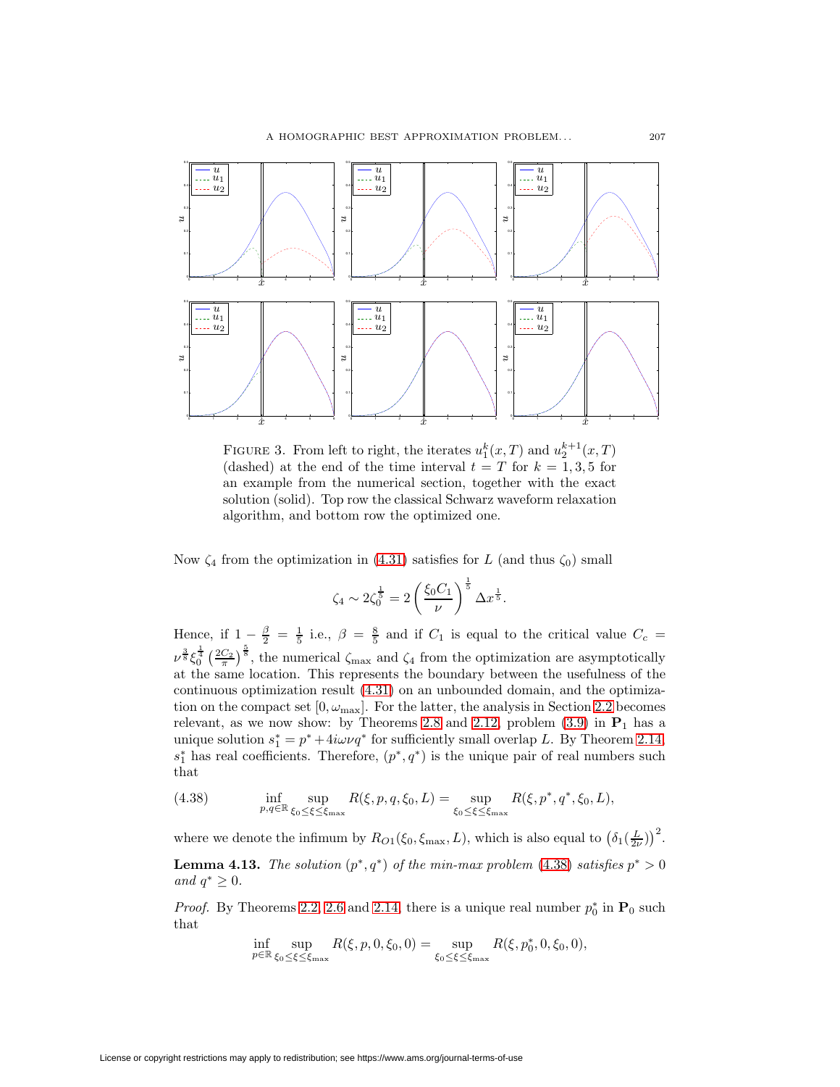

<span id="page-22-0"></span>FIGURE 3. From left to right, the iterates  $u_1^k(x,T)$  and  $u_2^{k+1}(x,T)$ (dashed) at the end of the time interval  $t = T$  for  $k = 1, 3, 5$  for an example from the numerical section, together with the exact solution (solid). Top row the classical Schwarz waveform relaxation algorithm, and bottom row the optimized one.

Now  $\zeta_4$  from the optimization in [\(4.31\)](#page-19-1) satisfies for L (and thus  $\zeta_0$ ) small

$$
\zeta_4 \sim 2\zeta_0^{\frac{1}{5}} = 2\left(\frac{\xi_0 C_1}{\nu}\right)^{\frac{1}{5}} \Delta x^{\frac{1}{5}}.
$$

Hence, if  $1-\frac{\beta}{2}=\frac{1}{5}$  i.e.,  $\beta=\frac{8}{5}$  and if  $C_1$  is equal to the critical value  $C_c=$  $\nu^{\frac{3}{8}}\xi_0^{\frac{1}{4}}\left(\frac{2C_2}{\pi}\right)^{\frac{5}{8}}$ , the numerical  $\zeta_{\max}$  and  $\zeta_4$  from the optimization are asymptotically at the same location. This represents the boundary between the usefulness of the continuous optimization result [\(4.31\)](#page-19-1) on an unbounded domain, and the optimization on the compact set  $[0, \omega_{\text{max}}]$ . For the latter, the analysis in Section [2.2](#page-5-3) becomes relevant, as we now show: by Theorems [2.8](#page-5-2) and [2.12,](#page-6-0) problem  $(3.9)$  in  $P_1$  has a unique solution  $s_1^* = p^* + 4i\omega \nu q^*$  for sufficiently small overlap L. By Theorem [2.14,](#page-7-3)  $s_1^*$  has real coefficients. Therefore,  $(p^*, q^*)$  is the unique pair of real numbers such that

<span id="page-22-1"></span>(4.38) 
$$
\inf_{p,q \in \mathbb{R}} \sup_{\xi_0 \le \xi \le \xi_{\text{max}}} R(\xi, p, q, \xi_0, L) = \sup_{\xi_0 \le \xi \le \xi_{\text{max}}} R(\xi, p^*, q^*, \xi_0, L),
$$

where we denote the infimum by  $R_{O1}(\xi_0, \xi_{\text{max}}, L)$ , which is also equal to  $(\delta_1(\frac{L}{2\nu}))^2$ . **Lemma 4.13.** The solution  $(p^*, q^*)$  of the min-max problem [\(4.38\)](#page-22-1) satisfies  $p^* > 0$ and  $q^* \geq 0$ .

*Proof.* By Theorems [2.2,](#page-1-3) [2.6](#page-4-0) and [2.14,](#page-7-3) there is a unique real number  $p_0^*$  in  $P_0$  such that

$$
\inf_{p \in \mathbb{R}} \sup_{\xi_0 \le \xi \le \xi_{\max}} R(\xi, p, 0, \xi_0, 0) = \sup_{\xi_0 \le \xi \le \xi_{\max}} R(\xi, p_0^*, 0, \xi_0, 0),
$$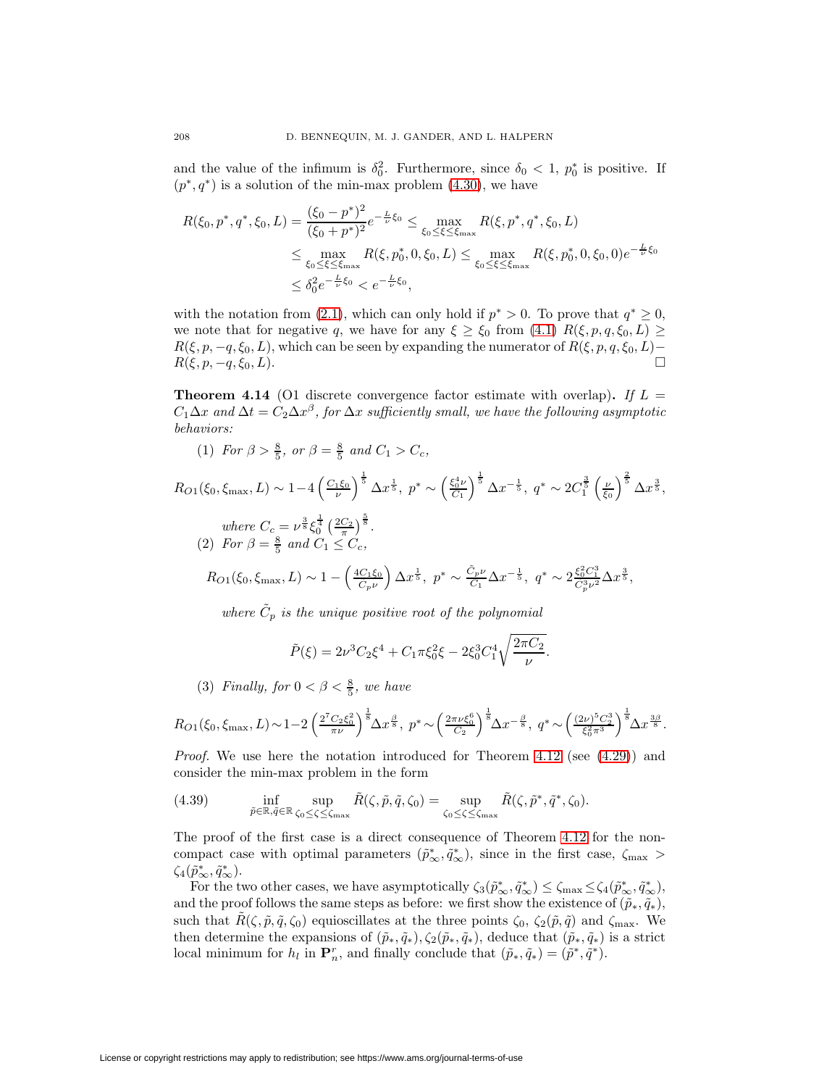and the value of the infimum is  $\delta_0^2$ . Furthermore, since  $\delta_0 < 1$ ,  $p_0^*$  is positive. If  $(p^*, q^*)$  is a solution of the min-max problem  $(4.30)$ , we have

$$
R(\xi_0, p^*, q^*, \xi_0, L) = \frac{(\xi_0 - p^*)^2}{(\xi_0 + p^*)^2} e^{-\frac{L}{\nu}\xi_0} \le \max_{\xi_0 \le \xi \le \xi_{\text{max}}} R(\xi, p^*, q^*, \xi_0, L)
$$
  
\n
$$
\le \max_{\xi_0 \le \xi \le \xi_{\text{max}}} R(\xi, p_0^*, 0, \xi_0, L) \le \max_{\xi_0 \le \xi \le \xi_{\text{max}}} R(\xi, p_0^*, 0, \xi_0, 0) e^{-\frac{L}{\nu}\xi_0}
$$
  
\n
$$
\le \delta_0^2 e^{-\frac{L}{\nu}\xi_0} < e^{-\frac{L}{\nu}\xi_0},
$$

with the notation from [\(2.1\)](#page-1-4), which can only hold if  $p^* > 0$ . To prove that  $q^* \geq 0$ , we note that for negative q, we have for any  $\xi \geq \xi_0$  from [\(4.1\)](#page-11-4)  $R(\xi, p, q, \xi_0, L) \geq$  $R(\xi, p, -q, \xi_0, L)$ , which can be seen by expanding the numerator of  $R(\xi, p, q, \xi_0, L)$ −  $R(\xi, p, -q, \xi_0, L).$ 

<span id="page-23-1"></span>**Theorem 4.14** (O1 discrete convergence factor estimate with overlap). If  $L =$  $C_1\Delta x$  and  $\Delta t = C_2\Delta x^{\beta}$ , for  $\Delta x$  sufficiently small, we have the following asymptotic behaviors:

(1) For  $\beta > \frac{8}{5}$ , or  $\beta = \frac{8}{5}$  and  $C_1 > C_c$ ,

 $R_{O1}(\xi_0, \xi_{\text{max}}, L) \sim 1 - 4 \left( \frac{C_1 \xi_0}{\nu} \right)$  $\int^{\frac{1}{5}} \Delta x^{\frac{1}{5}}, p^* \sim \left(\frac{\xi_0^4 \nu}{C_1}\right)$  $\int^{\frac{1}{5}} \Delta x^{-\frac{1}{5}}, \ q^* \sim 2C_1^{\frac{3}{5}} \left( \frac{\nu}{\xi_0} \right)$  $\int^{\frac{2}{5}} \Delta x^{\frac{3}{5}},$ where  $C_c = \nu^{\frac{3}{8}} \xi_0^{\frac{1}{4}} \left(\frac{2C_2}{\pi}\right)^{\frac{5}{8}}$ . (2) For  $\beta = \frac{8}{5}$  and  $C_1 \leq C_c$ ,  $R_{O1}(\xi_0, \xi_{\text{max}}, L) \sim 1 - \left(\frac{4C_1\xi_0}{\tilde{C}_M}\right)$  $\tilde{C}_p\nu$  $\int \Delta x^{\frac{1}{5}}, p^* \sim \frac{\tilde{C}_p \nu}{C_1} \Delta x^{-\frac{1}{5}}, q^* \sim 2 \frac{\xi_0^2 C_1^3}{\tilde{C}_p^3 \nu^2} \Delta x^{\frac{3}{5}},$ 

where  $\tilde{C}_p$  is the unique positive root of the polynomial

<span id="page-23-0"></span>
$$
\tilde{P}(\xi) = 2\nu^3 C_2 \xi^4 + C_1 \pi \xi_0^2 \xi - 2 \xi_0^3 C_1^4 \sqrt{\frac{2\pi C_2}{\nu}}.
$$

(3) Finally, for  $0 < \beta < \frac{8}{5}$ , we have

$$
R_{O1}(\xi_0, \xi_{\max}, L) \sim 1 - 2 \left(\frac{2^7 C_2 \xi_0^2}{\pi \nu}\right)^{\frac{1}{8}} \Delta x^{\frac{\beta}{8}}, \ p^* \sim \left(\frac{2\pi \nu \xi_0^6}{C_2}\right)^{\frac{1}{8}} \Delta x^{-\frac{\beta}{8}}, \ q^* \sim \left(\frac{(2\nu)^5 C_2^3}{\xi_0^2 \pi^3}\right)^{\frac{1}{8}} \Delta x^{\frac{3\beta}{8}}.
$$

*Proof.* We use here the notation introduced for Theorem [4.12](#page-19-4) (see  $(4.29)$ ) and consider the min-max problem in the form

(4.39) 
$$
\inf_{\tilde{p}\in\mathbb{R},\tilde{q}\in\mathbb{R}}\sup_{\zeta_0\leq\zeta\leq\zeta_{\max}}\tilde{R}(\zeta,\tilde{p},\tilde{q},\zeta_0)=\sup_{\zeta_0\leq\zeta\leq\zeta_{\max}}\tilde{R}(\zeta,\tilde{p}^*,\tilde{q}^*,\zeta_0).
$$

The proof of the first case is a direct consequence of Theorem [4.12](#page-19-4) for the noncompact case with optimal parameters  $(\tilde{p}_{\infty}^*, \tilde{q}_{\infty}^*)$ , since in the first case,  $\zeta_{\max} >$  $\zeta_4(\tilde{p}^*_{\infty}, \tilde{q}^*_{\infty}).$ 

For the two other cases, we have asymptotically  $\zeta_3(\tilde{p}_{\infty}^*, \tilde{q}_{\infty}^*) \leq \zeta_{\max} \leq \zeta_4(\tilde{p}_{\infty}^*, \tilde{q}_{\infty}^*),$ and the proof follows the same steps as before: we first show the existence of  $(\tilde{p}_*, \tilde{q}_*,)$ , such that  $\tilde{R}(\zeta, \tilde{p}, \tilde{q}, \zeta_0)$  equioscillates at the three points  $\zeta_0$ ,  $\zeta_2(\tilde{p}, \tilde{q})$  and  $\zeta_{\text{max}}$ . We then determine the expansions of  $(\tilde{p}_*, \tilde{q}_*,), \zeta_2(\tilde{p}_*, \tilde{q}_*)$ , deduce that  $(\tilde{p}_*, \tilde{q}_*)$  is a strict local minimum for  $h_l$  in  $\mathbf{P}_n^r$ , and finally conclude that  $(\tilde{p}_*, \tilde{q}_*) = (\tilde{p}^*, \tilde{q}^*)$ .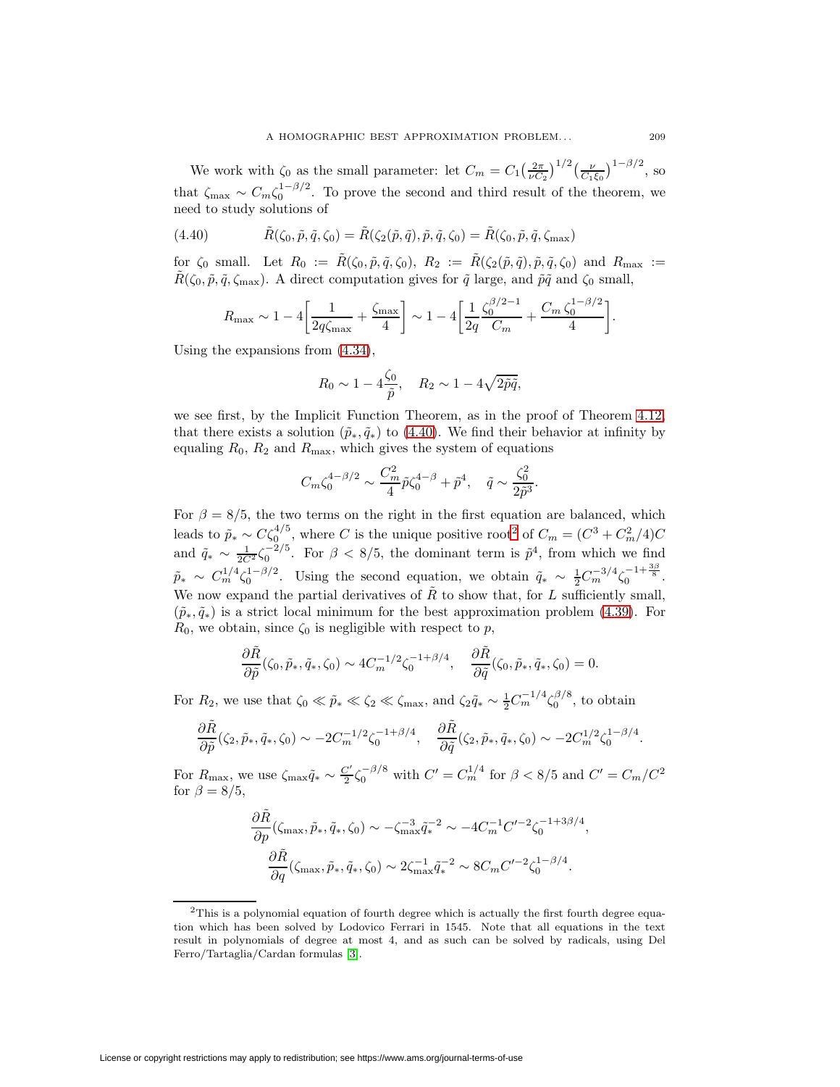We work with  $\zeta_0$  as the small parameter: let  $C_m = C_1 \left(\frac{2\pi}{\nu C_2}\right)^{1/2} \left(\frac{\nu}{C_1 \xi_0}\right)^{1-\beta/2}$ , so that  $\zeta_{\text{max}} \sim C_m \zeta_0^{1-\beta/2}$ . To prove the second and third result of the theorem, we need to study solutions of

<span id="page-24-0"></span>(4.40) 
$$
\tilde{R}(\zeta_0, \tilde{p}, \tilde{q}, \zeta_0) = \tilde{R}(\zeta_2(\tilde{p}, \tilde{q}), \tilde{p}, \tilde{q}, \zeta_0) = \tilde{R}(\zeta_0, \tilde{p}, \tilde{q}, \zeta_{\text{max}})
$$

for  $\zeta_0$  small. Let  $R_0 := \tilde{R}(\zeta_0, \tilde{p}, \tilde{q}, \zeta_0), R_2 := \tilde{R}(\zeta_2(\tilde{p}, \tilde{q}), \tilde{p}, \tilde{q}, \zeta_0)$  and  $R_{\text{max}} :=$  $\tilde{R}(\zeta_0, \tilde{p}, \tilde{q}, \zeta_{\text{max}})$ . A direct computation gives for  $\tilde{q}$  large, and  $\tilde{p}\tilde{q}$  and  $\zeta_0$  small,

$$
R_{\max} \sim 1 - 4 \left[ \frac{1}{2q\zeta_{\max}} + \frac{\zeta_{\max}}{4} \right] \sim 1 - 4 \left[ \frac{1}{2q} \frac{\zeta_0^{\beta/2 - 1}}{C_m} + \frac{C_m \zeta_0^{1 - \beta/2}}{4} \right].
$$

Using the expansions from [\(4.34\)](#page-20-0),

$$
R_0 \sim 1 - 4\frac{\zeta_0}{\tilde{p}}, \quad R_2 \sim 1 - 4\sqrt{2\tilde{p}\tilde{q}},
$$

we see first, by the Implicit Function Theorem, as in the proof of Theorem [4.12,](#page-19-4) that there exists a solution  $(\tilde{p}_*, \tilde{q}_*)$  to [\(4.40\)](#page-24-0). We find their behavior at infinity by equaling  $R_0$ ,  $R_2$  and  $R_{\text{max}}$ , which gives the system of equations

$$
C_m \zeta_0^{4-\beta/2} \sim \frac{C_m^2}{4} \tilde{p} \zeta_0^{4-\beta} + \tilde{p}^4, \quad \tilde{q} \sim \frac{\zeta_0^2}{2\tilde{p}^3}.
$$

For  $\beta = 8/5$ , the two terms on the right in the first equation are balanced, which leads to  $\tilde{p}_{*} \sim C \zeta_0^{4/5}$ , where C is the unique positive root<sup>[2](#page-24-1)</sup> of  $C_m = (C^3 + C_m^2/4)C$ and  $\tilde{q}_* \sim \frac{1}{2C^2} \zeta_0^{-2/5}$ . For  $\beta < 8/5$ , the dominant term is  $\tilde{p}^4$ , from which we find  $\tilde{p}_{*} \sim C_{m}^{1/4} \zeta_{0}^{1-\beta/2}$ . Using the second equation, we obtain  $\tilde{q}_{*} \sim \frac{1}{2} C_{m}^{-3/4} \zeta_{0}^{-1+\frac{3\beta}{8}}$ . We now expand the partial derivatives of  $\tilde{R}$  to show that, for L sufficiently small,  $(\tilde{p}_*, \tilde{q}_*)$  is a strict local minimum for the best approximation problem [\(4.39\)](#page-23-0). For  $R_0$ , we obtain, since  $\zeta_0$  is negligible with respect to p,

$$
\frac{\partial \tilde{R}}{\partial \tilde{p}}(\zeta_0, \tilde{p}_*, \tilde{q}_*, \zeta_0) \sim 4C_m^{-1/2} \zeta_0^{-1+\beta/4}, \quad \frac{\partial \tilde{R}}{\partial \tilde{q}}(\zeta_0, \tilde{p}_*, \tilde{q}_*, \zeta_0) = 0.
$$

For  $R_2$ , we use that  $\zeta_0 \ll \tilde{p}_* \ll \zeta_2 \ll \zeta_{\text{max}}$ , and  $\zeta_2 \tilde{q}_* \sim \frac{1}{2} C_m^{-1/4} \zeta_0^{\beta/8}$ , to obtain

$$
\frac{\partial \tilde{R}}{\partial \tilde{p}}(\zeta_2, \tilde{p}_*, \tilde{q}_*, \zeta_0) \sim -2C_m^{-1/2} \zeta_0^{-1+\beta/4}, \quad \frac{\partial \tilde{R}}{\partial \tilde{q}}(\zeta_2, \tilde{p}_*, \tilde{q}_*, \zeta_0) \sim -2C_m^{1/2} \zeta_0^{1-\beta/4}.
$$

For  $R_{\text{max}}$ , we use  $\zeta_{\text{max}}\tilde{q}_* \sim \frac{C'}{2}\zeta_0^{-\beta/8}$  with  $C' = C_m^{1/4}$  for  $\beta < 8/5$  and  $C' = C_m/C^2$ for  $\beta = 8/5$ ,

$$
\label{eq:1D1V:R} \begin{split} \frac{\partial \tilde{R}}{\partial p}(\zeta_{\max}, \tilde{p}_*, \tilde{q}_*, \zeta_0) &\sim -\zeta_{\max}^{-3}\tilde{q}_*^{-2} \sim -4C_m^{-1}C'^{-2}\zeta_0^{-1+3\beta/4},\\ \frac{\partial \tilde{R}}{\partial q}(\zeta_{\max}, \tilde{p}_*, \tilde{q}_*, \zeta_0) &\sim 2\zeta_{\max}^{-1}\tilde{q}_*^{-2} \sim 8C_mC'^{-2}\zeta_0^{1-\beta/4}. \end{split}
$$

<span id="page-24-1"></span><sup>&</sup>lt;sup>2</sup>This is a polynomial equation of fourth degree which is actually the first fourth degree equation which has been solved by Lodovico Ferrari in 1545. Note that all equations in the text result in polynomials of degree at most 4, and as such can be solved by radicals, using Del Ferro/Tartaglia/Cardan formulas [\[3\]](#page-36-3).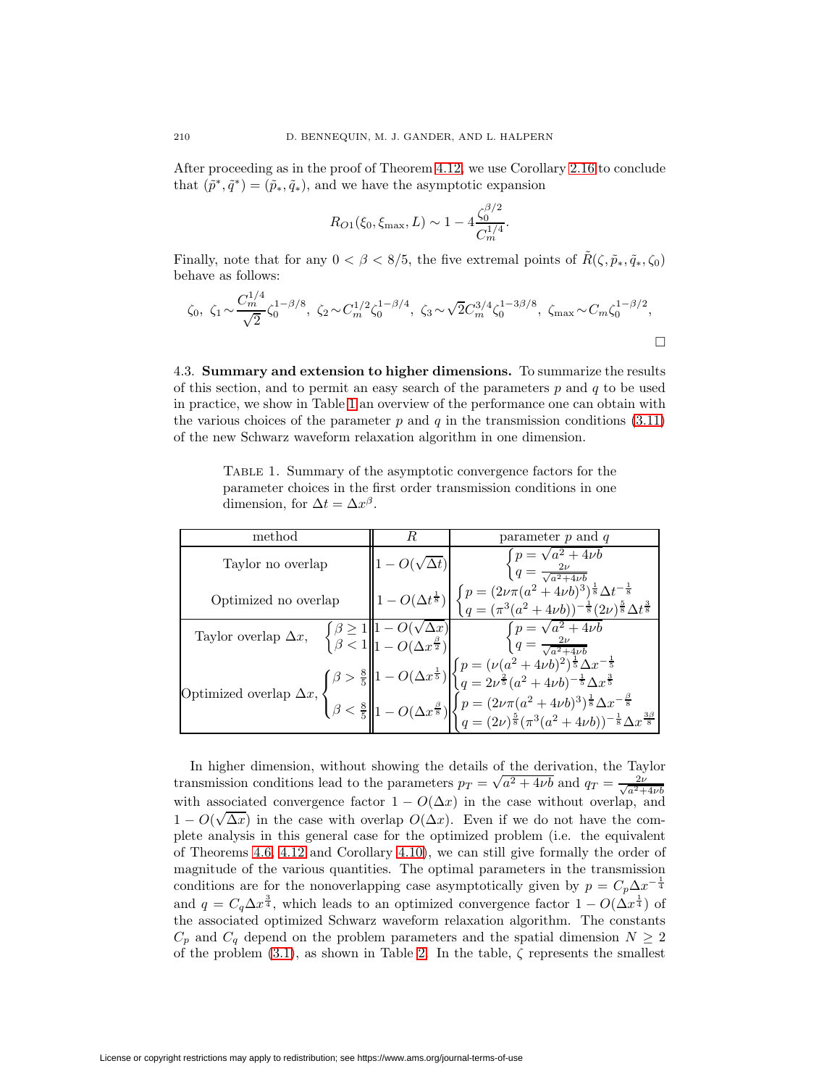After proceeding as in the proof of Theorem [4.12,](#page-19-4) we use Corollary [2.16](#page-7-6) to conclude that  $(\tilde{p}^*, \tilde{q}^*) = (\tilde{p}_*, \tilde{q}_*)$ , and we have the asymptotic expansion

$$
R_{O1}(\xi_0, \xi_{\text{max}}, L) \sim 1 - 4 \frac{\zeta_0^{\beta/2}}{C_m^{1/4}}.
$$

Finally, note that for any  $0 < \beta < 8/5$ , the five extremal points of  $\tilde{R}(\zeta, \tilde{p}_*, \tilde{q}_*, \zeta_0)$ behave as follows:

$$
\zeta_0, \ \zeta_1 \sim \frac{C_m^{1/4}}{\sqrt{2}} \zeta_0^{1-\beta/8}, \ \zeta_2 \sim C_m^{1/2} \zeta_0^{1-\beta/4}, \ \zeta_3 \sim \sqrt{2} C_m^{3/4} \zeta_0^{1-3\beta/8}, \ \zeta_{\text{max}} \sim C_m \zeta_0^{1-\beta/2},
$$

4.3. **Summary and extension to higher dimensions.** To summarize the results of this section, and to permit an easy search of the parameters  $p$  and  $q$  to be used in practice, we show in Table [1](#page-25-0) an overview of the performance one can obtain with the various choices of the parameter p and q in the transmission conditions  $(3.11)$ of the new Schwarz waveform relaxation algorithm in one dimension.

<span id="page-25-0"></span>Table 1. Summary of the asymptotic convergence factors for the parameter choices in the first order transmission conditions in one dimension, for  $\Delta t = \Delta x^{\beta}$ .

| method               | R | parameter $p$ and $q$                                                                                                                                                                                                                                                                                                                                                                                                           |
|----------------------|---|---------------------------------------------------------------------------------------------------------------------------------------------------------------------------------------------------------------------------------------------------------------------------------------------------------------------------------------------------------------------------------------------------------------------------------|
| Taylor no overlap    |   | $\begin{cases} p = \sqrt{a^2 + 4\nu b} \\ q = \frac{2\nu}{\sqrt{a^2 + 4\nu b}} \end{cases}$                                                                                                                                                                                                                                                                                                                                     |
| Optimized no overlap |   | $1 - O(\Delta t^{\frac{1}{8}}) \left  \ \begin{cases} p = (2 \nu \pi (a^2 + 4 \nu b)^3)^{\frac{1}{8}} \Delta t^{-\frac{1}{8}} \\ q = (\pi^3 (a^2 + 4 \nu b))^{-\frac{1}{8}} (2 \nu)^{\frac{5}{8}} \Delta t^{\frac{3}{8}} \end{cases} \right.$                                                                                                                                                                                   |
|                      |   |                                                                                                                                                                                                                                                                                                                                                                                                                                 |
|                      |   | Taylor overlap $\Delta x$ , $\begin{cases} \beta \ge 1 \\ \beta < 1 \end{cases}$ $\begin{cases} 1 - O(\sqrt{\Delta x}) \\ 1 - O(\Delta x^{\frac{\beta}{2}}) \end{cases}$ $\begin{cases} p = \sqrt{a^2 + 4\nu b} \\ q = \frac{2\nu}{\sqrt{a^2 + 4\nu b}} \end{cases}$<br>Optimized overlap $\Delta x$ , $\begin{cases} \beta > \frac{8}{5} \\ \beta < \frac{8}{5} \end{cases}$ $\begin{cases} 1 - O(\Delta x^{\frac{1}{5}}) \\ $ |
|                      |   |                                                                                                                                                                                                                                                                                                                                                                                                                                 |

In higher dimension, without showing the details of the derivation, the Taylor In mighter dimension, without showing the details of the derivation, the Taylor<br>transmission conditions lead to the parameters  $p_T = \sqrt{a^2 + 4\nu b}$  and  $q_T = \frac{2\nu}{\sqrt{a^2 + 4\nu b}}$ with associated convergence factor  $1 - O(\Delta x)$  in the case without overlap, and  $1 - O(\sqrt{\Delta x})$  in the case with overlap  $O(\Delta x)$ . Even if we do not have the complete analysis in this general case for the optimized problem (i.e. the equivalent of Theorems [4.6,](#page-14-3) [4.12](#page-19-4) and Corollary [4.10\)](#page-17-5), we can still give formally the order of magnitude of the various quantities. The optimal parameters in the transmission conditions are for the nonoverlapping case asymptotically given by  $p = C_p \Delta x^{-\frac{1}{4}}$ and  $q = C_q \Delta x^{\frac{3}{4}}$ , which leads to an optimized convergence factor  $1 - O(\Delta x^{\frac{1}{4}})$  of the associated optimized Schwarz waveform relaxation algorithm. The constants  $C_p$  and  $C_q$  depend on the problem parameters and the spatial dimension  $N \geq 2$ of the problem  $(3.1)$ , as shown in Table [2.](#page-27-0) In the table,  $\zeta$  represents the smallest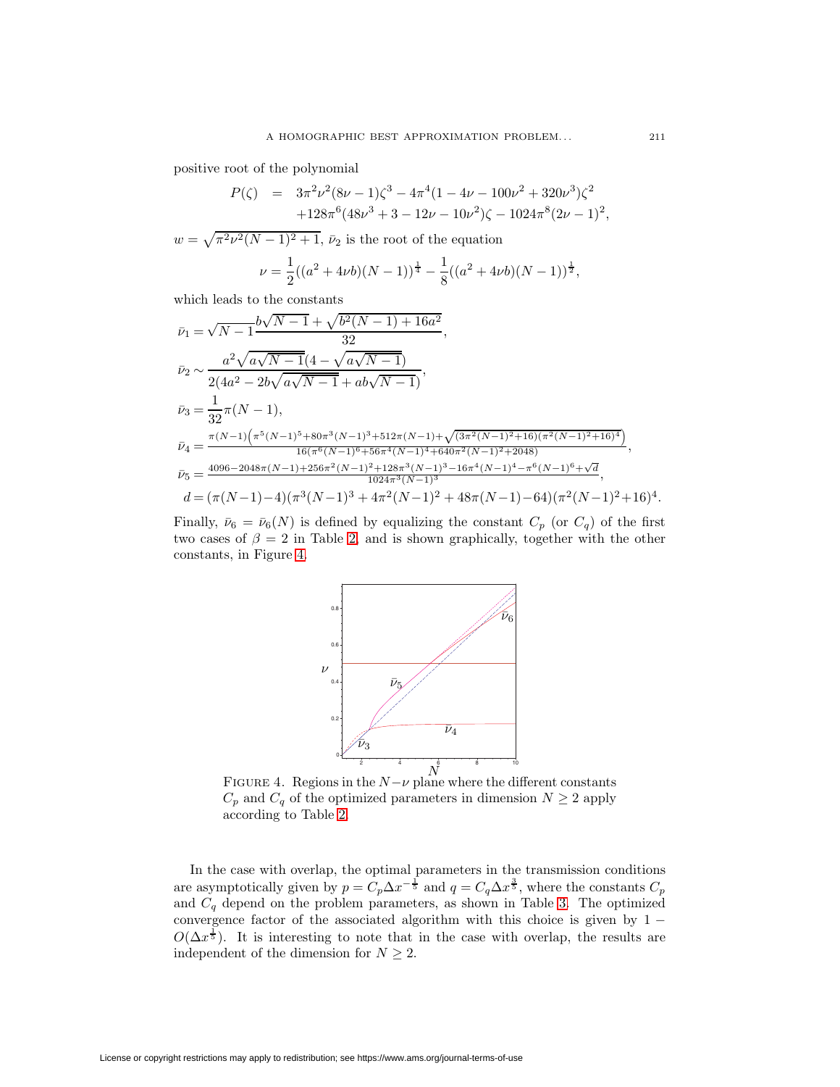positive root of the polynomial

$$
P(\zeta) = 3\pi^2 \nu^2 (8\nu - 1)\zeta^3 - 4\pi^4 (1 - 4\nu - 100\nu^2 + 320\nu^3)\zeta^2 + 128\pi^6 (48\nu^3 + 3 - 12\nu - 10\nu^2)\zeta - 1024\pi^8 (2\nu - 1)^2,
$$

 $w = \sqrt{\pi^2 \nu^2 (N-1)^2 + 1}$ ,  $\bar{\nu}_2$  is the root of the equation

$$
\nu = \frac{1}{2}((a^2 + 4\nu b)(N - 1))^{\frac{1}{4}} - \frac{1}{8}((a^2 + 4\nu b)(N - 1))^{\frac{1}{2}},
$$

which leads to the constants

$$
\bar{\nu}_1 = \sqrt{N-1} \frac{b\sqrt{N-1} + \sqrt{b^2(N-1) + 16a^2}}{32},
$$
\n
$$
\bar{\nu}_2 \sim \frac{a^2\sqrt{a\sqrt{N-1}}(4 - \sqrt{a\sqrt{N-1}})}{2(4a^2 - 2b\sqrt{a\sqrt{N-1}} + ab\sqrt{N-1})},
$$
\n
$$
\bar{\nu}_3 = \frac{1}{32}\pi(N-1),
$$
\n
$$
\bar{\nu}_4 = \frac{\pi(N-1)\left(\pi^5(N-1)^5 + 80\pi^3(N-1)^3 + 512\pi(N-1) + \sqrt{(3\pi^2(N-1)^2 + 16)(\pi^2(N-1)^2 + 16)^4}\right)}{16(\pi^6(N-1)^6 + 56\pi^4(N-1)^4 + 640\pi^2(N-1)^2 + 2048)},
$$
\n
$$
\bar{\nu}_5 = \frac{4096 - 2048\pi(N-1) + 256\pi^2(N-1)^2 + 128\pi^3(N-1)^3 - 16\pi^4(N-1)^4 - \pi^6(N-1)^6 + \sqrt{d}}{1024\pi^3(N-1)^3},
$$
\n
$$
d = (\pi(N-1) - 4)(\pi^3(N-1)^3 + 4\pi^2(N-1)^2 + 48\pi(N-1) - 64)(\pi^2(N-1)^2 + 16)^4.
$$

Finally,  $\bar{\nu}_6 = \bar{\nu}_6(N)$  is defined by equalizing the constant  $C_p$  (or  $C_q$ ) of the first two cases of  $\beta = 2$  in Table [2,](#page-27-0) and is shown graphically, together with the other constants, in Figure [4.](#page-26-0)



<span id="page-26-0"></span>FIGURE 4. Regions in the  $N-\nu$  plane where the different constants  $C_p$  and  $C_q$  of the optimized parameters in dimension  $N \geq 2$  apply according to Table [2.](#page-27-0)

In the case with overlap, the optimal parameters in the transmission conditions are asymptotically given by  $p = C_p \Delta x^{-\frac{1}{5}}$  and  $q = C_q \Delta x^{\frac{3}{5}}$ , where the constants  $C_p$ and  $C_q$  depend on the problem parameters, as shown in Table [3.](#page-28-0) The optimized convergence factor of the associated algorithm with this choice is given by  $1 O(\Delta x^{\frac{1}{5}})$ . It is interesting to note that in the case with overlap, the results are independent of the dimension for  $N \geq 2$ .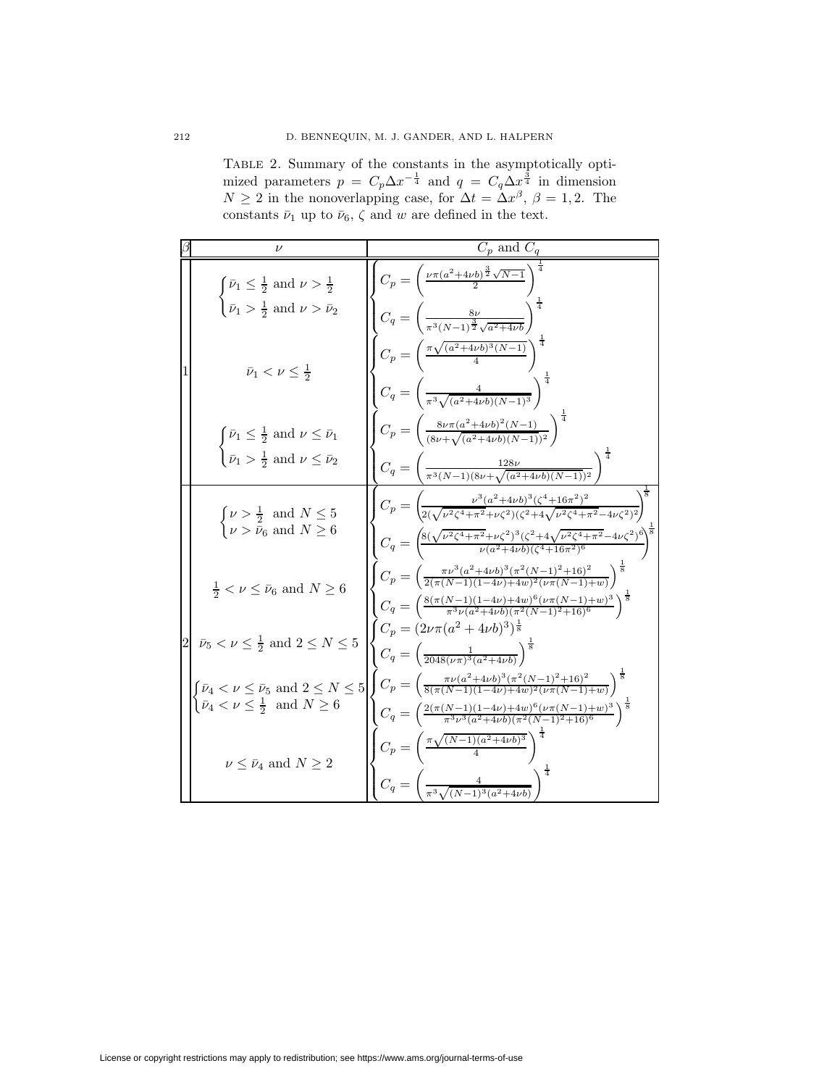<span id="page-27-0"></span>

|                                                                                                                                                     | mized parameters $p = C_p \Delta x^{-\frac{1}{4}}$ and $q = C_q \Delta x^{\frac{1}{4}}$ in dimension<br>$N \geq 2$ in the nonoverlapping case, for $\Delta t = \Delta x^{\beta}$ , $\beta = 1, 2$ . The<br>constants $\bar{\nu}_1$ up to $\bar{\nu}_6$ , $\zeta$ and w are defined in the text. |
|-----------------------------------------------------------------------------------------------------------------------------------------------------|-------------------------------------------------------------------------------------------------------------------------------------------------------------------------------------------------------------------------------------------------------------------------------------------------|
|                                                                                                                                                     | $C_p$ and $C_q$                                                                                                                                                                                                                                                                                 |
| $\begin{cases} \bar{\nu}_1 \leq \frac{1}{2} \text{ and } \nu > \frac{1}{2} \\ \bar{\nu}_1 > \frac{1}{2} \text{ and } \nu > \bar{\nu}_2 \end{cases}$ | $C_p = \left(\frac{\nu \pi (a^2 + 4\nu b)^{\frac{3}{2}}\sqrt{N-1}}{2}\right)^{2}$                                                                                                                                                                                                               |

Table 2. Summary of the constants in the asymptotically optimized parameters  $p = C_p \Delta x^{-\frac{1}{4}}$  and  $q = C_q \Delta x^{\frac{3}{4}}$  $\frac{3}{4}$  in dimension

|  | $\begin{cases} \bar{\nu}_1 \leq \frac{1}{2} \text{ and } \nu > \frac{1}{2} \\ \bar{\nu}_1 > \frac{1}{2} \text{ and } \nu > \bar{\nu}_2 \end{cases}$     | $C_p = \left(\frac{\nu \pi (a^2 + 4\nu b)^{\frac{3}{2}} \sqrt{N-1}}{2}\right)$<br>$C_q = \left( \frac{8\nu}{\pi^3 (N-1)^{\frac{3}{2}} \sqrt{a^2 + 4\nu b}} \right)$                                                                                                      |  |
|--|---------------------------------------------------------------------------------------------------------------------------------------------------------|--------------------------------------------------------------------------------------------------------------------------------------------------------------------------------------------------------------------------------------------------------------------------|--|
|  | $\bar{\nu}_1 < \nu \leq \frac{1}{2}$                                                                                                                    | $C_p = \left(\frac{\pi\sqrt{(a^2+4\nu b)^3(N-1)}}{4}\right)^{\frac{1}{4}}$<br>$C_q = \left(\frac{4}{\pi^3 \sqrt{(a^2+4\nu b)(N-1)^3}}\right)^{\frac{1}{2}}$                                                                                                              |  |
|  | $\int \bar{\nu}_1 \leq \frac{1}{2}$ and $\nu \leq \bar{\nu}_1$<br>$\left\{\bar{\nu}_1 > \frac{1}{2} \text{ and } \nu \leq \bar{\nu}_2\right\}$          | $C_p = \left(\frac{8\nu\pi(a^2+4\nu b)^2(N-1)}{(8\nu+\sqrt{(a^2+4\nu b)(N-1))^2}}\right)^{\frac{1}{4}}$<br>$C_q = \left(\frac{128\nu}{\pi^3 (N-1)(8\nu + \sqrt{(a^2+4\nu b)(N-1)})^2}\right)$                                                                            |  |
|  | $\begin{cases} \nu > \frac{1}{2} \text{ and } N \leq 5 \\ \nu > \bar{\nu}_6 \text{ and } N \geq 6 \end{cases}$                                          | $C_p = \left( \frac{\nu^3 (a^2 + 4\nu b)^3 (\zeta^4 + 16\pi^2)^2}{2(\sqrt{\nu^2 \zeta^4 + \pi^2} + \nu \zeta^2)(\zeta^2 + 4\sqrt{\nu^2 \zeta^4 + \pi^2} - 4\nu \zeta^2)^2} \right)$                                                                                      |  |
|  | $\frac{1}{2} < \nu \leq \bar{\nu}_6$ and $N \geq 6$                                                                                                     | $C_p = \left(\frac{\pi \nu^3 (a^2+4\nu b)^3 (\pi^2 (N-1)^2+16)^2}{2(\pi (N-1)(1-4\nu)+4\nu)^2 (\nu \pi (N-1)+\nu)}\right)^{\frac{1}{8}}$<br>$C_q = \left(\frac{8(\pi(N-1)(1-4\nu)+4w)^6(\nu\pi(N-1)+w)^3}{\pi^3\nu(a^2+4\nu b)(\pi^2(N-1)^2+16)^6}\right)^{\frac{1}{8}}$ |  |
|  | $\bar{\nu}_5 < \nu \leq \frac{1}{2}$ and $2 \leq N \leq 5$                                                                                              | $C_p = (2\nu\pi(a^2 + 4\nu b)^3)^{\frac{1}{8}}$<br>$C_q = \left(\frac{1}{2048(\nu\pi)^3(a^2+4\nu b)}\right)^{\frac{1}{8}}$                                                                                                                                               |  |
|  | $\begin{cases} \bar{\nu}_4 < \nu \leq \bar{\nu}_5 \text{ and } 2 \leq N \leq 5 \\ \bar{\nu}_4 < \nu \leq \frac{1}{2} \text{ and } N \geq 6 \end{cases}$ | $C_p = \left(\frac{\pi\nu(a^2+4\nu b)^3(\pi^2(N-1)^2+16)^2}{8(\pi(N-1)(1-4\nu)+4w)^2(\nu\pi(N-1)+w)}\right)^{\frac{1}{8}}$<br>$C_q = \left(\frac{2(\pi(N-1)(1-4\nu)+4w)^6(\nu\pi(N-1)+w)^3}{\pi^3\nu^3(a^2+4\nu b)(\pi^2(N-1)^2+16)^6}\right)^{\frac{1}{8}}$             |  |
|  | $\nu < \bar{\nu}_4$ and $N > 2$                                                                                                                         | $C_p = \left(\frac{\pi\sqrt{(N-1)(a^2+4\nu b)^3}}{4}\right)^{\frac{1}{4}}$<br>$C_q = \left(\frac{4}{\pi^3 \sqrt{(N-1)^3(a^2+4\nu b)}}\right)$                                                                                                                            |  |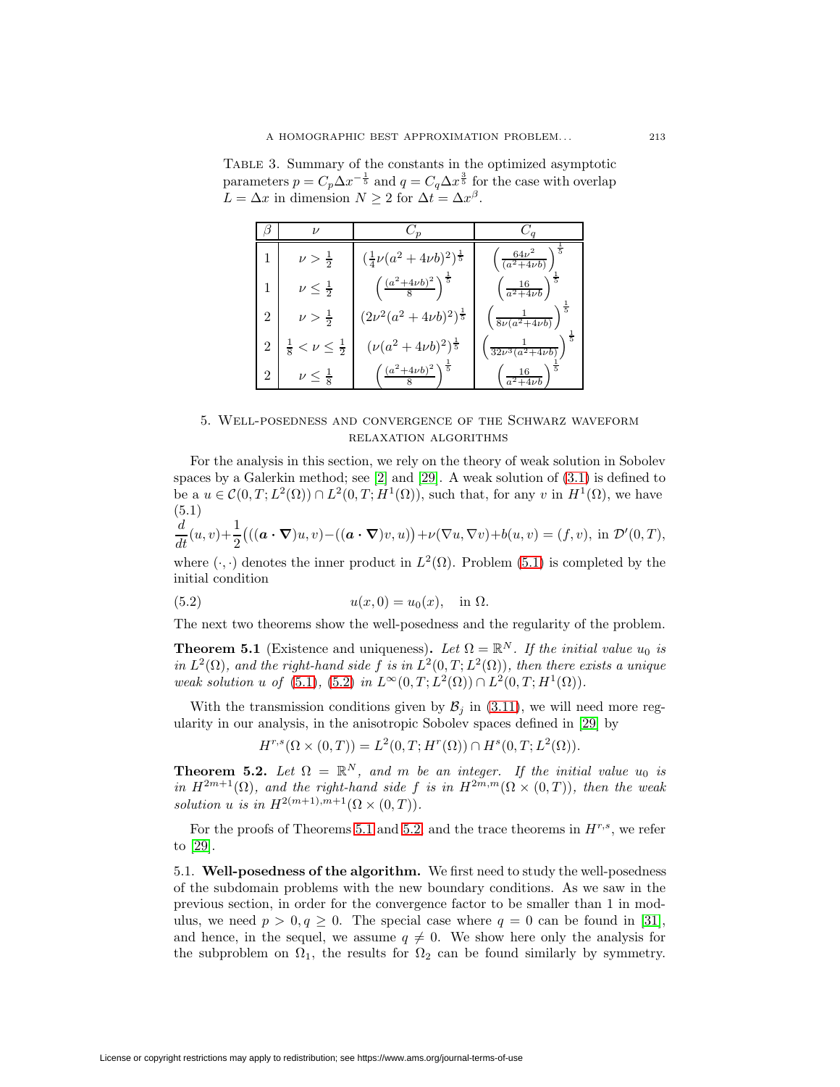<span id="page-28-0"></span>Table 3. Summary of the constants in the optimized asymptotic parameters  $p = C_p \Delta x^{-\frac{1}{5}}$  and  $q = C_q \Delta x^{\frac{3}{5}}$  for the case with overlap  $L = \Delta x$  in dimension  $N \ge 2$  for  $\Delta t = \Delta x^{\beta}$ .

|                | $\nu$                                   |                                                |                                        |
|----------------|-----------------------------------------|------------------------------------------------|----------------------------------------|
|                | $\nu > \frac{1}{2}$                     | $(\frac{1}{4}\nu(a^2+4\nu b)^2)^{\frac{1}{5}}$ | $\overline{5}$<br>$64\nu^2$            |
| 1              | $\nu \leq \frac{1}{2}$                  | $\left(\frac{(a^2+4\nu b)^2}{8}\right)$        | $rac{16}{a^2+4\nu b}$                  |
| 2              | $\nu > \frac{1}{2}$                     | $(2\nu^2(a^2+4\nu b)^2)^{\frac{1}{5}}$         | $\overline{5}$<br>$8\nu(a^2+4\nu b)$   |
| $\overline{2}$ | $\nu \leq \frac{1}{2}$<br>$\frac{1}{8}$ | $(\nu(a^2+4\nu b)^2)^{\frac{1}{5}}$            | $\frac{1}{5}$<br>$32\nu^3(a^2+4\nu b)$ |
| $\overline{2}$ | $\nu \leq \frac{1}{8}$                  | $\frac{(a^2+4\nu b)^2}{a}$                     | $\underline{16}$<br>$a^2+4\nu b$       |

# <span id="page-28-1"></span>5. Well-posedness and convergence of the Schwarz waveform relaxation algorithms

For the analysis in this section, we rely on the theory of weak solution in Sobolev spaces by a Galerkin method; see  $[2]$  and  $[29]$ . A weak solution of  $(3.1)$  is defined to be a  $u \in \mathcal{C}(0,T;L^2(\Omega)) \cap L^2(0,T;H^1(\Omega))$ , such that, for any v in  $H^1(\Omega)$ , we have (5.1)

$$
\frac{d}{dt}(u,v)+\frac{1}{2}\big(((\boldsymbol{a}\cdot\boldsymbol{\nabla})u,v)-((\boldsymbol{a}\cdot\boldsymbol{\nabla})v,u)\big)+\nu(\nabla u,\nabla v)+b(u,v)=(f,v),\text{ in }\mathcal{D}'(0,T),
$$

<span id="page-28-2"></span>where  $(\cdot, \cdot)$  denotes the inner product in  $L^2(\Omega)$ . Problem [\(5.1\)](#page-28-1) is completed by the initial condition

(5.2) 
$$
u(x, 0) = u_0(x), \text{ in } \Omega.
$$

<span id="page-28-3"></span>The next two theorems show the well-posedness and the regularity of the problem.

**Theorem 5.1** (Existence and uniqueness). Let  $\Omega = \mathbb{R}^N$ . If the initial value  $u_0$  is in  $L^2(\Omega)$ , and the right-hand side f is in  $L^2(0,T;L^2(\Omega))$ , then there exists a unique weak solution u of [\(5.1\)](#page-28-1), [\(5.2\)](#page-28-2) in  $L^{\infty}(0,T; L^{2}(\Omega)) \cap L^{2}(0,T; H^{1}(\Omega)).$ 

With the transmission conditions given by  $\mathcal{B}_j$  in [\(3.11\)](#page-11-2), we will need more regularity in our analysis, in the anisotropic Sobolev spaces defined in [\[29\]](#page-38-8) by

$$
H^{r,s}(\Omega \times (0,T)) = L^2(0,T;H^r(\Omega)) \cap H^s(0,T;L^2(\Omega)).
$$

<span id="page-28-4"></span>**Theorem 5.2.** Let  $\Omega = \mathbb{R}^N$ , and m be an integer. If the initial value  $u_0$  is in  $H^{2m+1}(\Omega)$ , and the right-hand side f is in  $H^{2m,m}(\Omega \times (0,T))$ , then the weak solution u is in  $H^{2(m+1),m+1}(\Omega\times(0,T)).$ 

For the proofs of Theorems [5.1](#page-28-3) and [5.2,](#page-28-4) and the trace theorems in  $H^{r,s}$ , we refer to [\[29\]](#page-38-8).

5.1. **Well-posedness of the algorithm.** We first need to study the well-posedness of the subdomain problems with the new boundary conditions. As we saw in the previous section, in order for the convergence factor to be smaller than 1 in modulus, we need  $p > 0, q \ge 0$ . The special case where  $q = 0$  can be found in [\[31\]](#page-38-0), and hence, in the sequel, we assume  $q \neq 0$ . We show here only the analysis for the subproblem on  $\Omega_1$ , the results for  $\Omega_2$  can be found similarly by symmetry.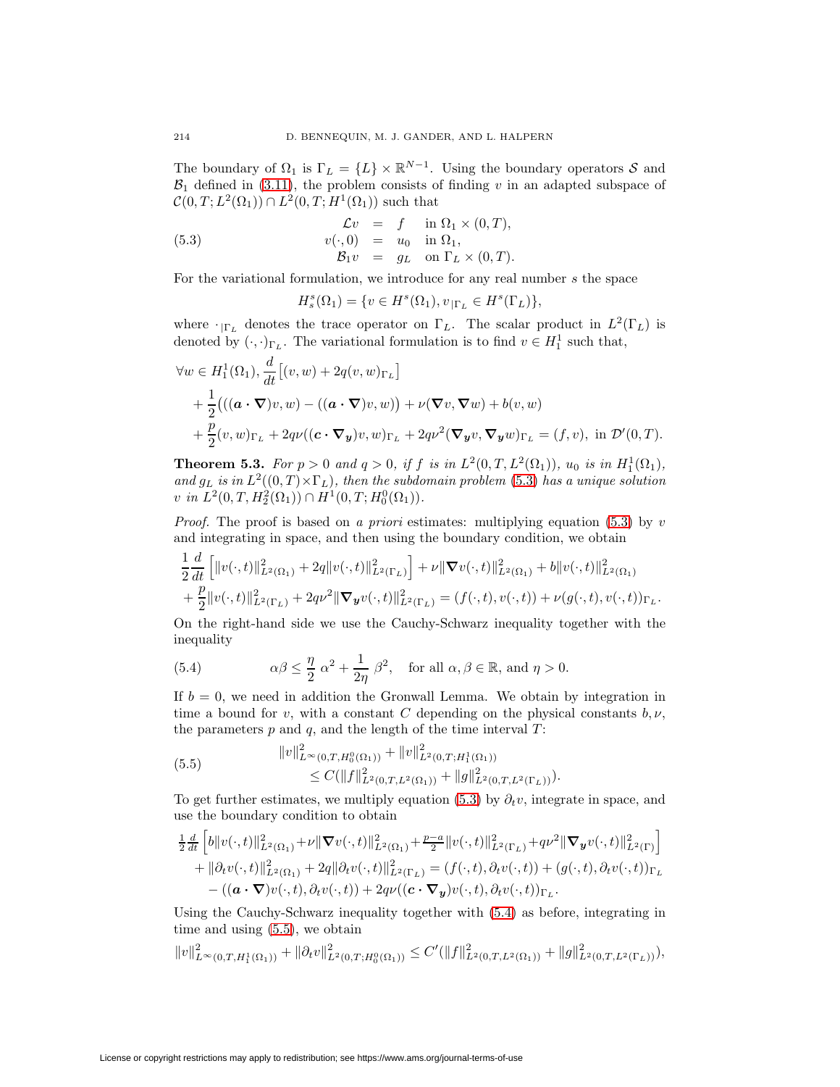The boundary of  $\Omega_1$  is  $\Gamma_L = \{L\} \times \mathbb{R}^{N-1}$ . Using the boundary operators S and  $B_1$  defined in [\(3.11\)](#page-11-2), the problem consists of finding v in an adapted subspace of  $\mathcal{C}(0,T;L^2(\Omega_1)) \cap L^2(0,T;H^1(\Omega_1))$  such that

(5.3) 
$$
\begin{array}{rcl}\n\mathcal{L}v &=& f & \text{in } \Omega_1 \times (0, T), \\
v(\cdot, 0) &=& u_0 & \text{in } \Omega_1, \\
\mathcal{B}_1v &=& g_L & \text{on } \Gamma_L \times (0, T).\n\end{array}
$$

For the variational formulation, we introduce for any real number s the space

<span id="page-29-0"></span>
$$
H_s^s(\Omega_1)=\{v\in H^s(\Omega_1), v_{|\Gamma_L}\in H^s(\Gamma_L)\},
$$

where  $\cdot_{\vert \Gamma_L}$  denotes the trace operator on  $\Gamma_L$ . The scalar product in  $L^2(\Gamma_L)$  is denoted by  $(\cdot, \cdot)_{\Gamma_L}$ . The variational formulation is to find  $v \in H_1^1$  such that,

$$
\forall w \in H_1^1(\Omega_1), \frac{d}{dt} [(v, w) + 2q(v, w)_{\Gamma_L}]
$$
  
+  $\frac{1}{2} (((\mathbf{a} \cdot \nabla) v, w) - ((\mathbf{a} \cdot \nabla) v, w)) + \nu (\nabla v, \nabla w) + b(v, w)$   
+  $\frac{p}{2} (v, w)_{\Gamma_L} + 2q\nu ((\mathbf{c} \cdot \nabla_y) v, w)_{\Gamma_L} + 2q\nu^2 (\nabla_y v, \nabla_y w)_{\Gamma_L} = (f, v), \text{ in } \mathcal{D}'(0, T).$ 

**Theorem 5.3.** For  $p > 0$  and  $q > 0$ , if f is in  $L^2(0,T,L^2(\Omega_1))$ ,  $u_0$  is in  $H_1^1(\Omega_1)$ , and  $g_L$  is in  $L^2((0,T)\times\Gamma_L)$ , then the subdomain problem [\(5.3\)](#page-29-0) has a unique solution v in  $L^2(0,T,H_2^2(\Omega_1)) \cap H^1(0,T;H_0^0(\Omega_1)).$ 

*Proof.* The proof is based on a priori estimates: multiplying equation [\(5.3\)](#page-29-0) by v and integrating in space, and then using the boundary condition, we obtain

$$
\frac{1}{2}\frac{d}{dt}\left[\|v(\cdot,t)\|_{L^2(\Omega_1)}^2 + 2q\|v(\cdot,t)\|_{L^2(\Gamma_L)}^2\right] + \nu \|\nabla v(\cdot,t)\|_{L^2(\Omega_1)}^2 + b\|v(\cdot,t)\|_{L^2(\Omega_1)}^2 + \frac{p}{2}\|v(\cdot,t)\|_{L^2(\Gamma_L)}^2 + 2q\nu^2 \|\nabla_y v(\cdot,t)\|_{L^2(\Gamma_L)}^2 = (f(\cdot,t),v(\cdot,t)) + \nu(g(\cdot,t),v(\cdot,t))_{\Gamma_L}.
$$

<span id="page-29-1"></span>On the right-hand side we use the Cauchy-Schwarz inequality together with the inequality

(5.4) 
$$
\alpha\beta \le \frac{\eta}{2} \alpha^2 + \frac{1}{2\eta} \beta^2, \text{ for all } \alpha, \beta \in \mathbb{R}, \text{ and } \eta > 0.
$$

If  $b = 0$ , we need in addition the Gronwall Lemma. We obtain by integration in time a bound for v, with a constant C depending on the physical constants  $b, \nu$ , the parameters  $p$  and  $q$ , and the length of the time interval  $T$ :

<span id="page-29-2"></span>(5.5) 
$$
||v||_{L^{\infty}(0,T,H_0^0(\Omega_1))}^2 + ||v||_{L^2(0,T,H_1^1(\Omega_1))}^2 \n\leq C(||f||_{L^2(0,T,L^2(\Omega_1))}^2 + ||g||_{L^2(0,T,L^2(\Gamma_L))}^2).
$$

To get further estimates, we multiply equation [\(5.3\)](#page-29-0) by  $\partial_t v$ , integrate in space, and use the boundary condition to obtain

$$
\begin{aligned}\tfrac{1}{2}\tfrac{d}{dt}\left[b\|v(\cdot,t)\|_{L^2(\Omega_1)}^2 + \nu\|\boldsymbol{\nabla}v(\cdot,t)\|_{L^2(\Omega_1)}^2 + \tfrac{p-a}{2}\|v(\cdot,t)\|_{L^2(\Gamma_L)}^2 + q\nu^2\|\boldsymbol{\nabla}_{\boldsymbol{y}}v(\cdot,t)\|_{L^2(\Gamma)}^2\right] \\ + \|\partial_t v(\cdot,t)\|_{L^2(\Omega_1)}^2 + 2q\|\partial_t v(\cdot,t)\|_{L^2(\Gamma_L)}^2 = (f(\cdot,t),\partial_t v(\cdot,t)) + (g(\cdot,t),\partial_t v(\cdot,t))_{\Gamma_L} \\ - \big((\boldsymbol{a}\cdot\boldsymbol{\nabla})v(\cdot,t),\partial_t v(\cdot,t)\big) + 2q\nu\big((\boldsymbol{c}\cdot\boldsymbol{\nabla}_{\boldsymbol{y}})v(\cdot,t),\partial_t v(\cdot,t)\big)_{\Gamma_L}.\end{aligned}
$$

Using the Cauchy-Schwarz inequality together with [\(5.4\)](#page-29-1) as before, integrating in time and using [\(5.5\)](#page-29-2), we obtain

$$
||v||_{L^{\infty}(0,T,H_1^1(\Omega_1))}^2 + ||\partial_t v||_{L^2(0,T;H_0^0(\Omega_1))}^2 \leq C'(||f||_{L^2(0,T,L^2(\Omega_1))}^2 + ||g||_{L^2(0,T,L^2(\Gamma_L))}^2),
$$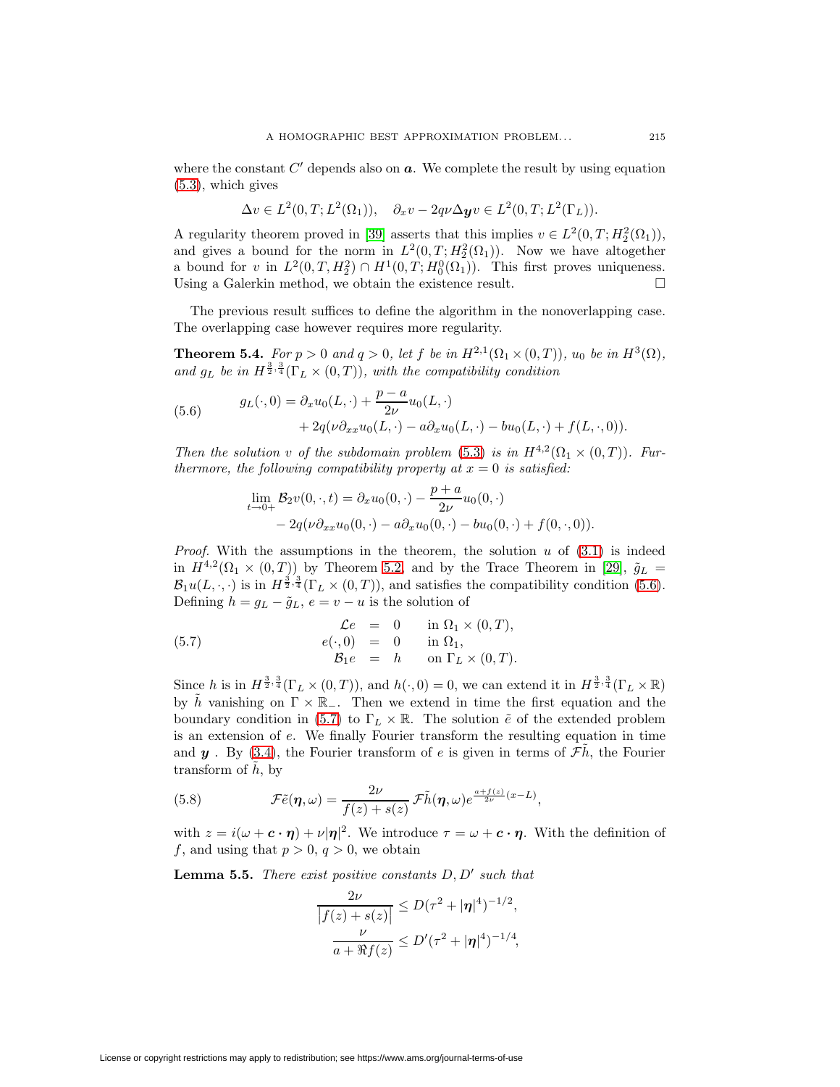where the constant  $C'$  depends also on  $a$ . We complete the result by using equation [\(5.3\)](#page-29-0), which gives

$$
\Delta v \in L^2(0,T;L^2(\Omega_1)), \quad \partial_x v - 2q\nu \Delta \mathbf{y} v \in L^2(0,T;L^2(\Gamma_L)).
$$

A regularity theorem proved in [\[39\]](#page-38-9) asserts that this implies  $v \in L^2(0,T; H_2^2(\Omega_1))$ , and gives a bound for the norm in  $L^2(0,T; H_2^2(\Omega_1))$ . Now we have altogether a bound for v in  $L^2(0,T,H_2^2) \cap H^1(0,T;H_0^0(\Omega_1))$ . This first proves uniqueness. Using a Galerkin method, we obtain the existence result.  $\Box$ 

<span id="page-30-4"></span>The previous result suffices to define the algorithm in the nonoverlapping case. The overlapping case however requires more regularity.

**Theorem 5.4.** For  $p > 0$  and  $q > 0$ , let f be in  $H^{2,1}(\Omega_1 \times (0,T))$ ,  $u_0$  be in  $H^3(\Omega)$ , and  $g_L$  be in  $H^{\frac{3}{2},\frac{3}{4}}(\Gamma_L \times (0,T))$ , with the compatibility condition

(5.6) 
$$
g_L(\cdot, 0) = \partial_x u_0(L, \cdot) + \frac{p - a}{2\nu} u_0(L, \cdot) + 2q(\nu \partial_{xx} u_0(L, \cdot) - a \partial_x u_0(L, \cdot) - bu_0(L, \cdot) + f(L, \cdot, 0)).
$$

Then the solution v of the subdomain problem [\(5.3\)](#page-29-0) is in  $H^{4,2}(\Omega_1 \times (0,T))$ . Furthermore, the following compatibility property at  $x = 0$  is satisfied:

<span id="page-30-1"></span><span id="page-30-0"></span>
$$
\lim_{t \to 0+} \mathcal{B}_2 v(0, \cdot, t) = \partial_x u_0(0, \cdot) - \frac{p+a}{2\nu} u_0(0, \cdot) \n- 2q(\nu \partial_{xx} u_0(0, \cdot) - a \partial_x u_0(0, \cdot) - bu_0(0, \cdot) + f(0, \cdot, 0)).
$$

*Proof.* With the assumptions in the theorem, the solution  $u$  of  $(3.1)$  is indeed in  $H^{4,2}(\Omega_1 \times (0,T))$  by Theorem [5.2,](#page-28-4) and by the Trace Theorem in [\[29\]](#page-38-8),  $\tilde{g}_L$  =  $\mathcal{B}_1u(L,\cdot,\cdot)$  is in  $H^{\frac{3}{2},\frac{3}{4}}(\Gamma_L\times(0,T))$ , and satisfies the compatibility condition [\(5.6\)](#page-30-0). Defining  $h = g_L - \tilde{g}_L$ ,  $e = v - u$  is the solution of

(5.7) 
$$
\mathcal{L}e = 0 \quad \text{in } \Omega_1 \times (0, T),
$$

$$
e(\cdot, 0) = 0 \quad \text{in } \Omega_1,
$$

$$
\mathcal{B}_1e = h \quad \text{on } \Gamma_L \times (0, T).
$$

Since h is in  $H^{\frac{3}{2},\frac{3}{4}}(\Gamma_L\times(0,T))$ , and  $h(\cdot,0)=0$ , we can extend it in  $H^{\frac{3}{2},\frac{3}{4}}(\Gamma_L\times\mathbb{R})$ by  $\tilde{h}$  vanishing on  $\Gamma \times \mathbb{R}_-$ . Then we extend in time the first equation and the boundary condition in [\(5.7\)](#page-30-1) to  $\Gamma_L \times \mathbb{R}$ . The solution  $\tilde{e}$  of the extended problem is an extension of e. We finally Fourier transform the resulting equation in time and  $y$ . By [\(3.4\)](#page-10-0), the Fourier transform of e is given in terms of  $\mathcal{F}\tilde{h}$ , the Fourier transform of  $\tilde{h}$ , by

<span id="page-30-2"></span>(5.8) 
$$
\mathcal{F}\tilde{e}(\boldsymbol{\eta},\omega)=\frac{2\nu}{f(z)+s(z)}\,\mathcal{F}\tilde{h}(\boldsymbol{\eta},\omega)e^{\frac{a+f(z)}{2\nu}(x-L)},
$$

<span id="page-30-3"></span>with  $z = i(\omega + c \cdot \eta) + \nu |\eta|^2$ . We introduce  $\tau = \omega + c \cdot \eta$ . With the definition of f, and using that  $p > 0$ ,  $q > 0$ , we obtain

**Lemma 5.5.** There exist positive constants  $D, D'$  such that

$$
\frac{2\nu}{|f(z) + s(z)|} \le D(\tau^2 + |\eta|^4)^{-1/2},
$$
  

$$
\frac{\nu}{a + \Re f(z)} \le D'(\tau^2 + |\eta|^4)^{-1/4},
$$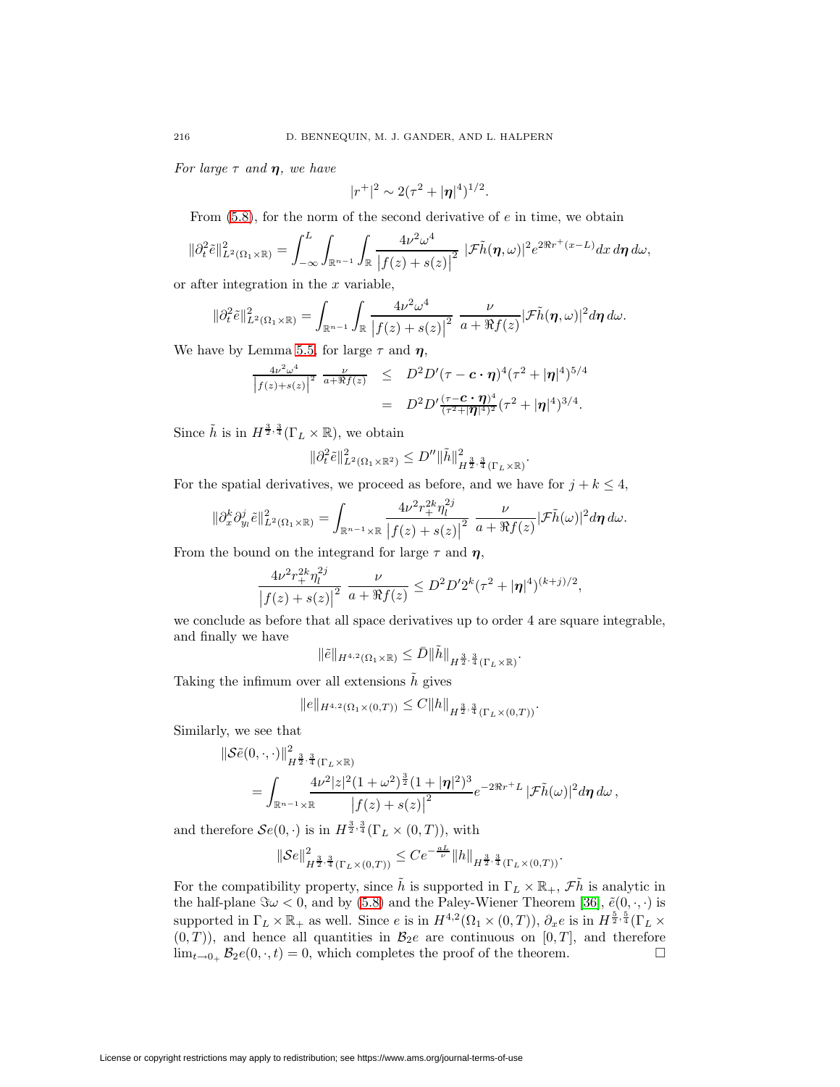For large  $\tau$  and  $\eta$ , we have

$$
|r^+|^2 \sim 2(\tau^2 + |\eta|^4)^{1/2}.
$$

From  $(5.8)$ , for the norm of the second derivative of  $e$  in time, we obtain

$$
\|\partial_t^2 \tilde{e}\|_{L^2(\Omega_1\times\mathbb{R})}^2 = \int_{-\infty}^L \int_{\mathbb{R}^{n-1}} \int_{\mathbb{R}} \frac{4\nu^2 \omega^4}{\left|f(z)+s(z)\right|^2} \, |\mathcal{F}\tilde{h}(\boldsymbol{\eta},\omega)|^2 e^{2\Re r^+(x-L)} dx \, d\boldsymbol{\eta} \, d\omega,
$$

or after integration in the  $x$  variable,

$$
\|\partial_t^2 \tilde{e}\|_{L^2(\Omega_1\times\mathbb{R})}^2 = \int_{\mathbb{R}^{n-1}} \int_{\mathbb{R}} \frac{4\nu^2 \omega^4}{\left|f(z)+s(z)\right|^2} \frac{\nu}{a+\Re f(z)} |\mathcal{F}\tilde{h}(\eta,\omega)|^2 d\eta d\omega.
$$

We have by Lemma [5.5,](#page-30-3) for large  $\tau$  and  $\eta$ ,

$$
\frac{4\nu^2 \omega^4}{\left|f(z)+s(z)\right|^2} \frac{\nu}{a+ \Re f(z)} \leq D^2 D'(\tau - c \cdot \eta)^4 (\tau^2 + |\eta|^4)^{5/4}
$$

$$
= D^2 D' \frac{(\tau - c \cdot \eta)^4}{(\tau^2 + |\eta|^4)^2} (\tau^2 + |\eta|^4)^{3/4}.
$$

Since  $\tilde{h}$  is in  $H^{\frac{3}{2},\frac{3}{4}}(\Gamma_L \times \mathbb{R})$ , we obtain

$$
\|\partial_t^2 \tilde{e}\|_{L^2(\Omega_1\times\mathbb{R}^2)}^2 \le D'' \|\tilde{h}\|_{H^{\frac{3}{2},\frac{3}{4}}(\Gamma_L\times\mathbb{R})}^2.
$$

For the spatial derivatives, we proceed as before, and we have for  $j + k \leq 4$ ,

$$
\|\partial_x^k \partial_{y_l}^j \tilde{e}\|^2_{L^2(\Omega_1\times\mathbb{R})} = \int_{\mathbb{R}^{n-1}\times\mathbb{R}} \frac{4\nu^2 r_+^{2k} \eta_l^{2j}}{\big|f(z)+s(z)\big|^2} \frac{\nu}{a+\Re f(z)} |\mathcal{F}\tilde{h}(\omega)|^2 d\eta \,d\omega.
$$

From the bound on the integrand for large  $\tau$  and  $\eta$ ,

$$
\frac{4\nu^2 r_+^{2k} \eta_l^{2j}}{\big|f(z) + s(z)\big|^2} \frac{\nu}{a + \Re f(z)} \le D^2 D' 2^k (\tau^2 + |\eta|^4)^{(k+j)/2},
$$

we conclude as before that all space derivatives up to order 4 are square integrable, and finally we have

$$
\|\tilde{e}\|_{H^{4,2}(\Omega_1\times\mathbb{R})}\leq \bar{D}\|\tilde{h}\|_{H^{\frac{3}{2},\frac{3}{4}}(\Gamma_L\times\mathbb{R})}.
$$

Taking the infimum over all extensions  $\tilde{h}$  gives

$$
||e||_{H^{4,2}(\Omega_1 \times (0,T))} \leq C||h||_{H^{\frac{3}{2},\frac{3}{4}}(\Gamma_L \times (0,T))}.
$$

Similarly, we see that

$$
\|\mathcal{S}\tilde{e}(0,\cdot,\cdot)\|_{H^{\frac{3}{2},\frac{3}{4}}(\Gamma_L\times\mathbb{R})}^2 = \int_{\mathbb{R}^{n-1}\times\mathbb{R}} \frac{4\nu^2|z|^2(1+\omega^2)^{\frac{3}{2}}(1+|\pmb{\eta}|^2)^3}{|f(z)+s(z)|^2} e^{-2\Re r^+L} |\mathcal{F}\tilde{h}(\omega)|^2 d\pmb{\eta} d\omega,
$$

and therefore  $\mathcal{S}e(0,\cdot)$  is in  $H^{\frac{3}{2},\frac{3}{4}}(\Gamma_L\times(0,T))$ , with

$$
\|\mathcal{S}e\|_{H^{\frac{3}{2},\frac{3}{4}}(\Gamma_L\times(0,T))}^2 \le Ce^{-\frac{aL}{\nu}} \|h\|_{H^{\frac{3}{2},\frac{3}{4}}(\Gamma_L\times(0,T))}.
$$

For the compatibility property, since  $\tilde{h}$  is supported in  $\Gamma_L \times \mathbb{R}_+$ ,  $\tilde{\mathcal{F}}\tilde{h}$  is analytic in the half-plane  $\Im \omega < 0$ , and by [\(5.8\)](#page-30-2) and the Paley-Wiener Theorem [\[36\]](#page-38-10),  $\tilde{e}(0, \cdot, \cdot)$  is supported in  $\Gamma_L \times \mathbb{R}_+$  as well. Since e is in  $H^{4,2}(\Omega_1 \times (0,T))$ ,  $\partial_x e$  is in  $H^{\frac{5}{2},\frac{5}{4}}(\Gamma_L \times$  $(0,T)$ , and hence all quantities in  $\mathcal{B}_2e$  are continuous on  $[0,T]$ , and therefore  $\lim_{t\to 0_+} \mathcal{B}_2e(0, \cdot, t)=0$ , which completes the proof of the theorem.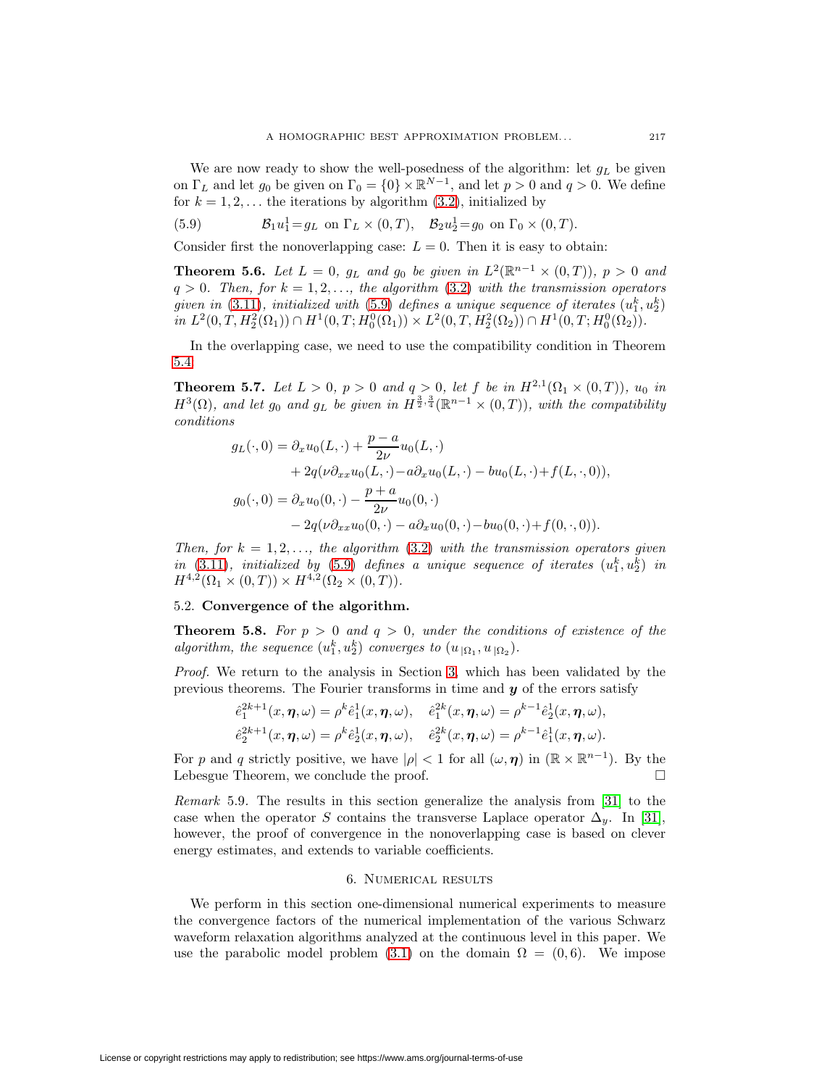We are now ready to show the well-posedness of the algorithm: let  $g_L$  be given on  $\Gamma_L$  and let  $g_0$  be given on  $\Gamma_0 = \{0\} \times \mathbb{R}^{N-1}$ , and let  $p > 0$  and  $q > 0$ . We define for  $k = 1, 2, \ldots$  the iterations by algorithm [\(3.2\)](#page-9-2), initialized by

<span id="page-32-1"></span>(5.9) 
$$
\mathcal{B}_1 u_1^1 = g_L \text{ on } \Gamma_L \times (0, T), \quad \mathcal{B}_2 u_2^1 = g_0 \text{ on } \Gamma_0 \times (0, T).
$$

Consider first the nonoverlapping case:  $L = 0$ . Then it is easy to obtain:

**Theorem 5.6.** Let  $L = 0$ ,  $g_L$  and  $g_0$  be given in  $L^2(\mathbb{R}^{n-1} \times (0,T))$ ,  $p > 0$  and  $q > 0$ . Then, for  $k = 1, 2, \ldots$ , the algorithm [\(3.2\)](#page-9-2) with the transmission operators given in  $(3.11)$ , initialized with  $(5.9)$  defines a unique sequence of iterates  $(u_1^k, u_2^k)$ in  $L^2(0,T,H_2^2(\Omega_1)) \cap H^1(0,T;H_0^0(\Omega_1)) \times L^2(0,T,H_2^2(\Omega_2)) \cap H^1(0,T;H_0^0(\Omega_2)).$ 

In the overlapping case, we need to use the compatibility condition in Theorem [5.4:](#page-30-4)

**Theorem 5.7.** Let  $L > 0$ ,  $p > 0$  and  $q > 0$ , let f be in  $H^{2,1}(\Omega_1 \times (0,T))$ ,  $u_0$  in  $H^3(\Omega)$ , and let  $g_0$  and  $g_L$  be given in  $H^{\frac{3}{2},\frac{3}{4}}(\mathbb{R}^{n-1}\times(0,T))$ , with the compatibility conditions

$$
g_L(\cdot, 0) = \partial_x u_0(L, \cdot) + \frac{p - a}{2\nu} u_0(L, \cdot) + 2q(\nu \partial_{xx} u_0(L, \cdot) - a \partial_x u_0(L, \cdot) - bu_0(L, \cdot) + f(L, \cdot, 0)),
$$
  

$$
g_0(\cdot, 0) = \partial_x u_0(0, \cdot) - \frac{p + a}{2\nu} u_0(0, \cdot) - 2q(\nu \partial_{xx} u_0(0, \cdot) - a \partial_x u_0(0, \cdot) - bu_0(0, \cdot) + f(0, \cdot, 0)).
$$

Then, for  $k = 1, 2, \ldots$ , the algorithm [\(3.2\)](#page-9-2) with the transmission operators given in  $(3.11)$ , initialized by  $(5.9)$  defines a unique sequence of iterates  $(u_1^k, u_2^k)$  in  $H^{4,2}(\Omega_1 \times (0,T)) \times H^{4,2}(\Omega_2 \times (0,T)).$ 

# 5.2. **Convergence of the algorithm.**

**Theorem 5.8.** For  $p > 0$  and  $q > 0$ , under the conditions of existence of the algorithm, the sequence  $(u_1^k, u_2^k)$  converges to  $(u_{|\Omega_1}, u_{|\Omega_2})$ .

Proof. We return to the analysis in Section [3,](#page-8-3) which has been validated by the previous theorems. The Fourier transforms in time and *y* of the errors satisfy

$$
\hat{e}_1^{2k+1}(x, \eta, \omega) = \rho^k \hat{e}_1^1(x, \eta, \omega), \quad \hat{e}_1^{2k}(x, \eta, \omega) = \rho^{k-1} \hat{e}_2^1(x, \eta, \omega), \n\hat{e}_2^{2k+1}(x, \eta, \omega) = \rho^k \hat{e}_2^1(x, \eta, \omega), \quad \hat{e}_2^{2k}(x, \eta, \omega) = \rho^{k-1} \hat{e}_1^1(x, \eta, \omega).
$$

For p and q strictly positive, we have  $|\rho| < 1$  for all  $(\omega, \eta)$  in  $(\mathbb{R} \times \mathbb{R}^{n-1})$ . By the Lebesgue Theorem, we conclude the proof.

Remark 5.9. The results in this section generalize the analysis from [\[31\]](#page-38-0) to the case when the operator S contains the transverse Laplace operator  $\Delta_{y}$ . In [\[31\]](#page-38-0), however, the proof of convergence in the nonoverlapping case is based on clever energy estimates, and extends to variable coefficients.

#### 6. Numerical results

<span id="page-32-0"></span>We perform in this section one-dimensional numerical experiments to measure the convergence factors of the numerical implementation of the various Schwarz waveform relaxation algorithms analyzed at the continuous level in this paper. We use the parabolic model problem [\(3.1\)](#page-9-0) on the domain  $\Omega = (0, 6)$ . We impose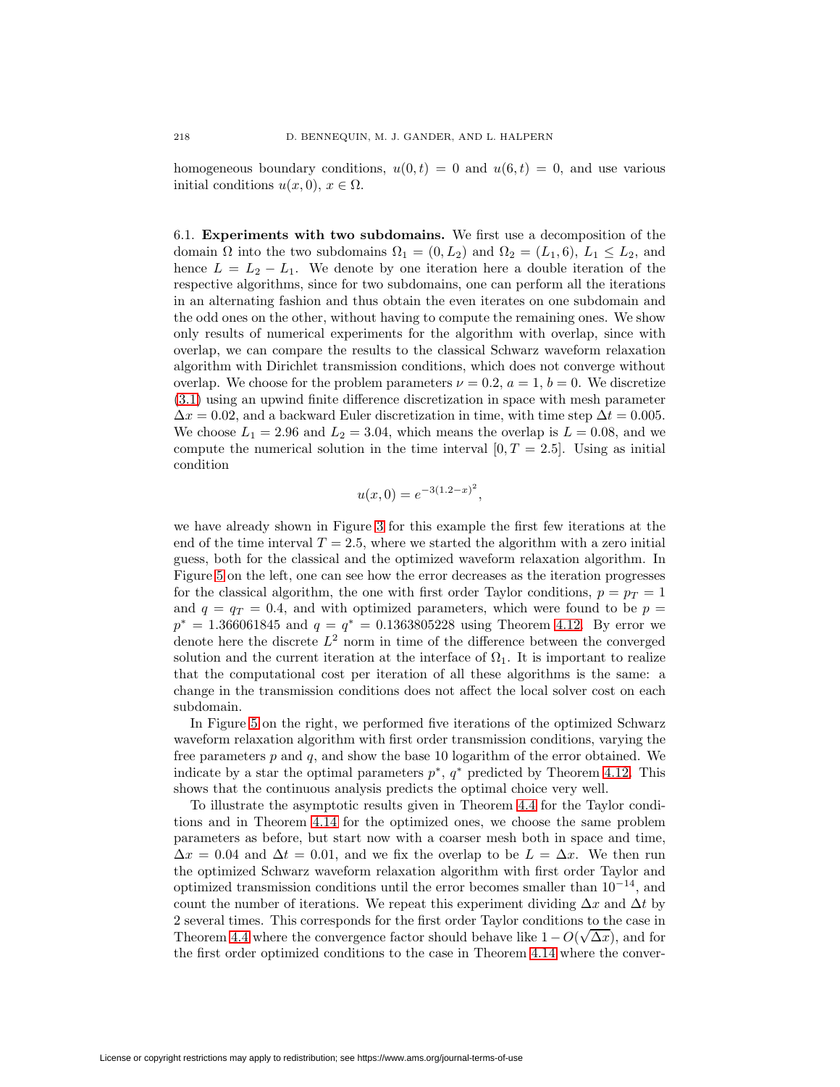homogeneous boundary conditions,  $u(0, t) = 0$  and  $u(6, t) = 0$ , and use various initial conditions  $u(x, 0), x \in \Omega$ .

6.1. **Experiments with two subdomains.** We first use a decomposition of the domain  $\Omega$  into the two subdomains  $\Omega_1 = (0, L_2)$  and  $\Omega_2 = (L_1, 6), L_1 \leq L_2$ , and hence  $L = L_2 - L_1$ . We denote by one iteration here a double iteration of the respective algorithms, since for two subdomains, one can perform all the iterations in an alternating fashion and thus obtain the even iterates on one subdomain and the odd ones on the other, without having to compute the remaining ones. We show only results of numerical experiments for the algorithm with overlap, since with overlap, we can compare the results to the classical Schwarz waveform relaxation algorithm with Dirichlet transmission conditions, which does not converge without overlap. We choose for the problem parameters  $\nu = 0.2$ ,  $a = 1$ ,  $b = 0$ . We discretize [\(3.1\)](#page-9-0) using an upwind finite difference discretization in space with mesh parameter  $\Delta x = 0.02$ , and a backward Euler discretization in time, with time step  $\Delta t = 0.005$ . We choose  $L_1 = 2.96$  and  $L_2 = 3.04$ , which means the overlap is  $L = 0.08$ , and we compute the numerical solution in the time interval  $[0, T = 2.5]$ . Using as initial condition

$$
u(x,0) = e^{-3(1.2-x)^2},
$$

we have already shown in Figure [3](#page-22-0) for this example the first few iterations at the end of the time interval  $T = 2.5$ , where we started the algorithm with a zero initial guess, both for the classical and the optimized waveform relaxation algorithm. In Figure [5](#page-34-0) on the left, one can see how the error decreases as the iteration progresses for the classical algorithm, the one with first order Taylor conditions,  $p = p_T = 1$ and  $q = q_T = 0.4$ , and with optimized parameters, which were found to be  $p =$  $p^* = 1.366061845$  and  $q = q^* = 0.1363805228$  using Theorem [4.12.](#page-19-4) By error we denote here the discrete  $L^2$  norm in time of the difference between the converged solution and the current iteration at the interface of  $\Omega_1$ . It is important to realize that the computational cost per iteration of all these algorithms is the same: a change in the transmission conditions does not affect the local solver cost on each subdomain.

In Figure [5](#page-34-0) on the right, we performed five iterations of the optimized Schwarz waveform relaxation algorithm with first order transmission conditions, varying the free parameters p and q, and show the base 10 logarithm of the error obtained. We indicate by a star the optimal parameters  $p^*$ ,  $q^*$  predicted by Theorem [4.12.](#page-19-4) This shows that the continuous analysis predicts the optimal choice very well.

To illustrate the asymptotic results given in Theorem [4.4](#page-13-3) for the Taylor conditions and in Theorem [4.14](#page-23-1) for the optimized ones, we choose the same problem parameters as before, but start now with a coarser mesh both in space and time,  $\Delta x = 0.04$  and  $\Delta t = 0.01$ , and we fix the overlap to be  $L = \Delta x$ . We then run the optimized Schwarz waveform relaxation algorithm with first order Taylor and optimized transmission conditions until the error becomes smaller than  $10^{-14}$ , and count the number of iterations. We repeat this experiment dividing  $\Delta x$  and  $\Delta t$  by 2 several times. This corresponds for the first order Taylor conditions to the case in Theorem [4.4](#page-13-3) where the convergence factor should behave like  $1-O(\sqrt{\Delta x})$ , and for the first order optimized conditions to the case in Theorem [4.14](#page-23-1) where the conver-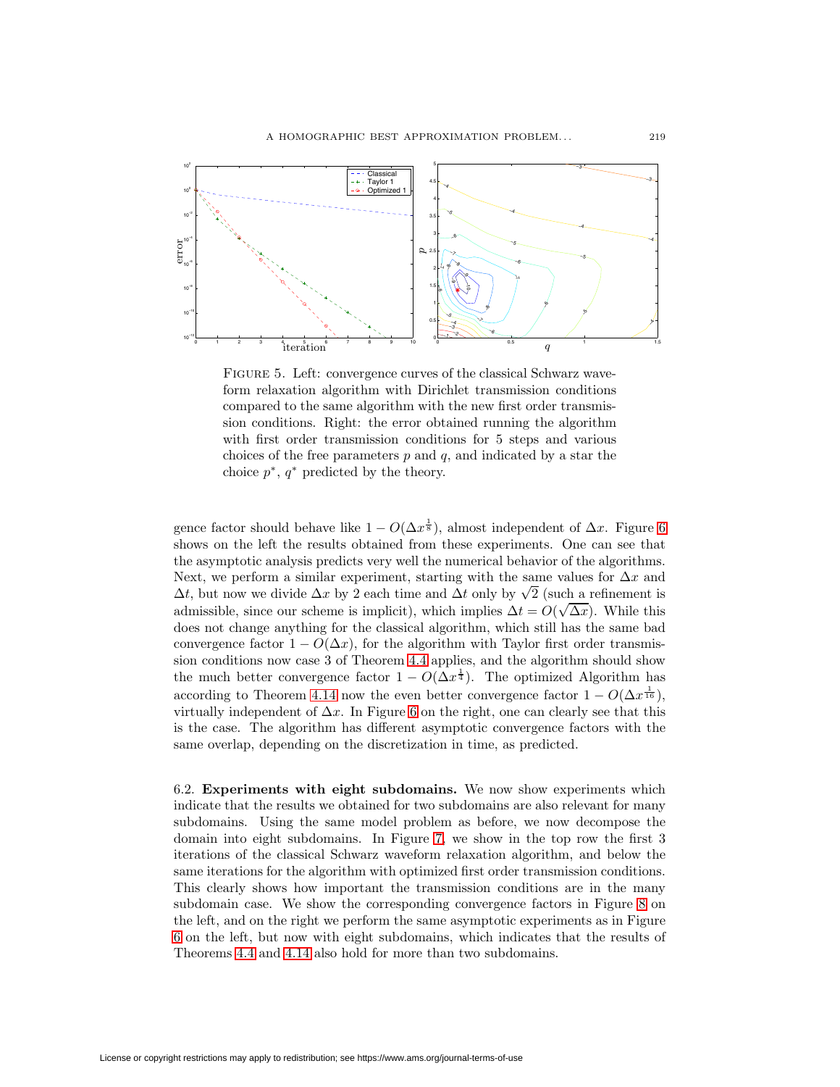

<span id="page-34-0"></span>FIGURE 5. Left: convergence curves of the classical Schwarz waveform relaxation algorithm with Dirichlet transmission conditions compared to the same algorithm with the new first order transmission conditions. Right: the error obtained running the algorithm with first order transmission conditions for 5 steps and various choices of the free parameters  $p$  and  $q$ , and indicated by a star the choice  $p^*$ ,  $q^*$  predicted by the theory.

gence factor should behave like  $1 - O(\Delta x^{\frac{1}{8}})$ , almost independent of  $\Delta x$ . Figure [6](#page-35-0) shows on the left the results obtained from these experiments. One can see that the asymptotic analysis predicts very well the numerical behavior of the algorithms. Next, we perform a similar experiment, starting with the same values for  $\Delta x$  and Next, we perform a similar experiment, starting with the same values for  $\Delta x$  and  $\Delta t$ , but now we divide  $\Delta x$  by 2 each time and  $\Delta t$  only by  $\sqrt{2}$  (such a refinement is admissible, since our scheme is implicit), which implies  $\Delta t = O(\sqrt{\Delta x})$ . While this does not change anything for the classical algorithm, which still has the same bad convergence factor  $1 - O(\Delta x)$ , for the algorithm with Taylor first order transmission conditions now case 3 of Theorem [4.4](#page-13-3) applies, and the algorithm should show the much better convergence factor  $1 - O(\Delta x^{\frac{1}{4}})$ . The optimized Algorithm has according to Theorem [4.14](#page-23-1) now the even better convergence factor  $1 - O(\Delta x^{\frac{1}{16}})$ , virtually independent of  $\Delta x$ . In Figure [6](#page-35-0) on the right, one can clearly see that this is the case. The algorithm has different asymptotic convergence factors with the same overlap, depending on the discretization in time, as predicted.

6.2. **Experiments with eight subdomains.** We now show experiments which indicate that the results we obtained for two subdomains are also relevant for many subdomains. Using the same model problem as before, we now decompose the domain into eight subdomains. In Figure [7,](#page-35-1) we show in the top row the first 3 iterations of the classical Schwarz waveform relaxation algorithm, and below the same iterations for the algorithm with optimized first order transmission conditions. This clearly shows how important the transmission conditions are in the many subdomain case. We show the corresponding convergence factors in Figure [8](#page-36-5) on the left, and on the right we perform the same asymptotic experiments as in Figure [6](#page-35-0) on the left, but now with eight subdomains, which indicates that the results of Theorems [4.4](#page-13-3) and [4.14](#page-23-1) also hold for more than two subdomains.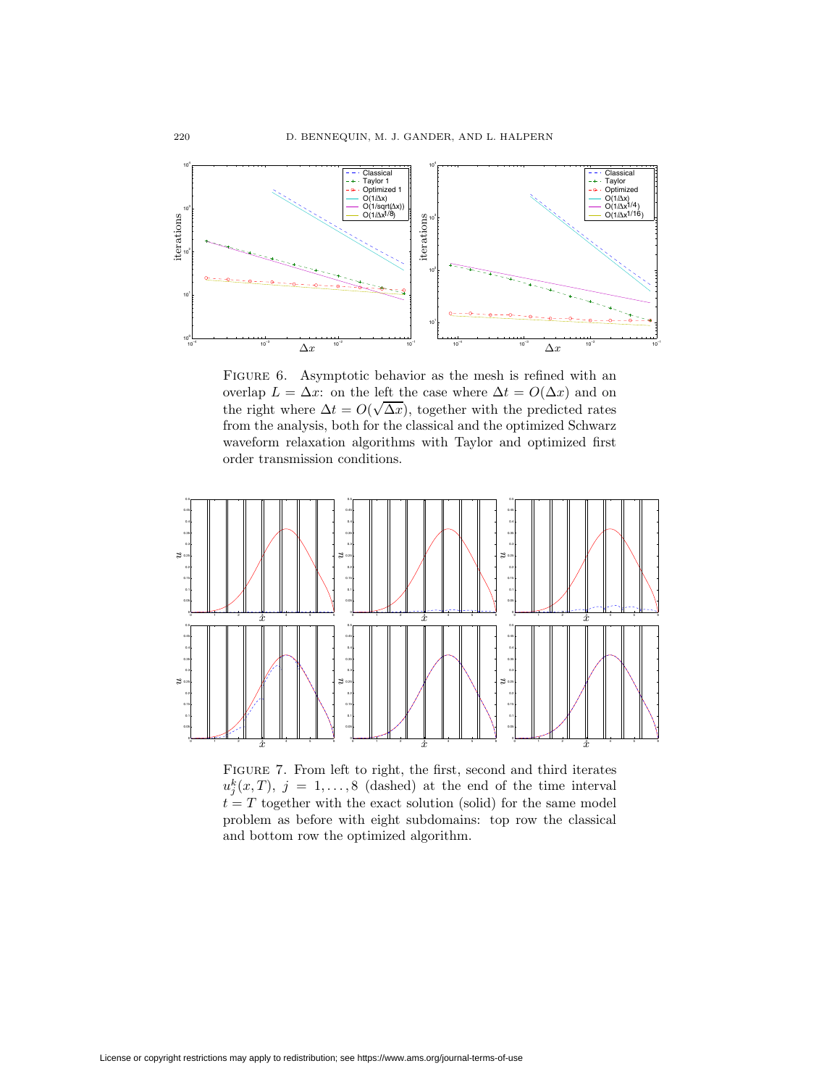

<span id="page-35-0"></span>FIGURE 6. Asymptotic behavior as the mesh is refined with an overlap  $L = \Delta x$ : on the left the case where  $\Delta t = O(\Delta x)$  and on the right where  $\Delta t = O(\sqrt{\Delta x})$ , together with the predicted rates from the analysis, both for the classical and the optimized Schwarz waveform relaxation algorithms with Taylor and optimized first order transmission conditions.



<span id="page-35-1"></span>Figure 7. From left to right, the first, second and third iterates  $u_j^k(x,T)$ ,  $j = 1,...,8$  (dashed) at the end of the time interval  $t = T$  together with the exact solution (solid) for the same model problem as before with eight subdomains: top row the classical and bottom row the optimized algorithm.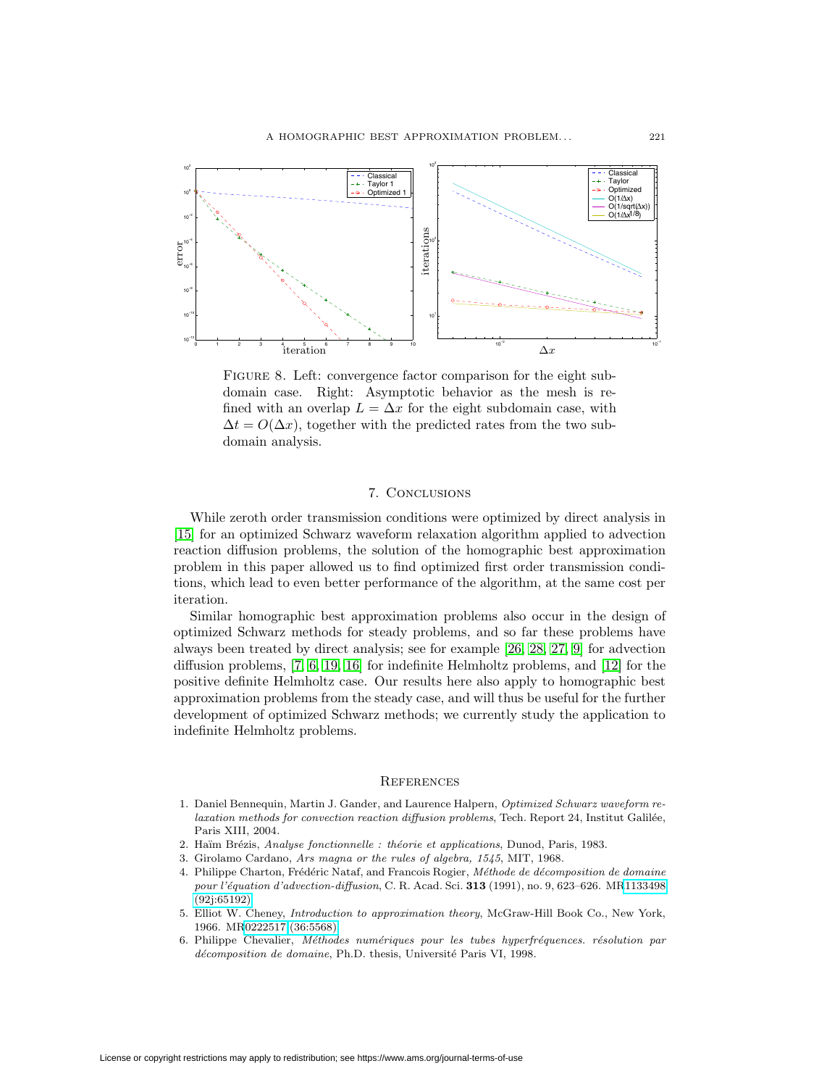

<span id="page-36-5"></span>FIGURE 8. Left: convergence factor comparison for the eight subdomain case. Right: Asymptotic behavior as the mesh is refined with an overlap  $L = \Delta x$  for the eight subdomain case, with  $\Delta t = O(\Delta x)$ , together with the predicted rates from the two subdomain analysis.

## 7. Conclusions

While zeroth order transmission conditions were optimized by direct analysis in [\[15\]](#page-37-12) for an optimized Schwarz waveform relaxation algorithm applied to advection reaction diffusion problems, the solution of the homographic best approximation problem in this paper allowed us to find optimized first order transmission conditions, which lead to even better performance of the algorithm, at the same cost per iteration.

Similar homographic best approximation problems also occur in the design of optimized Schwarz methods for steady problems, and so far these problems have always been treated by direct analysis; see for example [\[26,](#page-37-14) [28,](#page-37-15) [27,](#page-37-16) [9\]](#page-37-17) for advection diffusion problems, [\[7,](#page-37-18) [6,](#page-36-6) [19,](#page-37-19) [16\]](#page-37-20) for indefinite Helmholtz problems, and [\[12\]](#page-37-21) for the positive definite Helmholtz case. Our results here also apply to homographic best approximation problems from the steady case, and will thus be useful for the further development of optimized Schwarz methods; we currently study the application to indefinite Helmholtz problems.

#### **REFERENCES**

- <span id="page-36-1"></span>1. Daniel Bennequin, Martin J. Gander, and Laurence Halpern, Optimized Schwarz waveform re $laxation$  methods for convection reaction diffusion problems, Tech. Report 24, Institut Galilée, Paris XIII, 2004.
- <span id="page-36-4"></span><span id="page-36-3"></span>2. Haïm Brézis, Analyse fonctionnelle : théorie et applications, Dunod, Paris, 1983.
- <span id="page-36-2"></span>3. Girolamo Cardano, Ars magna or the rules of algebra, 1545, MIT, 1968.
- 4. Philippe Charton, Frédéric Nataf, and Francois Rogier, Méthode de décomposition de domaine pour l'´equation d'advection-diffusion, C. R. Acad. Sci. **313** (1991), no. 9, 623–626. M[R1133498](http://www.ams.org/mathscinet-getitem?mr=1133498) [\(92j:65192\)](http://www.ams.org/mathscinet-getitem?mr=1133498)
- <span id="page-36-0"></span>5. Elliot W. Cheney, Introduction to approximation theory, McGraw-Hill Book Co., New York, 1966. M[R0222517 \(36:5568\)](http://www.ams.org/mathscinet-getitem?mr=0222517)
- <span id="page-36-6"></span>6. Philippe Chevalier, Méthodes numériques pour les tubes hyperfréquences. résolution par décomposition de domaine, Ph.D. thesis, Université Paris VI, 1998.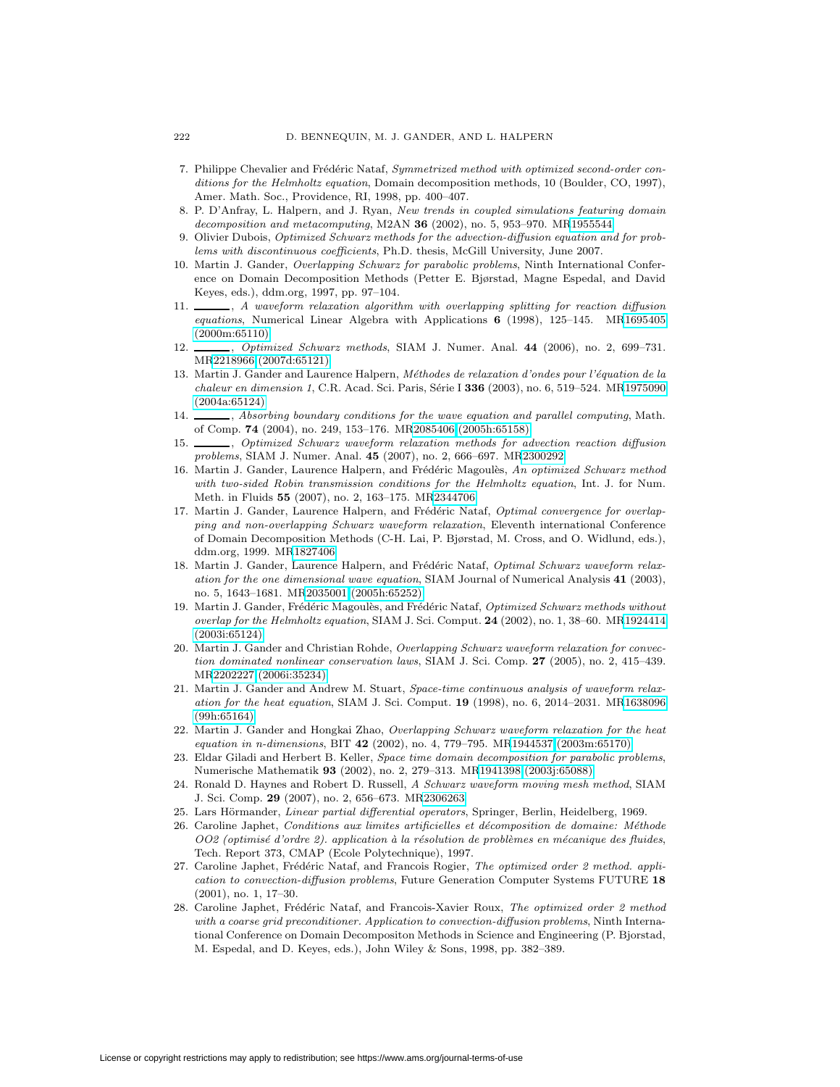- <span id="page-37-18"></span>7. Philippe Chevalier and Frédéric Nataf, Symmetrized method with optimized second-order conditions for the Helmholtz equation, Domain decomposition methods, 10 (Boulder, CO, 1997), Amer. Math. Soc., Providence, RI, 1998, pp. 400–407.
- <span id="page-37-8"></span>8. P. D'Anfray, L. Halpern, and J. Ryan, New trends in coupled simulations featuring domain decomposition and metacomputing, M2AN **36** (2002), no. 5, 953–970. M[R1955544](http://www.ams.org/mathscinet-getitem?mr=1955544)
- <span id="page-37-17"></span>9. Olivier Dubois, Optimized Schwarz methods for the advection-diffusion equation and for problems with discontinuous coefficients, Ph.D. thesis, McGill University, June 2007.
- <span id="page-37-0"></span>10. Martin J. Gander, Overlapping Schwarz for parabolic problems, Ninth International Conference on Domain Decomposition Methods (Petter E. Bjørstad, Magne Espedal, and David Keyes, eds.), ddm.org, 1997, pp. 97–104.
- <span id="page-37-4"></span>11.  $\_\_\_\_\_$ , A waveform relaxation algorithm with overlapping splitting for reaction diffusion equations, Numerical Linear Algebra with Applications **6** (1998), 125–145. M[R1695405](http://www.ams.org/mathscinet-getitem?mr=1695405) [\(2000m:65110\)](http://www.ams.org/mathscinet-getitem?mr=1695405)
- <span id="page-37-21"></span>12. , Optimized Schwarz methods, SIAM J. Numer. Anal. **44** (2006), no. 2, 699–731. M[R2218966 \(2007d:65121\)](http://www.ams.org/mathscinet-getitem?mr=2218966)
- <span id="page-37-10"></span>13. Martin J. Gander and Laurence Halpern, Méthodes de relaxation d'ondes pour l'équation de la chaleur en dimension 1, C.R. Acad. Sci. Paris, S´erie I **336** (2003), no. 6, 519–524. M[R1975090](http://www.ams.org/mathscinet-getitem?mr=1975090) [\(2004a:65124\)](http://www.ams.org/mathscinet-getitem?mr=1975090)
- <span id="page-37-11"></span>14.  $\_\_\_\$ , Absorbing boundary conditions for the wave equation and parallel computing, Math. of Comp. **74** (2004), no. 249, 153–176. M[R2085406 \(2005h:65158\)](http://www.ams.org/mathscinet-getitem?mr=2085406)
- <span id="page-37-12"></span>15. , Optimized Schwarz waveform relaxation methods for advection reaction diffusion problems, SIAM J. Numer. Anal. **45** (2007), no. 2, 666–697. M[R2300292](http://www.ams.org/mathscinet-getitem?mr=2300292)
- <span id="page-37-20"></span>16. Martin J. Gander, Laurence Halpern, and Frédéric Magoulès, An optimized Schwarz method with two-sided Robin transmission conditions for the Helmholtz equation, Int. J. for Num. Meth. in Fluids **55** (2007), no. 2, 163–175. M[R2344706](http://www.ams.org/mathscinet-getitem?mr=2344706)
- <span id="page-37-7"></span>17. Martin J. Gander, Laurence Halpern, and Frédéric Nataf, Optimal convergence for overlapping and non-overlapping Schwarz waveform relaxation, Eleventh international Conference of Domain Decomposition Methods (C-H. Lai, P. Bjørstad, M. Cross, and O. Widlund, eds.), ddm.org, 1999. M[R1827406](http://www.ams.org/mathscinet-getitem?mr=1827406)
- <span id="page-37-9"></span>18. Martin J. Gander, Laurence Halpern, and Frédéric Nataf, Optimal Schwarz waveform relaxation for the one dimensional wave equation, SIAM Journal of Numerical Analysis **41** (2003), no. 5, 1643–1681. M[R2035001 \(2005h:65252\)](http://www.ams.org/mathscinet-getitem?mr=2035001)
- <span id="page-37-19"></span>19. Martin J. Gander, Frédéric Magoulès, and Frédéric Nataf, Optimized Schwarz methods without overlap for the Helmholtz equation, SIAM J. Sci. Comput. **24** (2002), no. 1, 38–60. M[R1924414](http://www.ams.org/mathscinet-getitem?mr=1924414) [\(2003i:65124\)](http://www.ams.org/mathscinet-getitem?mr=1924414)
- <span id="page-37-5"></span>20. Martin J. Gander and Christian Rohde, Overlapping Schwarz waveform relaxation for convection dominated nonlinear conservation laws, SIAM J. Sci. Comp. **27** (2005), no. 2, 415–439. M[R2202227 \(2006i:35234\)](http://www.ams.org/mathscinet-getitem?mr=2202227)
- <span id="page-37-1"></span>21. Martin J. Gander and Andrew M. Stuart, Space-time continuous analysis of waveform relaxation for the heat equation, SIAM J. Sci. Comput. **19** (1998), no. 6, 2014–2031. M[R1638096](http://www.ams.org/mathscinet-getitem?mr=1638096) [\(99h:65164\)](http://www.ams.org/mathscinet-getitem?mr=1638096)
- <span id="page-37-3"></span>22. Martin J. Gander and Hongkai Zhao, Overlapping Schwarz waveform relaxation for the heat equation in n-dimensions, BIT **42** (2002), no. 4, 779–795. M[R1944537 \(2003m:65170\)](http://www.ams.org/mathscinet-getitem?mr=1944537)
- <span id="page-37-2"></span>23. Eldar Giladi and Herbert B. Keller, Space time domain decomposition for parabolic problems, Numerische Mathematik **93** (2002), no. 2, 279–313. M[R1941398 \(2003j:65088\)](http://www.ams.org/mathscinet-getitem?mr=1941398)
- <span id="page-37-6"></span>24. Ronald D. Haynes and Robert D. Russell, A Schwarz waveform moving mesh method, SIAM J. Sci. Comp. **29** (2007), no. 2, 656–673. M[R2306263](http://www.ams.org/mathscinet-getitem?mr=2306263)
- <span id="page-37-14"></span><span id="page-37-13"></span>25. Lars Hörmander, Linear partial differential operators, Springer, Berlin, Heidelberg, 1969.
- 26. Caroline Japhet, Conditions aux limites artificielles et décomposition de domaine: Méthode OO2 (optimisé d'ordre 2). application à la résolution de problèmes en mécanique des fluides, Tech. Report 373, CMAP (Ecole Polytechnique), 1997.
- <span id="page-37-16"></span>27. Caroline Japhet, Frédéric Nataf, and Francois Rogier, The optimized order 2 method. application to convection-diffusion problems, Future Generation Computer Systems FUTURE **18** (2001), no. 1, 17–30.
- <span id="page-37-15"></span>28. Caroline Japhet, Frédéric Nataf, and Francois-Xavier Roux, The optimized order 2 method with a coarse grid preconditioner. Application to convection-diffusion problems, Ninth International Conference on Domain Decompositon Methods in Science and Engineering (P. Bjorstad, M. Espedal, and D. Keyes, eds.), John Wiley & Sons, 1998, pp. 382–389.